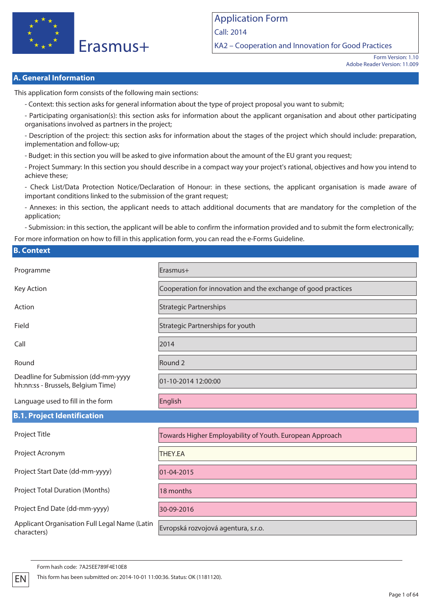

Application Form Call: 2014 KA2 – Cooperation and Innovation for Good Practices

> Form Version: 1.10 Adobe Reader Version: 11.009

### **A. General Information**

This application form consists of the following main sections:

- Context: this section asks for general information about the type of project proposal you want to submit;

- Participating organisation(s): this section asks for information about the applicant organisation and about other participating organisations involved as partners in the project;

- Description of the project: this section asks for information about the stages of the project which should include: preparation, implementation and follow-up;

- Budget: in this section you will be asked to give information about the amount of the EU grant you request;

- Project Summary: In this section you should describe in a compact way your project's rational, objectives and how you intend to achieve these;

- Check List/Data Protection Notice/Declaration of Honour: in these sections, the applicant organisation is made aware of important conditions linked to the submission of the grant request;

- Annexes: in this section, the applicant needs to attach additional documents that are mandatory for the completion of the application;

- Submission: in this section, the applicant will be able to confirm the information provided and to submit the form electronically;

For more information on how to fill in this application form, you can read the e-Forms Guideline.

### **B. Context**

| Programme                                                                 | Erasmus+                                                      |
|---------------------------------------------------------------------------|---------------------------------------------------------------|
| Key Action                                                                | Cooperation for innovation and the exchange of good practices |
| Action                                                                    | <b>Strategic Partnerships</b>                                 |
| Field                                                                     | Strategic Partnerships for youth                              |
| Call                                                                      | 2014                                                          |
| Round                                                                     | Round <sub>2</sub>                                            |
| Deadline for Submission (dd-mm-yyyy<br>hh:nn:ss - Brussels, Belgium Time) | 01-10-2014 12:00:00                                           |
| Language used to fill in the form                                         | English                                                       |
| <b>B.1. Project Identification</b>                                        |                                                               |
| Project Title                                                             | Towards Higher Employability of Youth. European Approach      |
| Project Acronym                                                           | THEY.EA                                                       |
| Project Start Date (dd-mm-yyyy)                                           | 01-04-2015                                                    |
| <b>Project Total Duration (Months)</b>                                    | 18 months                                                     |
| Project End Date (dd-mm-yyyy)                                             | 30-09-2016                                                    |
| Applicant Organisation Full Legal Name (Latin<br>characters)              | Evropská rozvojová agentura, s.r.o.                           |

Form hash code: 7A25EE789F4E10E8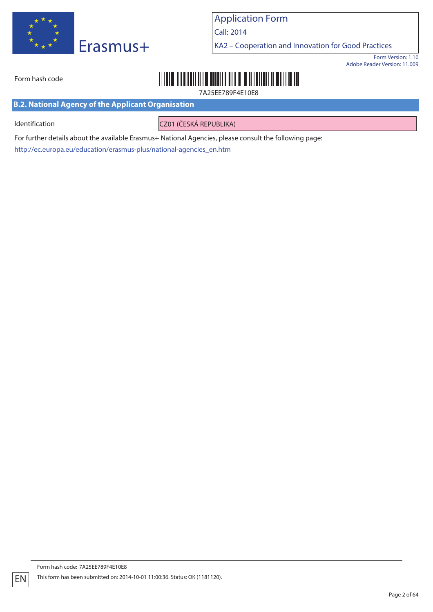

Call: 2014

KA2 – Cooperation and Innovation for Good Practices

Form Version: 1.10 Adobe Reader Version: 11.009

# 

7A25EE789F4E10E8

**B.2. National Agency of the Applicant Organisation**

Form hash code

Identification **CZ01 (ČESKÁ REPUBLIKA)** 

For further details about the available Erasmus+ National Agencies, please consult the following page: http://ec.europa.eu/education/erasmus-plus/national-agencies\_en.htm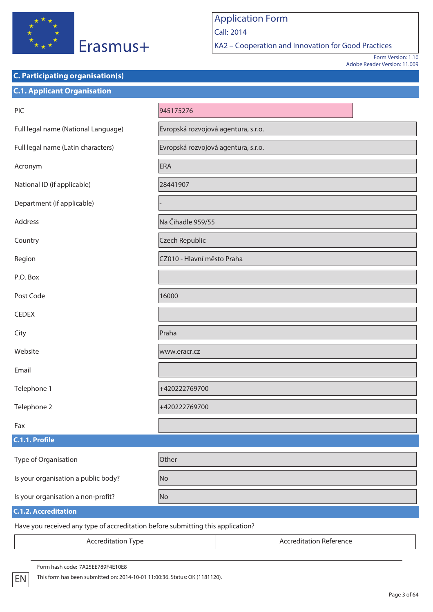

**C. Participating organisation(s)**

## Application Form Call: 2014

KA2 – Cooperation and Innovation for Good Practices

Form Version: 1.10 Adobe Reader Version: 11.009

# **C.1. Applicant Organisation** PIC 945175276 Full legal name (National Language) Full legal name (National Language) Full legal name (S.r.o. Full legal name (Latin characters) Evropská rozvojová agentura, s.r.o. Acronym ERA National ID (if applicable) 28441907 Department (if applicable) Address Na Čihadle 959/55 Country Czech Republic Region **CZ010 - Hlavní město Praha** P.O. Box Post Code 2000 16000 **CEDEX** City **Prahamatic Prahamatic Prahamatic Prahamatic Prahamatic Prahamatic Prahamatic Prahamatic Prahamatic Praha** Website **Website** www.eracr.cz Email Telephone 1 +420222769700 Telephone 2 +420222769700 Fax **C.1.1. Profile** Type of Organisation **Communisty** Other Is your organisation a public body? No Is your organisation a non-profit? No **C.1.2. Accreditation** Have you received any type of accreditation before submitting this application? Accreditation Type **Accreditation Reference**

Form hash code: 7A25EE789F4E10E8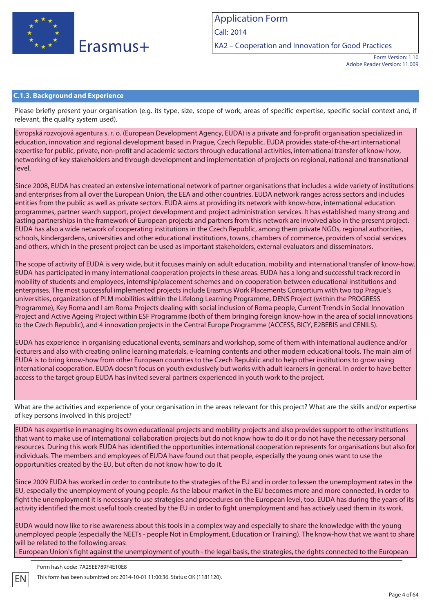

KA2 – Cooperation and Innovation for Good Practices

Form Version: 1.10 Adobe Reader Version: 11.009

### **C.1.3. Background and Experience**

Please briefly present your organisation (e.g. its type, size, scope of work, areas of specific expertise, specific social context and, if relevant, the quality system used).

Evropská rozvojová agentura s. r. o. (European Development Agency, EUDA) is a private and for-profit organisation specialized in education, innovation and regional development based in Prague, Czech Republic. EUDA provides state-of-the-art international expertise for public, private, non-profit and academic sectors through educational activities, international transfer of know-how, networking of key stakeholders and through development and implementation of projects on regional, national and transnational level.

Since 2008, EUDA has created an extensive international network of partner organisations that includes a wide variety of institutions and enterprises from all over the European Union, the EEA and other countries. EUDA network ranges across sectors and includes entities from the public as well as private sectors. EUDA aims at providing its network with know-how, international education programmes, partner search support, project development and project administration services. It has established many strong and lasting partnerships in the framework of European projects and partners from this network are involved also in the present project. EUDA has also a wide network of cooperating institutions in the Czech Republic, among them private NGOs, regional authorities, schools, kindergardens, universities and other educational institutions, towns, chambers of commerce, providers of social services and others, which in the present project can be used as important stakeholders, external evaluators and disseminators.

The scope of activity of EUDA is very wide, but it focuses mainly on adult education, mobility and international transfer of know-how. EUDA has participated in many international cooperation projects in these areas. EUDA has a long and successful track record in mobility of students and employees, internship/placement schemes and on cooperation between educational institutions and enterprises. The most successful implemented projects include Erasmus Work Placements Consortium with two top Prague's universities, organization of PLM mobilities within the Lifelong Learning Programme, DENS Project (within the PROGRESS Programme), Key Roma and I am Roma Projects dealing with social inclusion of Roma people, Current Trends in Social Innovation Project and Active Ageing Project within ESF Programme (both of them bringing foreign know-how in the area of social innovations to the Czech Republic), and 4 innovation projects in the Central Europe Programme (ACCESS, BICY, E2BEBIS and CENILS).

EUDA has experience in organising educational events, seminars and workshop, some of them with international audience and/or lecturers and also with creating online learning materials, e-learning contents and other modern educational tools. The main aim of EUDA is to bring know-how from other European countries to the Czech Republic and to help other institutions to grow using international cooperation. EUDA doesn't focus on youth exclusively but works with adult learners in general. In order to have better access to the target group EUDA has invited several partners experienced in youth work to the project.

What are the activities and experience of your organisation in the areas relevant for this project? What are the skills and/or expertise of key persons involved in this project?

EUDA has expertise in managing its own educational projects and mobility projects and also provides support to other institutions that want to make use of international collaboration projects but do not know how to do it or do not have the necessary personal resources. During this work EUDA has identified the opportunities international cooperation represents for organisations but also for individuals. The members and employees of EUDA have found out that people, especially the young ones want to use the opportunities created by the EU, but often do not know how to do it.

Since 2009 EUDA has worked in order to contribute to the strategies of the EU and in order to lessen the unemployment rates in the EU, especially the unemployment of young people. As the labour market in the EU becomes more and more connected, in order to fight the unemployment it is necessary to use strategies and procedures on the European level, too. EUDA has during the years of its activity identified the most useful tools created by the EU in order to fight unemployment and has actively used them in its work.

EUDA would now like to rise awareness about this tools in a complex way and especially to share the knowledge with the young unemployed people (especially the NEETs - people Not in Employment, Education or Training). The know-how that we want to share will be related to the following areas:

- European Union's fight against the unemployment of youth - the legal basis, the strategies, the rights connected to the European

Form hash code: 7A25EE789F4E10E8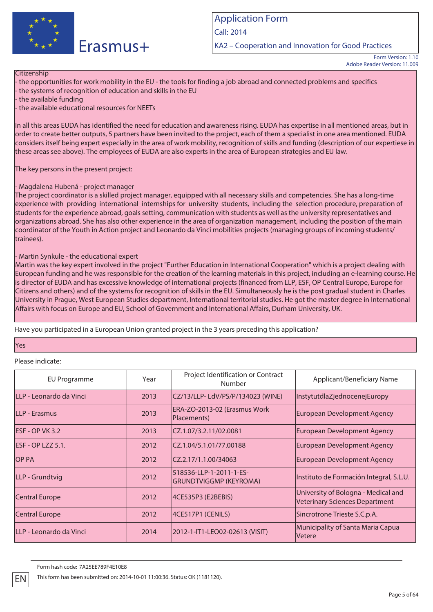

KA2 – Cooperation and Innovation for Good Practices

#### **Citizenship**

- the opportunities for work mobility in the EU - the tools for finding a job abroad and connected problems and specifics - the systems of recognition of education and skills in the EU

- the available funding

- the available educational resources for NEETs

In all this areas EUDA has identified the need for education and awareness rising. EUDA has expertise in all mentioned areas, but in order to create better outputs, 5 partners have been invited to the project, each of them a specialist in one area mentioned. EUDA considers itself being expert especially in the area of work mobility, recognition of skills and funding (description of our expertiese in these areas see above). The employees of EUDA are also experts in the area of European strategies and EU law.

The key persons in the present project:

### - Magdalena Hubená - project manager

The project coordinator is a skilled project manager, equipped with all necessary skills and competencies. She has a long-time experience with providing international internships for university students, including the selection procedure, preparation of students for the experience abroad, goals setting, communication with students as well as the university representatives and organizations abroad. She has also other experience in the area of organization management, including the position of the main coordinator of the Youth in Action project and Leonardo da Vinci mobilities projects (managing groups of incoming students/ trainees).

### - Martin Synkule - the educational expert

Martin was the key expert involved in the project "Further Education in International Cooperation" which is a project dealing with European funding and he was responsible for the creation of the learning materials in this project, including an e-learning course. He is director of EUDA and has excessive knowledge of international projects (financed from LLP, ESF, OP Central Europe, Europe for Citizens and others) and of the systems for recognition of skills in the EU. Simultaneously he is the post gradual student in Charles University in Prague, West European Studies department, International territorial studies. He got the master degree in International Affairs with focus on Europe and EU, School of Government and International Affairs, Durham University, UK.

Have you participated in a European Union granted project in the 3 years preceding this application?

### Yes

### Please indicate:

| EU Programme            | Year | Project Identification or Contract<br>Number             | Applicant/Beneficiary Name                                                   |
|-------------------------|------|----------------------------------------------------------|------------------------------------------------------------------------------|
| LLP - Leonardo da Vinci | 2013 | CZ/13/LLP-LdV/PS/P/134023 (WINE)                         | InstytutdlaZjednocenejEuropy                                                 |
| LLP - Erasmus           | 2013 | ERA-ZO-2013-02 (Erasmus Work<br>Placements)              | European Development Agency                                                  |
| ESF - OP VK 3.2         | 2013 | CZ.1.07/3.2.11/02.0081                                   | <b>European Development Agency</b>                                           |
| ESF - OP LZZ 5.1.       | 2012 | ICZ.1.04/5.1.01/77.00188                                 | <b>European Development Agency</b>                                           |
| <b>OP PA</b>            | 2012 | CZ.2.17/1.1.00/34063                                     | <b>European Development Agency</b>                                           |
| LLP - Grundtvig         | 2012 | 518536-LLP-1-2011-1-ES-<br><b>GRUNDTVIGGMP (KEYROMA)</b> | Instituto de Formación Integral, S.L.U.                                      |
| Central Europe          | 2012 | 4CE535P3 (E2BEBIS)                                       | University of Bologna - Medical and<br><b>Veterinary Sciences Department</b> |
| <b>Central Europe</b>   | 2012 | 4CE517P1 (CENILS)                                        | Sincrotrone Trieste S.C.p.A.                                                 |
| LLP - Leonardo da Vinci | 2014 | 2012-1-IT1-LEO02-02613 (VISIT)                           | Municipality of Santa Maria Capua<br><b>Vetere</b>                           |

Form hash code: 7A25EE789F4E10E8

Form Version: 1.10 Adobe Reader Version: 11.009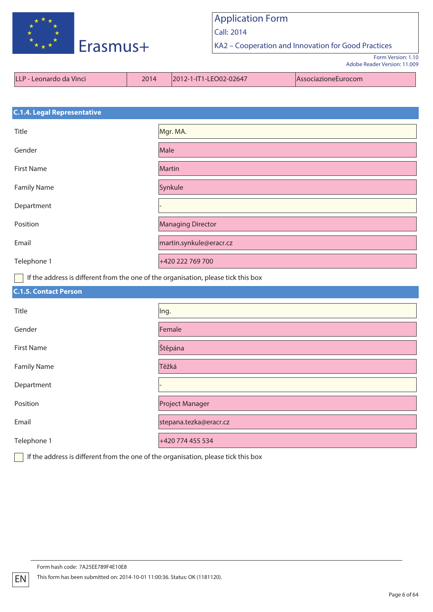

Call: 2014

KA2 – Cooperation and Innovation for Good Practices

Form Version: 1.10 Adobe Reader Version: 11.009

| LLLP - Leonardo da Vinci | 2014 | 2012-1-IT1-LEO02-02647 | <i>AssociazioneEurocom</i> |
|--------------------------|------|------------------------|----------------------------|
|--------------------------|------|------------------------|----------------------------|

# **C.1.4. Legal Representative** Title **Mgr. MA.** Mgr. MA. Gender Male First Name **Martin** Martin Family Name Synkule Department Position **Managing Director** Managing Director Email martin.synkule@eracr.cz Telephone 1 +420 222 769 700

If the address is different from the one of the organisation, please tick this box

| <b>C.1.5. Contact Person</b> |                        |
|------------------------------|------------------------|
| Title                        | Ing.                   |
| Gender                       | Female                 |
| <b>First Name</b>            | Štěpána                |
| <b>Family Name</b>           | Těžká                  |
| Department                   |                        |
| Position                     | <b>Project Manager</b> |
| Email                        | stepana.tezka@eracr.cz |
| Telephone 1                  | +420 774 455 534       |

If the address is different from the one of the organisation, please tick this box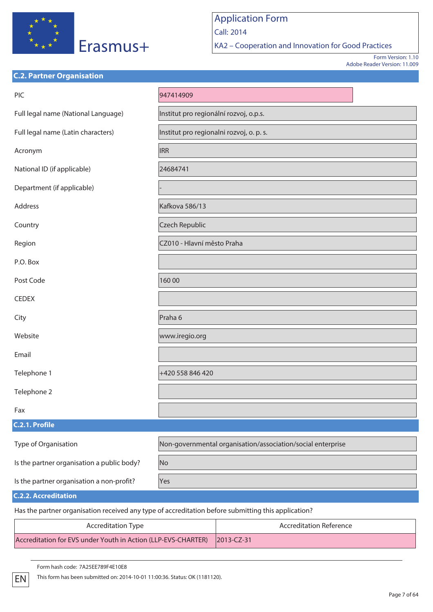

**C.2. Partner Organisation**

# Application Form Call: 2014

KA2 – Cooperation and Innovation for Good Practices

Form Version: 1.10 Adobe Reader Version: 11.009

| PIC                                        | 947414909                                                   |
|--------------------------------------------|-------------------------------------------------------------|
| Full legal name (National Language)        | Institut pro regionální rozvoj, o.p.s.                      |
| Full legal name (Latin characters)         | Institut pro regionalni rozvoj, o. p. s.                    |
| Acronym                                    | <b>IRR</b>                                                  |
| National ID (if applicable)                | 24684741                                                    |
| Department (if applicable)                 |                                                             |
| Address                                    | Kafkova 586/13                                              |
| Country                                    | <b>Czech Republic</b>                                       |
| Region                                     | CZ010 - Hlavní město Praha                                  |
| P.O. Box                                   |                                                             |
| Post Code                                  | 16000                                                       |
| <b>CEDEX</b>                               |                                                             |
| City                                       | Praha 6                                                     |
| Website                                    | www.iregio.org                                              |
| Email                                      |                                                             |
| Telephone 1                                | +420 558 846 420                                            |
| Telephone 2                                |                                                             |
| Fax                                        |                                                             |
| C.2.1. Profile                             |                                                             |
| Type of Organisation                       | Non-governmental organisation/association/social enterprise |
| Is the partner organisation a public body? | No                                                          |
| Is the partner organisation a non-profit?  | Yes                                                         |
| <b>C.2.2. Accreditation</b>                |                                                             |

Has the partner organisation received any type of accreditation before submitting this application?

| <b>Accreditation Type</b>                                                | <b>Accreditation Reference</b> |  |
|--------------------------------------------------------------------------|--------------------------------|--|
| Accreditation for EVS under Youth in Action (LLP-EVS-CHARTER) 2013-CZ-31 |                                |  |

Form hash code: 7A25EE789F4E10E8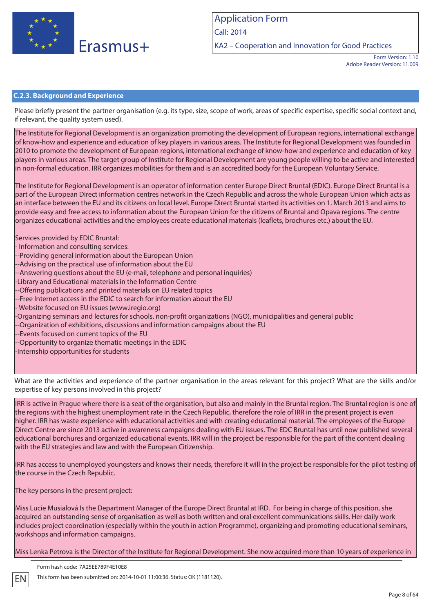

KA2 – Cooperation and Innovation for Good Practices

Form Version: 1.10 Adobe Reader Version: 11.009

### **C.2.3. Background and Experience**

Please briefly present the partner organisation (e.g. its type, size, scope of work, areas of specific expertise, specific social context and, if relevant, the quality system used).

The Institute for Regional Development is an organization promoting the development of European regions, international exchange of know-how and experience and education of key players in various areas. The Institute for Regional Development was founded in 2010 to promote the development of European regions, international exchange of know-how and experience and education of key players in various areas. The target group of Institute for Regional Development are young people willing to be active and interested in non-formal education. IRR organizes mobilities for them and is an accredited body for the European Voluntary Service.

The Institute for Regional Development is an operator of information center Europe Direct Bruntal (EDIC). Europe Direct Bruntal is a part of the European Direct information centres network in the Czech Republic and across the whole European Union which acts as an interface between the EU and its citizens on local level. Europe Direct Bruntal started its activities on 1. March 2013 and aims to provide easy and free access to information about the European Union for the citizens of Bruntal and Opava regions. The centre organizes educational activities and the employees create educational materials (leaflets, brochures etc.) about the EU.

Services provided by EDIC Bruntal:

- Information and consulting services:

--Providing general information about the European Union

- --Advising on the practical use of information about the EU
- --Answering questions about the EU (e-mail, telephone and personal inquiries)
- -Library and Educational materials in the Information Centre

--Offering publications and printed materials on EU related topics

- --Free Internet access in the EDIC to search for information about the EU
- Website focused on EU issues (www.iregio.org)
- -Organizing seminars and lectures for schools, non-profit organizations (NGO), municipalities and general public
- -Organization of exhibitions, discussions and information campaigns about the EU
- --Events focused on current topics of the EU
- --Opportunity to organize thematic meetings in the EDIC
- -Internship opportunities for students

What are the activities and experience of the partner organisation in the areas relevant for this project? What are the skills and/or expertise of key persons involved in this project?

IRR is active in Prague where there is a seat of the organisation, but also and mainly in the Bruntal region. The Bruntal region is one of the regions with the highest unemployment rate in the Czech Republic, therefore the role of IRR in the present project is even higher. IRR has waste experience with educational activities and with creating educational material. The employees of the Europe Direct Centre are since 2013 active in awareness campaigns dealing with EU issues. The EDC Bruntal has until now published several educational borchures and organized educational events. IRR will in the project be responsible for the part of the content dealing with the EU strategies and law and with the European Citizenship.

IRR has access to unemployed youngsters and knows their needs, therefore it will in the project be responsible for the pilot testing of the course in the Czech Republic.

The key persons in the present project:

Miss Lucie Musialová Is the Department Manager of the Europe Direct Bruntal at IRD. For being in charge of this position, she acquired an outstanding sense of organisation as well as both written and oral excellent communications skills. Her daily work includes project coordination (especially within the youth in action Programme), organizing and promoting educational seminars, workshops and information campaigns.

Miss Lenka Petrova is the Director of the Institute for Regional Development. She now acquired more than 10 years of experience in

Form hash code: 7A25EE789F4E10E8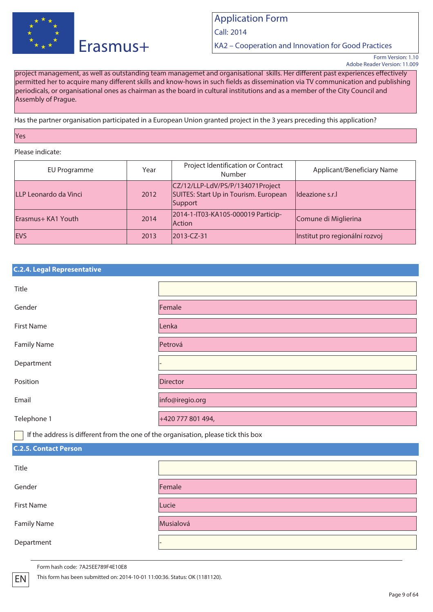

Call: 2014

KA2 – Cooperation and Innovation for Good Practices

Form Version: 1.10 Adobe Reader Version: 11.009

project management, as well as outstanding team managemet and organisational skills. Her different past experiences effectively permitted her to acquire many different skills and know-hows in such fields as dissemination via TV communication and publishing periodicals, or organisational ones as chairman as the board in cultural institutions and as a member of the City Council and Assembly of Prague.

Has the partner organisation participated in a European Union granted project in the 3 years preceding this application?

Yes

Please indicate:

| EU Programme          | Year | Project Identification or Contract<br>Number                                         | Applicant/Beneficiary Name     |
|-----------------------|------|--------------------------------------------------------------------------------------|--------------------------------|
| LLP Leonardo da Vinci | 2012 | CZ/12/LLP-LdV/PS/P/134071Project<br>SUITES: Start Up in Tourism. European<br>Support | Ildeazione s.r.                |
| Erasmus+ KA1 Youth    | 2014 | 2014-1-IT03-KA105-000019 Particip-<br><b>Action</b>                                  | Comune di Miglierina           |
| <b>IEVS</b>           | 2013 | 2013-CZ-31                                                                           | Institut pro regionální rozvoj |

|  | <b>C.2.4. Legal Representative</b> |  |
|--|------------------------------------|--|
|  |                                    |  |

| Title              |                   |
|--------------------|-------------------|
| Gender             | Female            |
| First Name         | Lenka             |
| <b>Family Name</b> | Petrová           |
| Department         |                   |
| Position           | Director          |
| Email              | info@iregio.org   |
| Telephone 1        | +420 777 801 494, |

If the address is different from the one of the organisation, please tick this box

### **C.2.5. Contact Person**

| Title              |           |
|--------------------|-----------|
| Gender             | Female    |
| <b>First Name</b>  | Lucie     |
| <b>Family Name</b> | Musialová |
| Department         |           |

Form hash code: 7A25EE789F4E10E8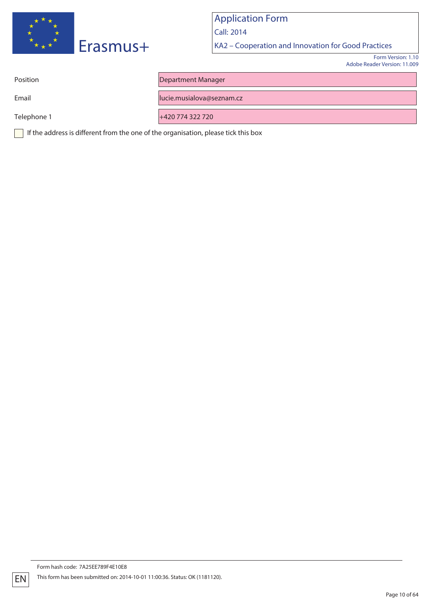

Call: 2014

KA2 – Cooperation and Innovation for Good Practices

Form Version: 1.10 Adobe Reader Version: 11.009

Position **Department Manager** 

Email lucie.musialova@seznam.cz

Telephone 1 +420 774 322 720

If the address is different from the one of the organisation, please tick this box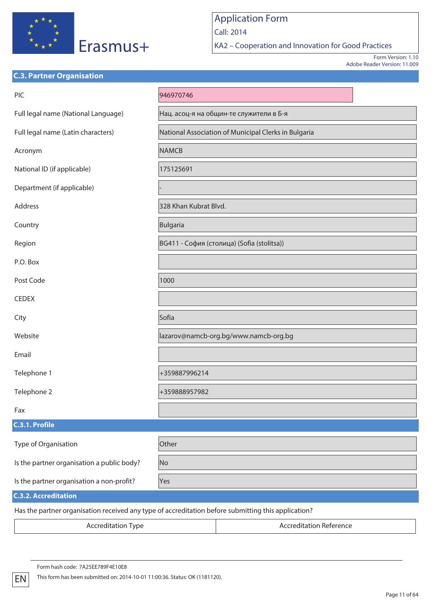

**C.3. Partner Organisation**

## Application Form Call: 2014

KA2 – Cooperation and Innovation for Good Practices

Form Version: 1.10 Adobe Reader Version: 11.009

| PIC                                        | 946970746                                            |
|--------------------------------------------|------------------------------------------------------|
| Full legal name (National Language)        | Нац. асоц-я на общин-те служители в Б-я              |
| Full legal name (Latin characters)         | National Association of Municipal Clerks in Bulgaria |
| Acronym                                    | <b>NAMCB</b>                                         |
| National ID (if applicable)                | 175125691                                            |
| Department (if applicable)                 |                                                      |
| Address                                    | 328 Khan Kubrat Blvd.                                |
| Country                                    | Bulgaria                                             |
| Region                                     | ВG411 - София (столица) (Sofia (stolitsa))           |
| P.O. Box                                   |                                                      |
| Post Code                                  | 1000                                                 |
| <b>CEDEX</b>                               |                                                      |
| City                                       | Sofia                                                |
| Website                                    | lazarov@namcb-org.bg/www.namcb-org.bg                |
| Email                                      |                                                      |
| Telephone 1                                | +359887996214                                        |
| Telephone 2                                | +359888957982                                        |
| Fax                                        |                                                      |
| C.3.1. Profile                             |                                                      |
| Type of Organisation                       | Other                                                |
| Is the partner organisation a public body? | No                                                   |
| Is the partner organisation a non-profit?  | Yes                                                  |
| <b>C.3.2. Accreditation</b>                |                                                      |

Has the partner organisation received any type of accreditation before submitting this application?

Accreditation Type **Accreditation Reference**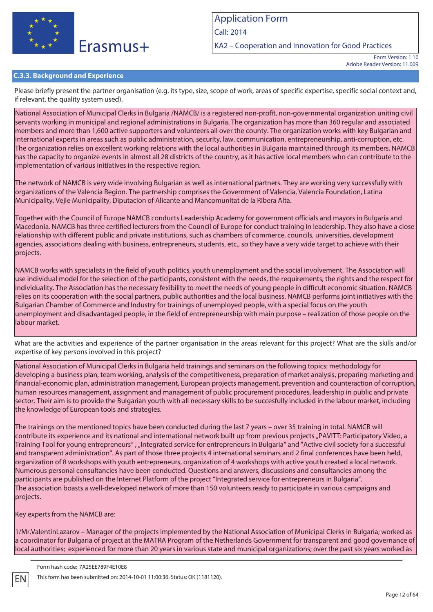

Call: 2014

KA2 – Cooperation and Innovation for Good Practices

Form Version: 1.10 Adobe Reader Version: 11.009

### **C.3.3. Background and Experience**

Please briefly present the partner organisation (e.g. its type, size, scope of work, areas of specific expertise, specific social context and, if relevant, the quality system used).

National Association of Municipal Clerks in Bulgaria /NAMCB/ is a registered non-profit, non-governmental organization uniting civil servants working in municipal and regional administrations in Bulgaria. The organization has more than 360 regular and associated members and more than 1,600 active supporters and volunteers all over the county. The organization works with key Bulgarian and international experts in areas such as public administration, security, law, communication, entrepreneurship, anti-corruption, etc. The organization relies on excellent working relations with the local authorities in Bulgaria maintained through its members. NAMCB has the capacity to organize events in almost all 28 districts of the country, as it has active local members who can contribute to the implementation of various initiatives in the respective region.

The network of NAMCB is very wide involving Bulgarian as well as international partners. They are working very successfully with organizations of the Valencia Region. The partnership comprises the Government of Valencia, Valencia Foundation, Latina Municipality, Vejle Municipality, Diputacion of Alicante and Mancomunitat de la Ribera Alta.

Together with the Council of Europe NAMCB conducts Leadership Academy for government officials and mayors in Bulgaria and Macedonia. NAMCB has three certified lecturers from the Council of Europe for conduct training in leadership. They also have a close relationship with different public and private institutions, such as chambers of commerce, councils, universities, development agencies, associations dealing with business, entrepreneurs, students, etc., so they have a very wide target to achieve with their projects.

NAMCB works with specialists in the field of youth politics, youth unemployment and the social involvement. The Association will use individual model for the selection of the participants, consistent with the needs, the requirements, the rights and the respect for individuality. The Association has the necessary fexibility to meet the needs of young people in difficult economic situation. NAMCB relies on its cooperation with the social partners, public authorities and the local business. NAMCB performs joint initiatives with the Bulgarian Chamber of Commerce and Industry for trainings of unemployed people, with a special focus on the youth unemployment and disadvantaged people, in the field of entrepreneurship with main purpose – realization of those people on the labour market.

What are the activities and experience of the partner organisation in the areas relevant for this project? What are the skills and/or expertise of key persons involved in this project?

National Association of Municipal Clerks in Bulgaria held trainings and seminars on the following topics: methodology for developing a business plan, team working, analysis of the competitiveness, preparation of market analysis, preparing marketing and financial-economic plan, administration management, European projects management, prevention and counteraction of corruption, human resources management, assignment and management of public procurement procedures, leadership in public and private sector. Their aim is to provide the Bulgarian youth with all necessary skills to be succesfully included in the labour market, including the knowledge of European tools and strategies.

The trainings on the mentioned topics have been conducted during the last 7 years – over 35 training in total. NAMCB will contribute its experience and its national and international network built up from previous projects "PAVITT: Participatory Video, a Training Tool for young entrepreneurs" , "Integrated service for entrepreneurs in Bulgaria" and "Active civil society for a successful and transparent administration". As part of those three projects 4 international seminars and 2 final conferences have been held, organization of 8 workshops with youth entrepreneurs, organization of 4 workshops with active youth created a local network. Numerous personal consultancies have been conducted. Questions and answers, discussions and consultancies among the participants are published on the Internet Platform of the project "Integrated service for entrepreneurs in Bulgaria". The association boasts a well-developed network of more than 150 volunteers ready to participate in various campaigns and projects.

Key experts from the NAMCB are:

1/Mr.ValentinLazarov – Manager of the projects implemented by the National Association of Municipal Clerks in Bulgaria; worked as a coordinator for Bulgaria of project at the MATRA Program of the Netherlands Government for transparent and good governance of local authorities; experienced for more than 20 years in various state and municipal organizations; over the past six years worked as

Form hash code: 7A25EE789F4E10E8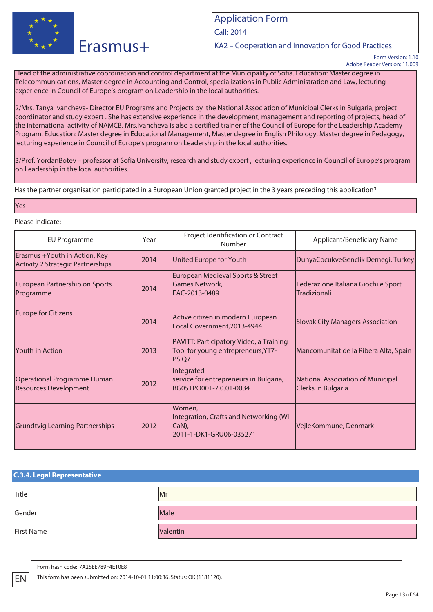

Call: 2014

KA2 – Cooperation and Innovation for Good Practices

Head of the administrative coordination and control department at the Municipality of Sofia. Education: Master degree in Telecommunications, Master degree in Accounting and Control, specializations in Public Administration and Law, lecturing experience in Council of Europe's program on Leadership in the local authorities.

2/Mrs. Tanya Ivancheva- Director EU Programs and Projects by the National Association of Municipal Clerks in Bulgaria, project coordinator and study expert . She has extensive experience in the development, management and reporting of projects, head of the international activity of NAMCB. Mrs.Ivancheva is also a certified trainer of the Council of Europe for the Leadership Academy Program. Education: Master degree in Educational Management, Master degree in English Philology, Master degree in Pedagogy, lecturing experience in Council of Europe's program on Leadership in the local authorities.

3/Prof. YordanBotev – professor at Sofia University, research and study expert , lecturing experience in Council of Europe's program on Leadership in the local authorities.

Has the partner organisation participated in a European Union granted project in the 3 years preceding this application?

#### Yes

#### Please indicate:

| <b>EU Programme</b>                                                        | Year | Project Identification or Contract<br>Number                                                  | Applicant/Beneficiary Name                              |
|----------------------------------------------------------------------------|------|-----------------------------------------------------------------------------------------------|---------------------------------------------------------|
| Erasmus + Youth in Action, Key<br><b>Activity 2 Strategic Partnerships</b> | 2014 | United Europe for Youth                                                                       | DunyaCocukveGenclik Dernegi, Turkey                     |
| European Partnership on Sports<br>Programme                                | 2014 | European Medieval Sports & Street<br>Games Network,<br>EAC-2013-0489                          | Federazione Italiana Giochi e Sport<br>Tradizionali     |
| <b>Europe for Citizens</b>                                                 | 2014 | Active citizen in modern European<br>Local Government, 2013-4944                              | <b>Slovak City Managers Association</b>                 |
| <b>Youth in Action</b>                                                     | 2013 | PAVITT: Participatory Video, a Training<br>Tool for young entrepreneurs, YT7-<br><b>PSIQ7</b> | Mancomunitat de la Ribera Alta, Spain                   |
| <b>Operational Programme Human</b><br><b>Resources Development</b>         | 2012 | Integrated<br>service for entrepreneurs in Bulgaria,<br>BG051PO001-7.0.01-0034                | National Association of Municipal<br>Clerks in Bulgaria |
| <b>Grundtvig Learning Partnerships</b>                                     | 2012 | Women,<br>Integration, Crafts and Networking (WI-<br>$ CaN$ ),<br>2011-1-DK1-GRU06-035271     | VejleKommune, Denmark                                   |

| <b>C.3.4. Legal Representative</b> |          |
|------------------------------------|----------|
| Title                              | Mr       |
| Gender                             | Male     |
| First Name                         | Valentin |

Form hash code: 7A25EE789F4E10E8

Form Version: 1.10 Adobe Reader Version: 11.009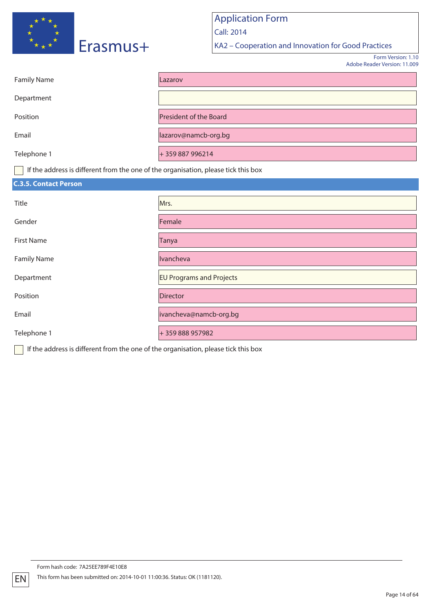

Call: 2014

KA2 – Cooperation and Innovation for Good Practices

Form Version: 1.10 Adobe Reader Version: 11.009

| <b>Family Name</b>                                                                                              | Lazarov                |
|-----------------------------------------------------------------------------------------------------------------|------------------------|
| Department                                                                                                      |                        |
| Position                                                                                                        | President of the Board |
| Email                                                                                                           | lazarov@namcb-org.bg   |
| Telephone 1                                                                                                     | +359 887 996214        |
| the contract of the contract of the contract of the contract of the contract of the contract of the contract of |                        |

If the address is different from the one of the organisation, please tick this box

| <b>C.3.5. Contact Person</b> |                                 |
|------------------------------|---------------------------------|
| Title                        | Mrs.                            |
| Gender                       | Female                          |
| <b>First Name</b>            | Tanya                           |
| <b>Family Name</b>           | Ivancheva                       |
| Department                   | <b>EU Programs and Projects</b> |
| Position                     | Director                        |
| Email                        | ivancheva@namcb-org.bg          |
| Telephone 1                  | +359888957982                   |

If the address is different from the one of the organisation, please tick this box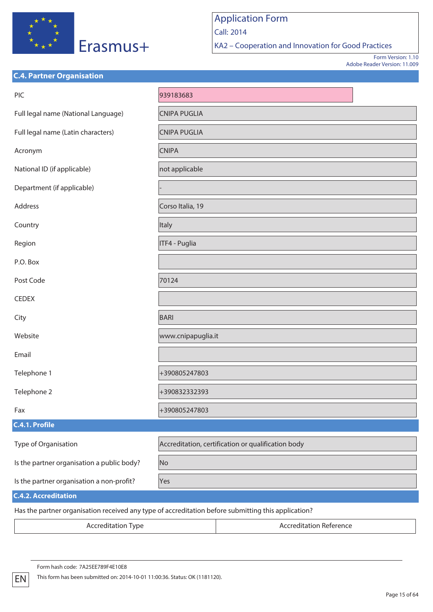

KA2 – Cooperation and Innovation for Good Practices

Form Version: 1.10 Adobe Reader Version: 11.009

| <b>C.4. Partner Organisation</b>                                                                    |                                                    |  |  |
|-----------------------------------------------------------------------------------------------------|----------------------------------------------------|--|--|
| PIC                                                                                                 | 939183683                                          |  |  |
| Full legal name (National Language)                                                                 | <b>CNIPA PUGLIA</b>                                |  |  |
| Full legal name (Latin characters)                                                                  | <b>CNIPA PUGLIA</b>                                |  |  |
| Acronym                                                                                             | <b>CNIPA</b>                                       |  |  |
| National ID (if applicable)                                                                         | not applicable                                     |  |  |
| Department (if applicable)                                                                          |                                                    |  |  |
| Address                                                                                             | Corso Italia, 19                                   |  |  |
| Country                                                                                             | Italy                                              |  |  |
| Region                                                                                              | ITF4 - Puglia                                      |  |  |
| P.O. Box                                                                                            |                                                    |  |  |
| Post Code                                                                                           | 70124                                              |  |  |
| <b>CEDEX</b>                                                                                        |                                                    |  |  |
| City                                                                                                | <b>BARI</b>                                        |  |  |
| Website                                                                                             | www.cnipapuglia.it                                 |  |  |
| Email                                                                                               |                                                    |  |  |
| Telephone 1                                                                                         | +390805247803                                      |  |  |
| Telephone 2                                                                                         | +390832332393                                      |  |  |
| Fax                                                                                                 | +390805247803                                      |  |  |
| C.4.1. Profile                                                                                      |                                                    |  |  |
| Type of Organisation                                                                                | Accreditation, certification or qualification body |  |  |
| Is the partner organisation a public body?                                                          | No                                                 |  |  |
| Is the partner organisation a non-profit?                                                           | Yes                                                |  |  |
| <b>C.4.2. Accreditation</b>                                                                         |                                                    |  |  |
| Has the partner organisation received any type of accreditation before submitting this application? |                                                    |  |  |

Accreditation Type **Accreditation Reference**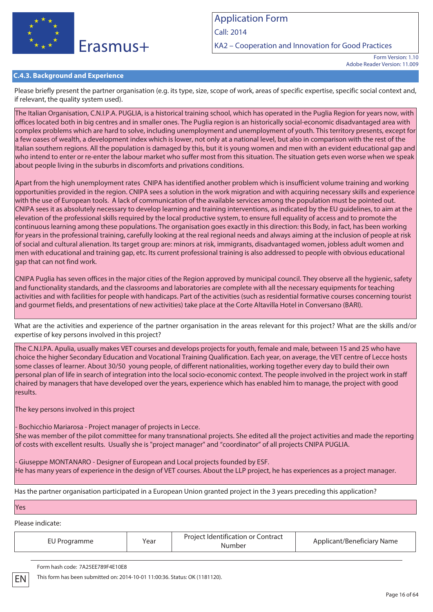

Call: 2014

KA2 – Cooperation and Innovation for Good Practices

Form Version: 1.10 Adobe Reader Version: 11.009

### **C.4.3. Background and Experience**

Please briefly present the partner organisation (e.g. its type, size, scope of work, areas of specific expertise, specific social context and, if relevant, the quality system used).

The Italian Organisation, C.N.I.P.A. PUGLIA, is a historical training school, which has operated in the Puglia Region for years now, with offices located both in big centres and in smaller ones. The Puglia region is an historically social-economic disadvantaged area with complex problems which are hard to solve, including unemployment and unemployment of youth. This territory presents, except for a few oases of wealth, a development index which is lower, not only at a national level, but also in comparison with the rest of the Italian southern regions. All the population is damaged by this, but it is young women and men with an evident educational gap and who intend to enter or re-enter the labour market who suffer most from this situation. The situation gets even worse when we speak about people living in the suburbs in discomforts and privations conditions.

Apart from the high unemployment rates CNIPA has identified another problem which is insufficient volume training and working opportunities provided in the region. CNIPA sees a solution in the work migration and with acquiring necessary skills and experience with the use of European tools. A lack of communication of the available services among the population must be pointed out. CNIPA sees it as absolutely necessary to develop learning and training interventions, as indicated by the EU guidelines, to aim at the elevation of the professional skills required by the local productive system, to ensure full equality of access and to promote the continuous learning among these populations. The organisation goes exactly in this direction: this Body, in fact, has been working for years in the professional training, carefully looking at the real regional needs and always aiming at the inclusion of people at risk of social and cultural alienation. Its target group are: minors at risk, immigrants, disadvantaged women, jobless adult women and men with educational and training gap, etc. Its current professional training is also addressed to people with obvious educational  $\alpha$ ap that can not find work.

CNIPA Puglia has seven offices in the major cities of the Region approved by municipal council. They observe all the hygienic, safety and functionality standards, and the classrooms and laboratories are complete with all the necessary equipments for teaching activities and with facilities for people with handicaps. Part of the activities (such as residential formative courses concerning tourist and gourmet fields, and presentations of new activities) take place at the Corte Altavilla Hotel in Conversano (BARI).

What are the activities and experience of the partner organisation in the areas relevant for this project? What are the skills and/or expertise of key persons involved in this project?

The C.N.I.PA. Apulia, usually makes VET courses and develops projects for youth, female and male, between 15 and 25 who have choice the higher Secondary Education and Vocational Training Qualification. Each year, on average, the VET centre of Lecce hosts some classes of learner. About 30/50 young people, of different nationalities, working together every day to build their own personal plan of life in search of integration into the local socio-economic context. The people involved in the project work in staff chaired by managers that have developed over the years, experience which has enabled him to manage, the project with good results.

The key persons involved in this project

- Bochicchio Mariarosa - Project manager of projects in Lecce. She was member of the pilot committee for many transnational projects. She edited all the project activities and made the reporting of costs with excellent results. Usually she is "project manager" and "coordinator" of all projects CNIPA PUGLIA.

- Giuseppe MONTANARO - Designer of European and Local projects founded by ESF. He has many years of experience in the design of VET courses. About the LLP project, he has experiences as a project manager.

Has the partner organisation participated in a European Union granted project in the 3 years preceding this application?

Yes

EN

Please indicate:

| EU Programme | Year | Project Identification or Contract<br>Number | Applicant/Beneficiary Name |
|--------------|------|----------------------------------------------|----------------------------|
|              |      |                                              |                            |

Form hash code: 7A25EE789F4E10E8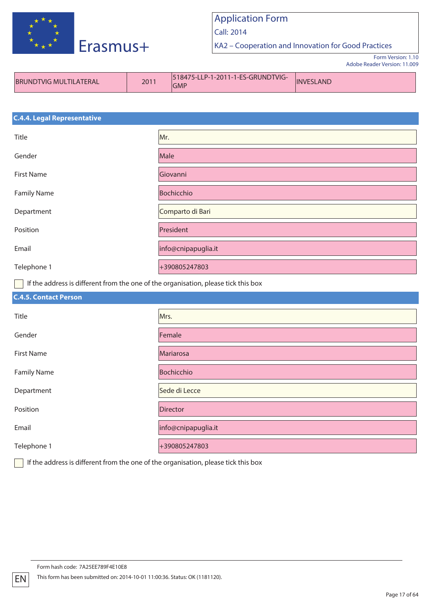

Call: 2014

KA2 – Cooperation and Innovation for Good Practices

Form Version: 1.10 Adobe Reader Version: 11.009

| <b>BRUNDTVIG MULTILATERAL</b> | 2011 | 518475-LLP-1-2011-1-ES-GRUNDTVIG-<br><b>GMP</b> | <b>INVESLAND</b> |
|-------------------------------|------|-------------------------------------------------|------------------|
|-------------------------------|------|-------------------------------------------------|------------------|

| <b>C.4.4. Legal Representative</b> |                     |  |
|------------------------------------|---------------------|--|
| Title                              | Mr.                 |  |
| Gender                             | Male                |  |
| <b>First Name</b>                  | Giovanni            |  |
| <b>Family Name</b>                 | Bochicchio          |  |
| Department                         | Comparto di Bari    |  |
| Position                           | President           |  |
| Email                              | info@cnipapuglia.it |  |
| Telephone 1                        | +390805247803       |  |

If the address is different from the one of the organisation, please tick this box

| <b>C.4.5. Contact Person</b> |                     |
|------------------------------|---------------------|
| Title                        | Mrs.                |
| Gender                       | Female              |
| First Name                   | Mariarosa           |
| <b>Family Name</b>           | Bochicchio          |
| Department                   | Sede di Lecce       |
| Position                     | Director            |
| Email                        | info@cnipapuglia.it |
| Telephone 1                  | +390805247803       |

If the address is different from the one of the organisation, please tick this box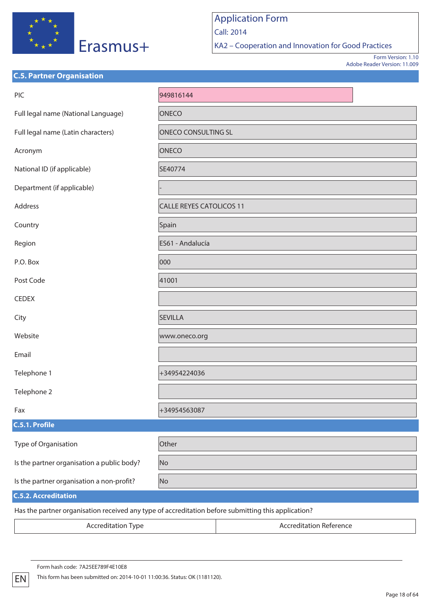

Call: 2014

KA2 – Cooperation and Innovation for Good Practices

Form Version: 1.10 Adobe Reader Version: 11.009

| <b>C.5. Partner Organisation</b>           |                                                                                                     |  |  |
|--------------------------------------------|-----------------------------------------------------------------------------------------------------|--|--|
| PIC                                        | 949816144                                                                                           |  |  |
| Full legal name (National Language)        | ONECO                                                                                               |  |  |
| Full legal name (Latin characters)         | <b>ONECO CONSULTING SL</b>                                                                          |  |  |
| Acronym                                    | <b>ONECO</b>                                                                                        |  |  |
| National ID (if applicable)                | SE40774                                                                                             |  |  |
| Department (if applicable)                 |                                                                                                     |  |  |
| Address                                    | <b>CALLE REYES CATOLICOS 11</b>                                                                     |  |  |
| Country                                    | Spain                                                                                               |  |  |
| Region                                     | ES61 - Andalucía                                                                                    |  |  |
| P.O. Box                                   | 000                                                                                                 |  |  |
| Post Code                                  | 41001                                                                                               |  |  |
| <b>CEDEX</b>                               |                                                                                                     |  |  |
| City                                       | <b>SEVILLA</b>                                                                                      |  |  |
| Website                                    | www.oneco.org                                                                                       |  |  |
| Email                                      |                                                                                                     |  |  |
| Telephone 1                                | +34954224036                                                                                        |  |  |
| Telephone 2                                |                                                                                                     |  |  |
| Fax                                        | +34954563087                                                                                        |  |  |
| C.5.1. Profile                             |                                                                                                     |  |  |
| Type of Organisation                       | Other                                                                                               |  |  |
| Is the partner organisation a public body? | No                                                                                                  |  |  |
| Is the partner organisation a non-profit?  | No                                                                                                  |  |  |
| <b>C.5.2. Accreditation</b>                |                                                                                                     |  |  |
|                                            | Has the partner organisation received any type of accreditation before submitting this application? |  |  |

Has the partner organisation received any type of accreditation before submitting this application?

Accreditation Type **Accreditation Reference**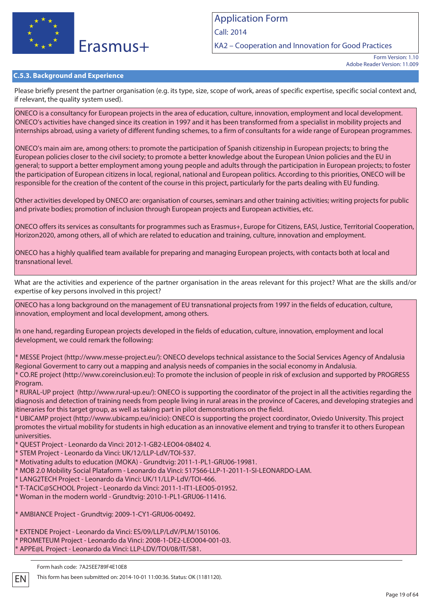

Call: 2014

KA2 – Cooperation and Innovation for Good Practices

Form Version: 1.10 Adobe Reader Version: 11.009

### **C.5.3. Background and Experience**

Please briefly present the partner organisation (e.g. its type, size, scope of work, areas of specific expertise, specific social context and, if relevant, the quality system used).

ONECO is a consultancy for European projects in the area of education, culture, innovation, employment and local development. ONECO's activities have changed since its creation in 1997 and it has been transformed from a specialist in mobility projects and internships abroad, using a variety of different funding schemes, to a firm of consultants for a wide range of European programmes.

ONECO's main aim are, among others: to promote the participation of Spanish citizenship in European projects; to bring the European policies closer to the civil society; to promote a better knowledge about the European Union policies and the EU in general; to support a better employment among young people and adults through the participation in European projects; to foster the participation of European citizens in local, regional, national and European politics. According to this priorities, ONECO will be responsible for the creation of the content of the course in this project, particularly for the parts dealing with EU funding.

Other activities developed by ONECO are: organisation of courses, seminars and other training activities; writing projects for public and private bodies; promotion of inclusion through European projects and European activities, etc.

ONECO offers its services as consultants for programmes such as Erasmus+, Europe for Citizens, EASI, Justice, Territorial Cooperation, Horizon2020, among others, all of which are related to education and training, culture, innovation and employment.

ONECO has a highly qualified team available for preparing and managing European projects, with contacts both at local and transnational level.

What are the activities and experience of the partner organisation in the areas relevant for this project? What are the skills and/or expertise of key persons involved in this project?

ONECO has a long background on the management of EU transnational projects from 1997 in the fields of education, culture, innovation, employment and local development, among others.

In one hand, regarding European projects developed in the fields of education, culture, innovation, employment and local development, we could remark the following:

\* MESSE Project (http://www.messe-project.eu/): ONECO develops technical assistance to the Social Services Agency of Andalusia Regional Goverment to carry out a mapping and analysis needs of companies in the social economy in Andalusia. \* CO.RE project (http://www.coreinclusion.eu): To promote the inclusion of people in risk of exclusion and supported by PROGRESS Program.

\* RURAL-UP project (http://www.rural-up.eu/): ONECO is supporting the coordinator of the project in all the activities regarding the diagnosis and detection of training needs from people living in rural areas in the province of Caceres, and developing strategies and itineraries for this target group, as well as taking part in pilot demonstrations on the field.

\* UBICAMP project (http://www.ubicamp.eu/inicio): ONECO is supporting the project coordinator, Oviedo University. This project promotes the virtual mobility for students in high education as an innovative element and trying to transfer it to others European universities.

\* QUEST Project - Leonardo da Vinci: 2012-1-GB2-LEO04-08402 4.

\* STEM Project - Leonardo da Vinci: UK/12/LLP-LdV/TOI-537.

\* Motivating adults to education (MOKA) - Grundtvig: 2011-1-PL1-GRU06-19981.

\* MOB 2.0 Mobility Social Plataform - Leonardo da Vinci: 517566-LLP-1-2011-1-SI-LEONARDO-LAM.

\* LANG2TECH Project - Leonardo da Vinci: UK/11/LLP-LdV/TOI-466.

\* T-TACIC@SCHOOL Project - Leonardo da Vinci: 2011-1-IT1-LEO05-01952.

\* Woman in the modern world - Grundtvig: 2010-1-PL1-GRU06-11416.

\* AMBIANCE Project - Grundtvig: 2009-1-CY1-GRU06-00492.

EXTENDE Project - Leonardo da Vinci: ES/09/LLP/LdV/PLM/150106. \* PROMETEUM Project - Leonardo da Vinci: 2008-1-DE2-LEO004-001-03. APPE@L Project - Leonardo da Vinci: LLP-LDV/TOI/08/IT/581.

Form hash code: 7A25EE789F4E10E8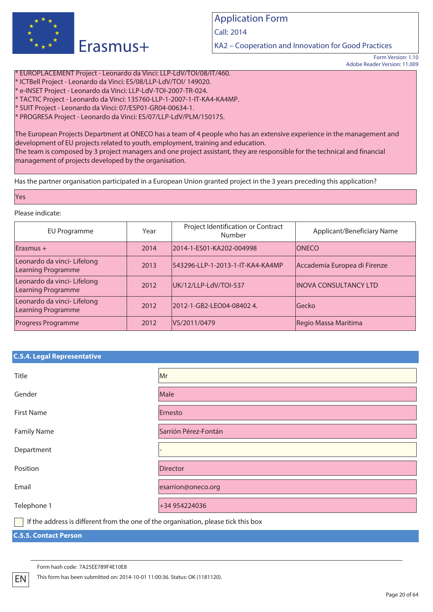

Call: 2014

KA2 – Cooperation and Innovation for Good Practices

Form Version: 1.10 Adobe Reader Version: 11.009

\* EUROPLACEMENT Project - Leonardo da Vinci: LLP-LdV/TOI/08/IT/460. \* ICTBell Project - Leonardo da Vinci: ES/08/LLP-LdV/TOI/ 149020. \* e-INSET Project - Leonardo da Vinci: LLP-LdV-TOI-2007-TR-024. \* TACTIC Project - Leonardo da Vinci: 135760-LLP-1-2007-1-IT-KA4-KA4MP. \* SUIT Project - Leonardo da Vinci: 07/ESP01-GR04-00634-1. \* PROGRESA Project - Leonardo da Vinci: ES/07/LLP-LdV/PLM/150175.

The European Projects Department at ONECO has a team of 4 people who has an extensive experience in the management and development of EU projects related to youth, employment, training and education. The team is composed by 3 project managers and one project assistant, they are responsible for the technical and financial management of projects developed by the organisation.

Has the partner organisation participated in a European Union granted project in the 3 years preceding this application?

#### Yes

### Please indicate:

| EU Programme                                      | Year | Project Identification or Contract<br>Number | Applicant/Beneficiary Name    |
|---------------------------------------------------|------|----------------------------------------------|-------------------------------|
| $E$ rasmus +                                      | 2014 | 2014-1-ES01-KA202-004998                     | <b>ONECO</b>                  |
| Leonardo da vinci- Lifelong<br>Learning Programme | 2013 | 543296-LLP-1-2013-1-IT-KA4-KA4MP             | Accademia Europea di Firenze  |
| Leonardo da vinci- Lifelong<br>Learning Programme | 2012 | UK/12/LLP-LdV/TOI-537                        | <b>IINOVA CONSULTANCY LTD</b> |
| Leonardo da vinci- Lifelong<br>Learning Programme | 2012 | 2012-1-GB2-LEO04-08402 4.                    | lGecko                        |
| <b>Progress Programme</b>                         | 2012 | VS/2011/0479                                 | Regio Massa Maritima          |

### **C.5.4. Legal Representative**

| Title                                                                                                                  | Mr                   |
|------------------------------------------------------------------------------------------------------------------------|----------------------|
| Gender                                                                                                                 | Male                 |
| <b>First Name</b>                                                                                                      | Ernesto              |
| <b>Family Name</b>                                                                                                     | Sarrión Pérez-Fontán |
| Department                                                                                                             |                      |
| Position                                                                                                               | <b>Director</b>      |
| Email                                                                                                                  | esarrion@oneco.org   |
| Telephone 1                                                                                                            | +34 954224036        |
| $\Box$ and the contract $\Box$ and $\Box$ and $\Box$ and $\Box$ and $\Box$ and $\Box$ and $\Box$ and $\Box$ and $\Box$ |                      |

If the address is different from the one of the organisation, please tick this box

### **C.5.5. Contact Person**

Form hash code: 7A25EE789F4E10E8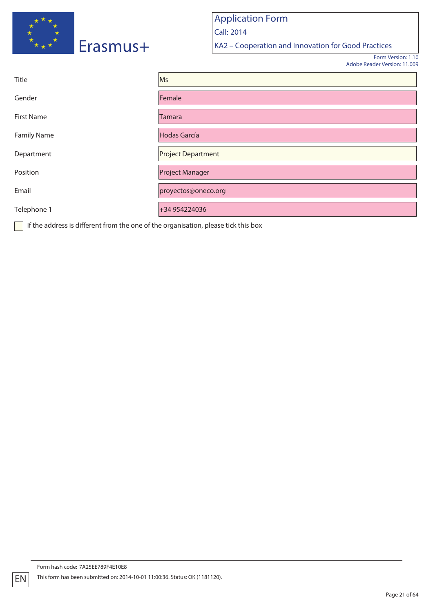

Application Form Call: 2014 KA2 – Cooperation and Innovation for Good Practices

> Form Version: 1.10 Adobe Reader Version: 11.009

| Title              | Ms                        |
|--------------------|---------------------------|
| Gender             | Female                    |
| <b>First Name</b>  | Tamara                    |
| <b>Family Name</b> | <b>Hodas García</b>       |
| Department         | <b>Project Department</b> |
| Position           | <b>Project Manager</b>    |
| Email              | proyectos@oneco.org       |
| Telephone 1        | +34 954224036             |

If the address is different from the one of the organisation, please tick this box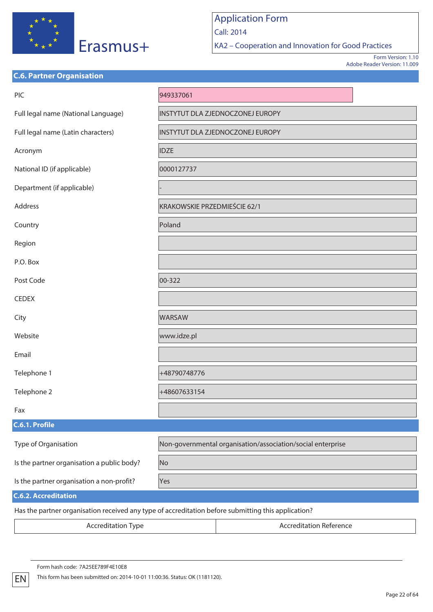

Call: 2014

KA2 – Cooperation and Innovation for Good Practices

Form Version: 1.10 Adobe Reader Version: 11.009

| <b>C.6. Partner Organisation</b>           |                                                                                                     |
|--------------------------------------------|-----------------------------------------------------------------------------------------------------|
| PIC                                        | 949337061                                                                                           |
| Full legal name (National Language)        | INSTYTUT DLA ZJEDNOCZONEJ EUROPY                                                                    |
| Full legal name (Latin characters)         | INSTYTUT DLA ZJEDNOCZONEJ EUROPY                                                                    |
| Acronym                                    | <b>IDZE</b>                                                                                         |
| National ID (if applicable)                | 0000127737                                                                                          |
| Department (if applicable)                 |                                                                                                     |
| Address                                    | KRAKOWSKIE PRZEDMIEŚCIE 62/1                                                                        |
| Country                                    | Poland                                                                                              |
| Region                                     |                                                                                                     |
| P.O. Box                                   |                                                                                                     |
| Post Code                                  | 00-322                                                                                              |
| <b>CEDEX</b>                               |                                                                                                     |
| City                                       | <b>WARSAW</b>                                                                                       |
| Website                                    | www.idze.pl                                                                                         |
| Email                                      |                                                                                                     |
| Telephone 1                                | +48790748776                                                                                        |
| Telephone 2                                | +48607633154                                                                                        |
| Fax                                        |                                                                                                     |
| C.6.1. Profile                             |                                                                                                     |
| Type of Organisation                       | Non-governmental organisation/association/social enterprise                                         |
| Is the partner organisation a public body? | No                                                                                                  |
| Is the partner organisation a non-profit?  | Yes                                                                                                 |
| <b>C.6.2. Accreditation</b>                |                                                                                                     |
|                                            | Has the partner organisation received any type of accreditation before submitting this application? |

Accreditation Type **Accreditation Reference**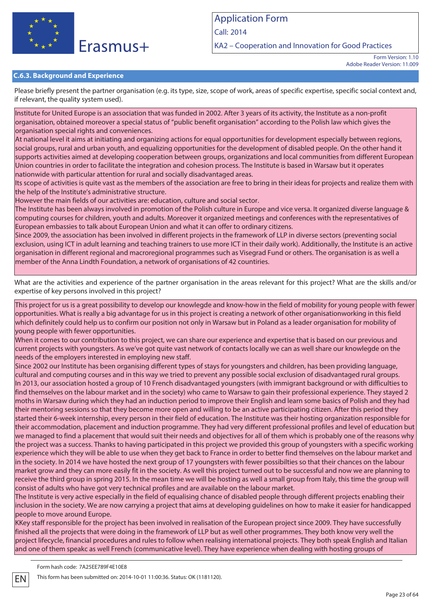

Call: 2014

KA2 – Cooperation and Innovation for Good Practices

### **C.6.3. Background and Experience**

Please briefly present the partner organisation (e.g. its type, size, scope of work, areas of specific expertise, specific social context and, if relevant, the quality system used).

Institute for United Europe is an association that was funded in 2002. After 3 years of its activity, the Institute as a non-profit organisation, obtained moreover a special status of "public benefit organisation" according to the Polish law which gives the  $\vert$ organisation special rights and conveniences.

At national level it aims at initiating and organizing actions for equal opportunities for development especially between regions, social groups, rural and urban youth, and equalizing opportunities for the development of disabled people. On the other hand it supports activities aimed at developing cooperation between groups, organizations and local communities from different European Union countries in order to facilitate the integration and cohesion process. The Institute is based in Warsaw but it operates nationwide with particular attention for rural and socially disadvantaged areas.

Its scope of activities is quite vast as the members of the association are free to bring in their ideas for projects and realize them with the help of the Institute's administrative structure.

However the main fields of our activities are: education, culture and social sector.

The Institute has been always involved in promotion of the Polish culture in Europe and vice versa. It organized diverse language & computing courses for children, youth and adults. Moreover it organized meetings and conferences with the representatives of European embassies to talk about European Union and what it can offer to ordinary citizens.

Since 2009, the association has been involved in different projects in the framework of LLP in diverse sectors (preventing social exclusion, using ICT in adult learning and teaching trainers to use more ICT in their daily work). Additionally, the Institute is an active organisation in different regional and macroregional programmes such as Visegrad Fund or others. The organisation is as well a  $m$ ember of the Anna Lindth Foundation, a network of organisations of 42 countiries.

What are the activities and experience of the partner organisation in the areas relevant for this project? What are the skills and/or expertise of key persons involved in this project?

This project for us is a great possibility to develop our knowlegde and know-how in the field of mobility for young people with fewer opportunities. What is really a big advantage for us in this project is creating a network of other organisationworking in this field which definitely could help us to confirm our position not only in Warsaw but in Poland as a leader organisation for mobility of young people with fewer opportunities.

When it comes to our contribution to this project, we can share our experience and expertise that is based on our previous and current projects with youngsters. As we've got quite vast network of contacts locally we can as well share our knowlegde on the needs of the employers interested in employing new staff.

Since 2002 our Institute has been organising different types of stays for youngsters and children, has been providing language, cultural and computing courses and in this way we tried to prevent any possible social exclusion of disadvantaged rural groups. In 2013, our association hosted a group of 10 French disadvantaged youngsters (with immigrant background or with difficulties to find themselves on the labour market and in the society) who came to Warsaw to gain their professional experience. They stayed 2 moths in Warsaw during which they had an induction period to improve their English and learn some basics of Polish and they had their mentoring sessions so that they become more open and willing to be an active participating citizen. After this period they started their 6-week internship, every person in their field of education. The Institute was their hosting organization responsible for their accommodation, placement and induction programme. They had very different professional profiles and level of education but we managed to find a placement that would suit their needs and objectives for all of them which is probably one of the reasons why the project was a success. Thanks to having participated in this project we provided this group of youngsters with a specific working experience which they will be able to use when they get back to France in order to better find themselves on the labour market and in the society. In 2014 we have hosted the next group of 17 youngsters with fewer possibilties so that their chances on the labour market grow and they can more easily fit in the society. As well this project turned out to be successful and now we are planning to receive the third group in spring 2015. In the mean time we will be hosting as well a small group from Italy, this time the group will consist of adults who have got very technical profiles and are available on the labour market.

The Institute is very active especially in the field of equalising chance of disabled people through different projects enabling their inclusion in the society. We are now carrying a project that aims at developing guidelines on how to make it easier for handicapped people to move around Europe.

KKey staff responsible for the project has been involved in realisation of the European project since 2009. They have successfully finished all the projects that were doing in the framework of LLP but as well other programmes. They both know very well the project lifecycle, financial procedures and rules to follow when realising international projects. They both speak English and Italian and one of them speakc as well French (communicative level). They have experience when dealing with hosting groups of

Form hash code: 7A25EE789F4E10E8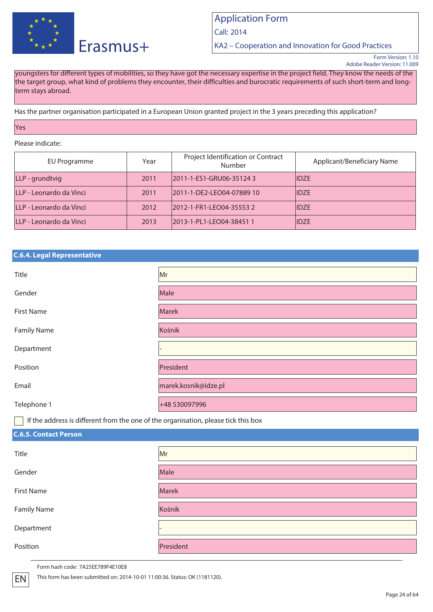

Call: 2014

KA2 – Cooperation and Innovation for Good Practices

Form Version: 1.10 Adobe Reader Version: 11.009

youngsters for different types of mobilities, so they have got the necessary expertise in the project field. They know the needs of the the target group, what kind of problems they encounter, their difficulties and burocratic requirements of such short-term and longterm stays abroad.

Has the partner organisation participated in a European Union granted project in the 3 years preceding this application?

### Yes

### Please indicate:

| EU Programme            | Year | Project Identification or Contract<br>Number | Applicant/Beneficiary Name |
|-------------------------|------|----------------------------------------------|----------------------------|
| LLP - grundtvig         | 2011 | 2011-1-ES1-GRU06-351243                      | <b>IIDZE</b>               |
| LLP - Leonardo da Vinci | 2011 | 2011-1-DE2-LEO04-07889 10                    | <b>IIDZE</b>               |
| LLP - Leonardo da Vinci | 2012 | 2012-1-FR1-LEO04-355532                      | <b>IIDZE</b>               |
| LLP - Leonardo da Vinci | 2013 | 2013-1-PL1-LEO04-384511                      | <b>IIDZE</b>               |

### **C.6.4. Legal Representative**

| Title              | Mr                   |
|--------------------|----------------------|
| Gender             | Male                 |
| <b>First Name</b>  | Marek                |
| <b>Family Name</b> | Kośnik               |
| Department         |                      |
| Position           | President            |
| Email              | marek.kosnik@idze.pl |
| Telephone 1        | +48 530097996        |

If the address is different from the one of the organisation, please tick this box

## **C.6.5. Contact Person**

| Title              | Mr        |
|--------------------|-----------|
| Gender             | Male      |
| <b>First Name</b>  | Marek     |
| <b>Family Name</b> | Kośnik    |
| Department         |           |
| Position           | President |

Form hash code: 7A25EE789F4E10E8

EN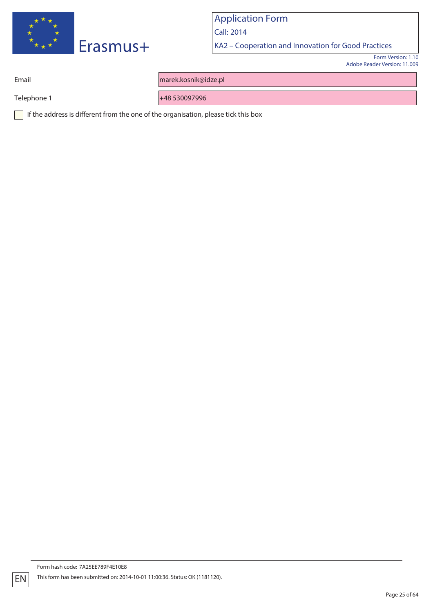

Call: 2014

KA2 – Cooperation and Innovation for Good Practices

Form Version: 1.10 Adobe Reader Version: 11.009

Email marek.kosnik@idze.pl

Telephone 1 +48 530097996

If the address is different from the one of the organisation, please tick this box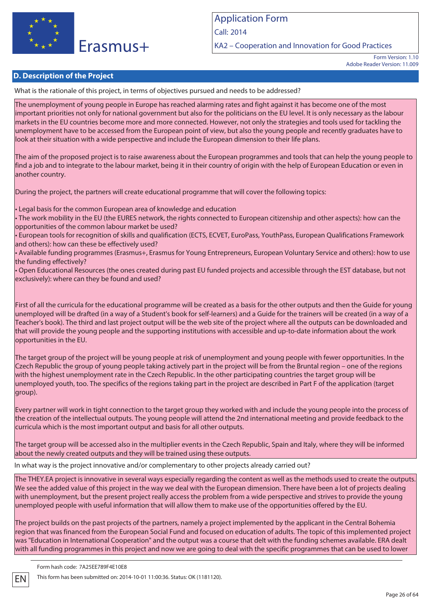

KA2 – Cooperation and Innovation for Good Practices

## **D. Description of the Project**

What is the rationale of this project, in terms of objectives pursued and needs to be addressed?

The unemployment of young people in Europe has reached alarming rates and fight against it has become one of the most important priorities not only for national government but also for the politicians on the EU level. It is only necessary as the labour markets in the EU countries become more and more connected. However, not only the strategies and tools used for tackling the unemployment have to be accessed from the European point of view, but also the young people and recently graduates have to look at their situation with a wide perspective and include the European dimension to their life plans.

The aim of the proposed project is to raise awareness about the European programmes and tools that can help the young people to find a job and to integrate to the labour market, being it in their country of origin with the help of European Education or even in another country.

During the project, the partners will create educational programme that will cover the following topics:

• Legal basis for the common European area of knowledge and education

• The work mobility in the EU (the EURES network, the rights connected to European citizenship and other aspects): how can the opportunities of the common labour market be used?

• European tools for recognition of skills and qualification (ECTS, ECVET, EuroPass, YouthPass, European Qualifications Framework and others): how can these be effectively used?

• Available funding programmes (Erasmus+, Erasmus for Young Entrepreneurs, European Voluntary Service and others): how to use the funding effectively?

• Open Educational Resources (the ones created during past EU funded projects and accessible through the EST database, but not  $\vert$ exclusively): where can thev be found and used?

First of all the curricula for the educational programme will be created as a basis for the other outputs and then the Guide for young unemployed will be drafted (in a way of a Student's book for self-learners) and a Guide for the trainers will be created (in a way of a Teacher's book). The third and last project output will be the web site of the project where all the outputs can be downloaded and that will provide the young people and the supporting institutions with accessible and up-to-date information about the work opportunities in the EU.

The target group of the project will be young people at risk of unemployment and young people with fewer opportunities. In the Czech Republic the group of young people taking actively part in the project will be from the Bruntal region – one of the regions with the highest unemployment rate in the Czech Republic. In the other participating countries the target group will be unemployed youth, too. The specifics of the regions taking part in the project are described in Part F of the application (target group).

Every partner will work in tight connection to the target group they worked with and include the young people into the process of the creation of the intellectual outputs. The young people will attend the 2nd international meeting and provide feedback to the  $|$ curricula which is the most important output and basis for all other outputs.

The target group will be accessed also in the multiplier events in the Czech Republic, Spain and Italy, where they will be informed about the newly created outputs and they will be trained using these outputs.

In what way is the project innovative and/or complementary to other projects already carried out?

The THEY.EA project is innovative in several ways especially regarding the content as well as the methods used to create the outputs. We see the added value of this project in the way we deal with the European dimension. There have been a lot of projects dealing with unemployment, but the present project really access the problem from a wide perspective and strives to provide the young unemployed people with useful information that will allow them to make use of the opportunities offered by the EU.

The project builds on the past projects of the partners, namely a project implemented by the applicant in the Central Bohemia region that was financed from the European Social Fund and focused on education of adults. The topic of this implemented project was "Education in International Cooperation" and the output was a course that delt with the funding schemes available. ERA dealt with all funding programmes in this project and now we are going to deal with the specific programmes that can be used to lower

Form hash code: 7A25EE789F4E10E8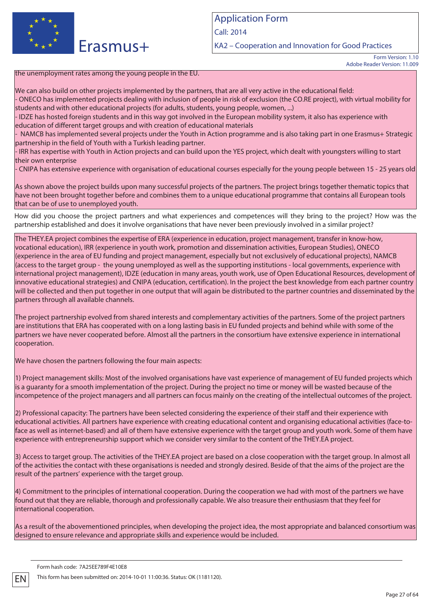

Call: 2014

KA2 – Cooperation and Innovation for Good Practices

Form Version: 1.10 Adobe Reader Version: 11.009

### the unemployment rates among the young people in the EU.

We can also build on other projects implemented by the partners, that are all very active in the educational field:

- ONECO has implemented projects dealing with inclusion of people in risk of exclusion (the CO.RE project), with virtual mobility for students and with other educational projects (for adults, students, young people, women, ...)

- IDZE has hosted foreign students and in this way got involved in the European mobility system, it also has experience with education of different target groups and with creation of educational materials

- NAMCB has implemented several projects under the Youth in Action programme and is also taking part in one Erasmus+ Strategic partnership in the field of Youth with a Turkish leading partner.

- IRR has expertise with Youth in Action projects and can build upon the YES project, which dealt with youngsters willing to start their own enterprise

- CNIPA has extensive experience with organisation of educational courses especially for the young people between 15 - 25 years old

As shown above the project builds upon many successful projects of the partners. The project brings together thematic topics that have not been brought together before and combines them to a unique educational programme that contains all European tools that can be of use to unemployed youth.

How did you choose the project partners and what experiences and competences will they bring to the project? How was the partnership established and does it involve organisations that have never been previously involved in a similar project?

The THEY.EA project combines the expertise of ERA (experience in education, project management, transfer in know-how, vocational education), IRR (experience in youth work, promotion and dissemination activities, European Studies), ONECO (experience in the area of EU funding and project management, especially but not exclusively of educational projects), NAMCB (access to the target group - the young unemployed as well as the supporting institutions - local governments, experience with international project management), IDZE (education in many areas, youth work, use of Open Educational Resources, development of innovative educational strategies) and CNIPA (education, certification). In the project the best knowledge from each partner country will be collected and then put together in one output that will again be distributed to the partner countries and disseminated by the partners through all available channels.

The project partnership evolved from shared interests and complementary activities of the partners. Some of the project partners are institutions that ERA has cooperated with on a long lasting basis in EU funded projects and behind while with some of the partners we have never cooperated before. Almost all the partners in the consortium have extensive experience in international cooperation.

We have chosen the partners following the four main aspects:

1) Project management skills: Most of the involved organisations have vast experience of management of EU funded projects which is a guaranty for a smooth implementation of the project. During the project no time or money will be wasted because of the incompetence of the project managers and all partners can focus mainly on the creating of the intellectual outcomes of the project.

2) Professional capacity: The partners have been selected considering the experience of their staff and their experience with educational activities. All partners have experience with creating educational content and organising educational activities (face-toface as well as internet-based) and all of them have extensive experience with the target group and youth work. Some of them have experience with entrepreneurship support which we consider very similar to the content of the THEY.EA project.

3) Access to target group. The activities of the THEY.EA project are based on a close cooperation with the target group. In almost all of the activities the contact with these organisations is needed and strongly desired. Beside of that the aims of the project are the  $|$ result of the partners' experience with the target group.

4) Commitment to the principles of international cooperation. During the cooperation we had with most of the partners we have found out that they are reliable, thorough and professionally capable. We also treasure their enthusiasm that they feel for international cooperation.

As a result of the abovementioned principles, when developing the project idea, the most appropriate and balanced consortium was designed to ensure relevance and appropriate skills and experience would be included.

Form hash code: 7A25EE789F4E10E8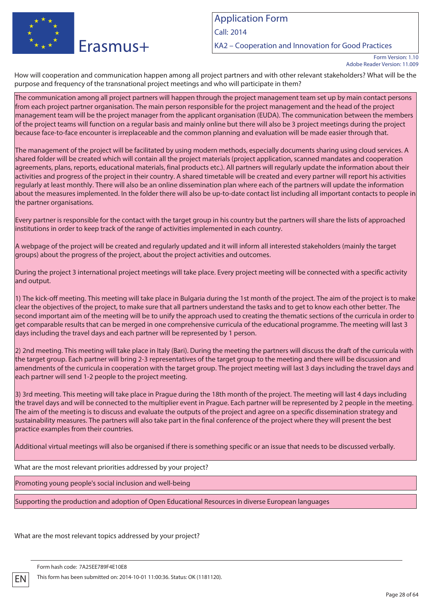

KA2 – Cooperation and Innovation for Good Practices

How will cooperation and communication happen among all project partners and with other relevant stakeholders? What will be the purpose and frequency of the transnational project meetings and who will participate in them?

The communication among all project partners will happen through the project management team set up by main contact persons from each project partner organisation. The main person responsible for the project management and the head of the project management team will be the project manager from the applicant organisation (EUDA). The communication between the members of the project teams will function on a regular basis and mainly online but there will also be 3 project meetings during the project because face-to-face encounter is irreplaceable and the common planning and evaluation will be made easier through that.

The management of the project will be facilitated by using modern methods, especially documents sharing using cloud services. A shared folder will be created which will contain all the project materials (project application, scanned mandates and cooperation agreements, plans, reports, educational materials, final products etc.). All partners will regularly update the information about their activities and progress of the project in their country. A shared timetable will be created and every partner will report his activities regularly at least monthly. There will also be an online dissemination plan where each of the partners will update the information about the measures implemented. In the folder there will also be up-to-date contact list including all important contacts to people in the partner organisations.

Every partner is responsible for the contact with the target group in his country but the partners will share the lists of approached institutions in order to keep track of the range of activities implemented in each country.

A webpage of the project will be created and regularly updated and it will inform all interested stakeholders (mainly the target groups) about the progress of the project, about the project activities and outcomes.

During the project 3 international project meetings will take place. Every project meeting will be connected with a specific activity and output.

1) The kick-off meeting. This meeting will take place in Bulgaria during the 1st month of the project. The aim of the project is to make clear the objectives of the project, to make sure that all partners understand the tasks and to get to know each other better. The second important aim of the meeting will be to unify the approach used to creating the thematic sections of the curricula in order to get comparable results that can be merged in one comprehensive curricula of the educational programme. The meeting will last 3 days including the travel days and each partner will be represented by 1 person.

2) 2nd meeting. This meeting will take place in Italy (Bari). During the meeting the partners will discuss the draft of the curricula with the target group. Each partner will bring 2-3 representatives of the target group to the meeting and there will be discussion and amendments of the curricula in cooperation with the target group. The project meeting will last 3 days including the travel days and each partner will send 1-2 people to the project meeting.

3) 3rd meeting. This meeting will take place in Prague during the 18th month of the project. The meeting will last 4 days including the travel days and will be connected to the multiplier event in Prague. Each partner will be represented by 2 people in the meeting. The aim of the meeting is to discuss and evaluate the outputs of the project and agree on a specific dissemination strategy and sustainability measures. The partners will also take part in the final conference of the project where they will present the best practice examples from their countries.

Additional virtual meetings will also be organised if there is something specific or an issue that needs to be discussed verbally.

What are the most relevant priorities addressed by your project?

Promoting young people's social inclusion and well-being

Supporting the production and adoption of Open Educational Resources in diverse European languages

What are the most relevant topics addressed by your project?

Form hash code: 7A25EE789F4E10E8

Form Version: 1.10 Adobe Reader Version: 11.009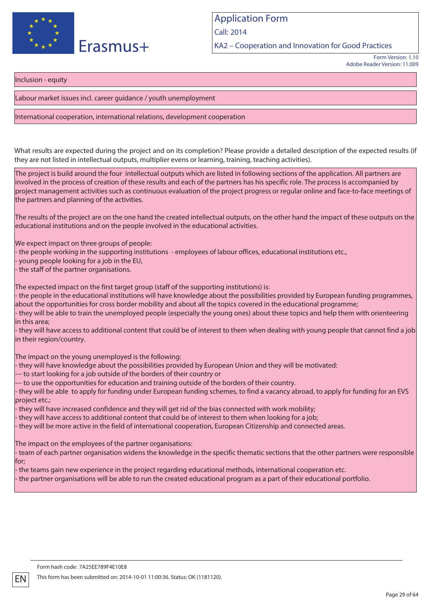

KA2 – Cooperation and Innovation for Good Practices

Form Version: 1.10 Adobe Reader Version: 11.009

Inclusion - equity

Labour market issues incl. career guidance / youth unemployment

### International cooperation, international relations, development cooperation

What results are expected during the project and on its completion? Please provide a detailed description of the expected results (if they are not listed in intellectual outputs, multiplier evens or learning, training, teaching activities).

The project is build around the four intellectual outputs which are listed in following sections of the application. All partners are involved in the process of creation of these results and each of the partners has his specific role. The process is accompanied by project management activities such as continuous evaluation of the project progress or regular online and face-to-face meetings of the partners and planning of the activities.

The results of the project are on the one hand the created intellectual outputs, on the other hand the impact of these outputs on the educational institutions and on the people involved in the educational activities.

We expect impact on three groups of people:

- the people working in the supporting institutions - employees of labour offices, educational institutions etc.,

young people looking for a job in the EU,

- the staff of the partner organisations.

The expected impact on the first target group (staff of the supporting institutions) is:

- the people in the educational institutions will have knowledge about the possibilities provided by European funding programmes, about the opportunities for cross border mobility and about all the topics covered in the educational programme;

- they will be able to train the unemployed people (especially the young ones) about these topics and help them with orienteering in this area;

- they will have access to additional content that could be of interest to them when dealing with young people that cannot find a job in their region/country.

The impact on the young unemployed is the following:

- they will have knowledge about the possibilities provided by European Union and they will be motivated:

--- to start looking for a job outside of the borders of their country or

--- to use the opportunities for education and training outside of the borders of their country.

- they will be able to apply for funding under European funding schemes, to find a vacancy abroad, to apply for funding for an EVS project etc.;

- they will have increased confidence and they will get rid of the bias connected with work mobility;

- they will have access to additional content that could be of interest to them when looking for a job;

- they will be more active in the field of international cooperation, European Citizenship and connected areas.

The impact on the employees of the partner organisations:

- team of each partner organisation widens the knowledge in the specific thematic sections that the other partners were responsible for;

- the teams gain new experience in the project regarding educational methods, international cooperation etc.

- the partner organisations will be able to run the created educational program as a part of their educational portfolio.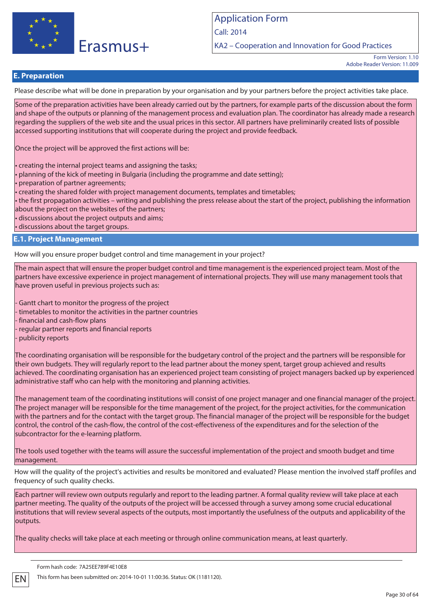

Call: 2014

KA2 – Cooperation and Innovation for Good Practices

Form Version: 1.10 Adobe Reader Version: 11.009

## **E. Preparation**

Please describe what will be done in preparation by your organisation and by your partners before the project activities take place.

Some of the preparation activities have been already carried out by the partners, for example parts of the discussion about the form and shape of the outputs or planning of the management process and evaluation plan. The coordinator has already made a research regarding the suppliers of the web site and the usual prices in this sector. All partners have preliminarily created lists of possible accessed supporting institutions that will cooperate during the project and provide feedback.

Once the project will be approved the first actions will be:

• creating the internal project teams and assigning the tasks;

• planning of the kick of meeting in Bulgaria (including the programme and date setting);

• preparation of partner agreements;

• creating the shared folder with project management documents, templates and timetables;

• the first propagation activities – writing and publishing the press release about the start of the project, publishing the information about the project on the websites of the partners;

• discussions about the project outputs and aims;

• discussions about the target groups.

### **E.1. Project Management**

How will you ensure proper budget control and time management in your project?

The main aspect that will ensure the proper budget control and time management is the experienced project team. Most of the partners have excessive experience in project management of international projects. They will use many management tools that have proven useful in previous projects such as:

- Gantt chart to monitor the progress of the project

- timetables to monitor the activities in the partner countries

- financial and cash-flow plans

- regular partner reports and financial reports

- publicity reports

The coordinating organisation will be responsible for the budgetary control of the project and the partners will be responsible for their own budgets. They will regularly report to the lead partner about the money spent, target group achieved and results achieved. The coordinating organisation has an experienced project team consisting of project managers backed up by experienced administrative staff who can help with the monitoring and planning activities.

The management team of the coordinating institutions will consist of one project manager and one financial manager of the project. The project manager will be responsible for the time management of the project, for the project activities, for the communication with the partners and for the contact with the target group. The financial manager of the project will be responsible for the budget control, the control of the cash-flow, the control of the cost-effectiveness of the expenditures and for the selection of the subcontractor for the e-learning platform.

The tools used together with the teams will assure the successful implementation of the project and smooth budget and time management.

How will the quality of the project's activities and results be monitored and evaluated? Please mention the involved staff profiles and frequency of such quality checks.

Each partner will review own outputs regularly and report to the leading partner. A formal quality review will take place at each partner meeting. The quality of the outputs of the project will be accessed through a survey among some crucial educational institutions that will review several aspects of the outputs, most importantly the usefulness of the outputs and applicability of the outputs.

The quality checks will take place at each meeting or through online communication means, at least quarterly.

#### Form hash code: 7A25EE789F4E10E8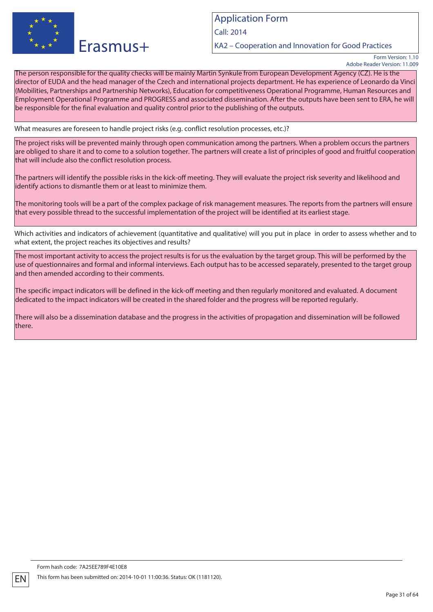

Call: 2014

KA2 – Cooperation and Innovation for Good Practices

Form Version: 1.10 Adobe Reader Version: 11.009

The person responsible for the quality checks will be mainly Martin Synkule from European Development Agency (CZ). He is the director of EUDA and the head manager of the Czech and international projects department. He has experience of Leonardo da Vinci (Mobilities, Partnerships and Partnership Networks), Education for competitiveness Operational Programme, Human Resources and Employment Operational Programme and PROGRESS and associated dissemination. After the outputs have been sent to ERA, he will be responsible for the final evaluation and quality control prior to the publishing of the outputs.

What measures are foreseen to handle project risks (e.g. conflict resolution processes, etc.)?

The project risks will be prevented mainly through open communication among the partners. When a problem occurs the partners are obliged to share it and to come to a solution together. The partners will create a list of principles of good and fruitful cooperation that will include also the conflict resolution process.

The partners will identify the possible risks in the kick-off meeting. They will evaluate the project risk severity and likelihood and identify actions to dismantle them or at least to minimize them.

The monitoring tools will be a part of the complex package of risk management measures. The reports from the partners will ensure that every possible thread to the successful implementation of the project will be identified at its earliest stage.

Which activities and indicators of achievement (quantitative and qualitative) will you put in place in order to assess whether and to what extent, the project reaches its objectives and results?

The most important activity to access the project results is for us the evaluation by the target group. This will be performed by the use of questionnaires and formal and informal interviews. Each output has to be accessed separately, presented to the target group and then amended according to their comments.

The specific impact indicators will be defined in the kick-off meeting and then regularly monitored and evaluated. A document dedicated to the impact indicators will be created in the shared folder and the progress will be reported regularly.

There will also be a dissemination database and the progress in the activities of propagation and dissemination will be followed there.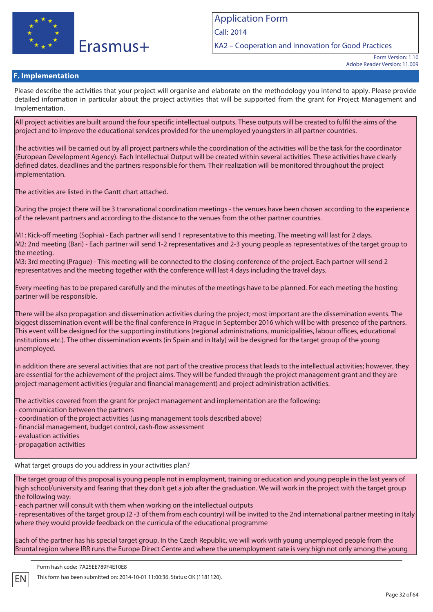

KA2 – Cooperation and Innovation for Good Practices

### **F. Implementation**

Please describe the activities that your project will organise and elaborate on the methodology you intend to apply. Please provide detailed information in particular about the project activities that will be supported from the grant for Project Management and Implementation.

All project activities are built around the four specific intellectual outputs. These outputs will be created to fulfil the aims of the project and to improve the educational services provided for the unemployed youngsters in all partner countries.

The activities will be carried out by all project partners while the coordination of the activities will be the task for the coordinator (European Development Agency). Each Intellectual Output will be created within several activities. These activities have clearly defined dates, deadlines and the partners responsible for them. Their realization will be monitored throughout the project implementation.

The activities are listed in the Gantt chart attached.

During the project there will be 3 transnational coordination meetings - the venues have been chosen according to the experience of the relevant partners and according to the distance to the venues from the other partner countries.

M1: Kick-off meeting (Sophia) - Each partner will send 1 representative to this meeting. The meeting will last for 2 days. M2: 2nd meeting (Bari) - Each partner will send 1-2 representatives and 2-3 young people as representatives of the target group to the meeting.

M3: 3rd meeting (Prague) - This meeting will be connected to the closing conference of the project. Each partner will send 2 representatives and the meeting together with the conference will last 4 days including the travel days.

Every meeting has to be prepared carefully and the minutes of the meetings have to be planned. For each meeting the hosting partner will be responsible.

There will be also propagation and dissemination activities during the project; most important are the dissemination events. The biggest dissemination event will be the final conference in Prague in September 2016 which will be with presence of the partners. This event will be designed for the supporting institutions (regional administrations, municipalities, labour offices, educational institutions etc.). The other dissemination events (in Spain and in Italy) will be designed for the target group of the young unemployed.

In addition there are several activities that are not part of the creative process that leads to the intellectual activities; however, they are essential for the achievement of the project aims. They will be funded through the project management grant and they are project management activities (regular and financial management) and project administration activities.

The activities covered from the grant for project management and implementation are the following: - communication between the partners - coordination of the project activities (using management tools described above) - financial management, budget control, cash-flow assessment evaluation activities

- propagation activities

What target groups do you address in your activities plan?

The target group of this proposal is young people not in employment, training or education and young people in the last years of high school/university and fearing that they don't get a job after the graduation. We will work in the project with the target group the following way:

- each partner will consult with them when working on the intellectual outputs

- representatives of the target group (2 -3 of them from each country) will be invited to the 2nd international partner meeting in Italy where they would provide feedback on the curricula of the educational programme

Each of the partner has his special target group. In the Czech Republic, we will work with young unemployed people from the Bruntal region where IRR runs the Europe Direct Centre and where the unemployment rate is very high not only among the young

Form hash code: 7A25EE789F4E10E8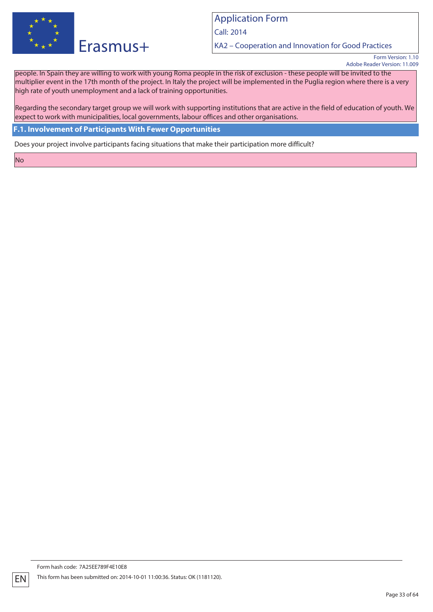

Call: 2014

KA2 – Cooperation and Innovation for Good Practices

Form Version: 1.10 Adobe Reader Version: 11.009

people. In Spain they are willing to work with young Roma people in the risk of exclusion - these people will be invited to the multiplier event in the 17th month of the project. In Italy the project will be implemented in the Puglia region where there is a very high rate of youth unemployment and a lack of training opportunities.

Regarding the secondary target group we will work with supporting institutions that are active in the field of education of youth. We expect to work with municipalities, local governments, labour offices and other organisations.

**F.1. Involvement of Participants With Fewer Opportunities**

Does your project involve participants facing situations that make their participation more difficult?

No

EN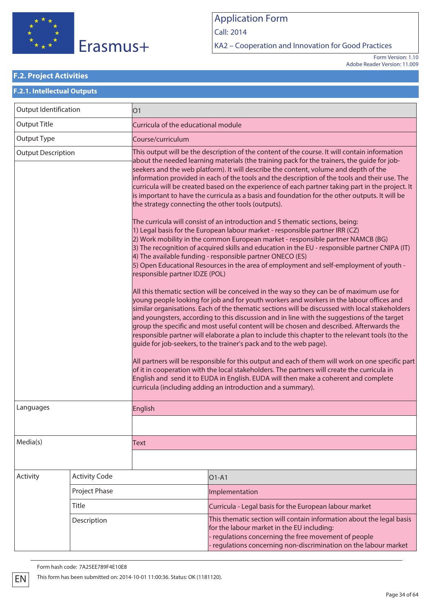

Call: 2014

KA2 – Cooperation and Innovation for Good Practices

Form Version: 1.10 Adobe Reader Version: 11.009

### **F.2. Project Activities**

## **F.2.1. Intellectual Outputs** Output Identification  $\vert$  01 Output Title Curricula of the educational module Output Type Course/curriculum Output Description This output will be the description of the content of the course. It will contain information about the needed learning materials (the training pack for the trainers, the guide for jobseekers and the web platform). It will describe the content, volume and depth of the information provided in each of the tools and the description of the tools and their use. The curricula will be created based on the experience of each partner taking part in the project. It is important to have the curricula as a basis and foundation for the other outputs. It will be the strategy connecting the other tools (outputs). The curricula will consist of an introduction and 5 thematic sections, being: 1) Legal basis for the European labour market - responsible partner IRR (CZ) 2) Work mobility in the common European market - responsible partner NAMCB (BG) 3) The recognition of acquired skills and education in the EU - responsible partner CNIPA (IT) 4) The available funding - responsible partner ONECO (ES) 5) Open Educational Resources in the area of employment and self-employment of youth responsible partner IDZE (POL) All this thematic section will be conceived in the way so they can be of maximum use for young people looking for job and for youth workers and workers in the labour offices and similar organisations. Each of the thematic sections will be discussed with local stakeholders and youngsters, according to this discussion and in line with the suggestions of the target group the specific and most useful content will be chosen and described. Afterwards the responsible partner will elaborate a plan to include this chapter to the relevant tools (to the guide for job-seekers, to the trainer's pack and to the web page). All partners will be responsible for this output and each of them will work on one specific part of it in cooperation with the local stakeholders. The partners will create the curricula in English and send it to EUDA in English. EUDA will then make a coherent and complete curricula (including adding an introduction and a summary). Languages **English** Media(s) Text Activity Activity Code **CONTEX 101-A1** Project Phase Implementation Title Curricula - Legal basis for the European labour market Description **This thematic section will contain information about the legal basis** for the labour market in the EU including: - regulations concerning the free movement of people - regulations concerning non-discrimination on the labour market

Form hash code: 7A25EE789F4E10E8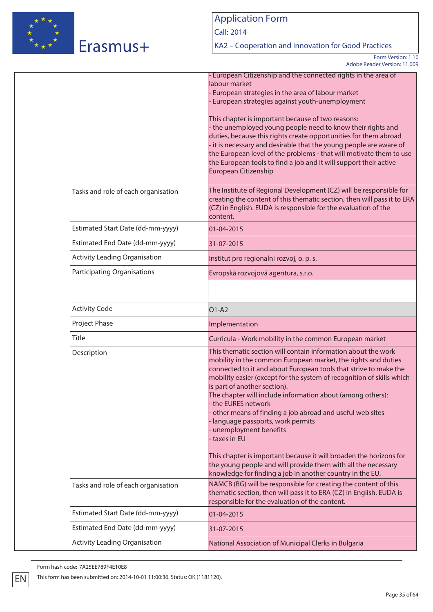

# Erasmus+

# Application Form

Call: 2014

KA2 – Cooperation and Innovation for Good Practices

Form Version: 1.10 Adobe Reader Version: 11.009

|                                      | - European Citizenship and the connected rights in the area of<br>labour market<br>European strategies in the area of labour market<br>European strategies against youth-unemployment<br>This chapter is important because of two reasons:<br>the unemployed young people need to know their rights and<br>duties, because this rights create opportunities for them abroad<br>it is necessary and desirable that the young people are aware of<br>the European level of the problems - that will motivate them to use<br>the European tools to find a job and it will support their active<br>European Citizenship                                                                                                                        |
|--------------------------------------|--------------------------------------------------------------------------------------------------------------------------------------------------------------------------------------------------------------------------------------------------------------------------------------------------------------------------------------------------------------------------------------------------------------------------------------------------------------------------------------------------------------------------------------------------------------------------------------------------------------------------------------------------------------------------------------------------------------------------------------------|
| Tasks and role of each organisation  | The Institute of Regional Development (CZ) will be responsible for<br>creating the content of this thematic section, then will pass it to ERA<br>(CZ) in English. EUDA is responsible for the evaluation of the<br>content.                                                                                                                                                                                                                                                                                                                                                                                                                                                                                                                |
| Estimated Start Date (dd-mm-yyyy)    | 01-04-2015                                                                                                                                                                                                                                                                                                                                                                                                                                                                                                                                                                                                                                                                                                                                 |
| Estimated End Date (dd-mm-yyyy)      | 31-07-2015                                                                                                                                                                                                                                                                                                                                                                                                                                                                                                                                                                                                                                                                                                                                 |
| <b>Activity Leading Organisation</b> | Institut pro regionalni rozvoj, o. p. s.                                                                                                                                                                                                                                                                                                                                                                                                                                                                                                                                                                                                                                                                                                   |
| <b>Participating Organisations</b>   | Evropská rozvojová agentura, s.r.o.                                                                                                                                                                                                                                                                                                                                                                                                                                                                                                                                                                                                                                                                                                        |
| <b>Activity Code</b>                 | $O1-A2$                                                                                                                                                                                                                                                                                                                                                                                                                                                                                                                                                                                                                                                                                                                                    |
| Project Phase                        | Implementation                                                                                                                                                                                                                                                                                                                                                                                                                                                                                                                                                                                                                                                                                                                             |
| Title                                | Curricula - Work mobility in the common European market                                                                                                                                                                                                                                                                                                                                                                                                                                                                                                                                                                                                                                                                                    |
| Description                          | This thematic section will contain information about the work<br>mobility in the common European market, the rights and duties<br>connected to it and about European tools that strive to make the<br>mobility easier (except for the system of recognition of skills which<br>is part of another section).<br>The chapter will include information about (among others):<br>the EURES network<br>other means of finding a job abroad and useful web sites<br>language passports, work permits<br>unemployment benefits<br>taxes in EU<br>This chapter is important because it will broaden the horizons for<br>the young people and will provide them with all the necessary<br>knowledge for finding a job in another country in the EU. |
| Tasks and role of each organisation  | NAMCB (BG) will be responsible for creating the content of this<br>thematic section, then will pass it to ERA (CZ) in English. EUDA is<br>responsible for the evaluation of the content.                                                                                                                                                                                                                                                                                                                                                                                                                                                                                                                                                   |
| Estimated Start Date (dd-mm-yyyy)    | 01-04-2015                                                                                                                                                                                                                                                                                                                                                                                                                                                                                                                                                                                                                                                                                                                                 |
| Estimated End Date (dd-mm-yyyy)      | 31-07-2015                                                                                                                                                                                                                                                                                                                                                                                                                                                                                                                                                                                                                                                                                                                                 |
| <b>Activity Leading Organisation</b> | National Association of Municipal Clerks in Bulgaria                                                                                                                                                                                                                                                                                                                                                                                                                                                                                                                                                                                                                                                                                       |

Form hash code: 7A25EE789F4E10E8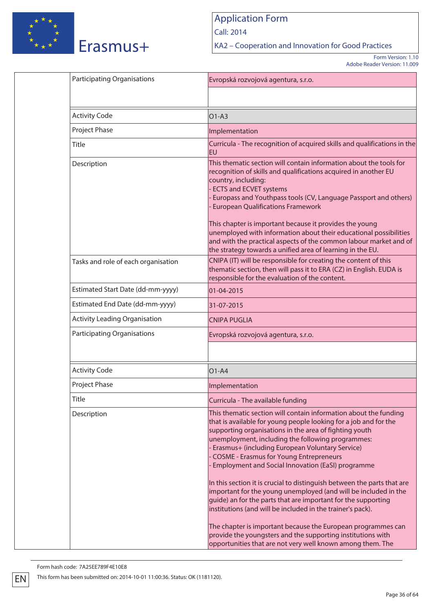

Call: 2014

KA2 – Cooperation and Innovation for Good Practices

Form Version: 1.10 Adobe Reader Version: 11.009

| <b>Participating Organisations</b>   | Evropská rozvojová agentura, s.r.o.                                                                                                                                                                                                                                                                                                                                                                                                                                                                                                                                             |
|--------------------------------------|---------------------------------------------------------------------------------------------------------------------------------------------------------------------------------------------------------------------------------------------------------------------------------------------------------------------------------------------------------------------------------------------------------------------------------------------------------------------------------------------------------------------------------------------------------------------------------|
|                                      |                                                                                                                                                                                                                                                                                                                                                                                                                                                                                                                                                                                 |
| <b>Activity Code</b>                 | $O1-A3$                                                                                                                                                                                                                                                                                                                                                                                                                                                                                                                                                                         |
| Project Phase                        | Implementation                                                                                                                                                                                                                                                                                                                                                                                                                                                                                                                                                                  |
| Title                                | Curricula - The recognition of acquired skills and qualifications in the<br>EU                                                                                                                                                                                                                                                                                                                                                                                                                                                                                                  |
| Description                          | This thematic section will contain information about the tools for<br>recognition of skills and qualifications acquired in another EU<br>country, including:<br><b>ECTS and ECVET systems</b><br>Europass and Youthpass tools (CV, Language Passport and others)<br><b>European Qualifications Framework</b><br>This chapter is important because it provides the young<br>unemployed with information about their educational possibilities<br>and with the practical aspects of the common labour market and of<br>the strategy towards a unified area of learning in the EU. |
| Tasks and role of each organisation  | CNIPA (IT) will be responsible for creating the content of this<br>thematic section, then will pass it to ERA (CZ) in English. EUDA is<br>responsible for the evaluation of the content.                                                                                                                                                                                                                                                                                                                                                                                        |
| Estimated Start Date (dd-mm-yyyy)    | 01-04-2015                                                                                                                                                                                                                                                                                                                                                                                                                                                                                                                                                                      |
| Estimated End Date (dd-mm-yyyy)      | 31-07-2015                                                                                                                                                                                                                                                                                                                                                                                                                                                                                                                                                                      |
| <b>Activity Leading Organisation</b> | <b>CNIPA PUGLIA</b>                                                                                                                                                                                                                                                                                                                                                                                                                                                                                                                                                             |
| <b>Participating Organisations</b>   | Evropská rozvojová agentura, s.r.o.                                                                                                                                                                                                                                                                                                                                                                                                                                                                                                                                             |
|                                      |                                                                                                                                                                                                                                                                                                                                                                                                                                                                                                                                                                                 |
| <b>Activity Code</b>                 | $O1-A4$                                                                                                                                                                                                                                                                                                                                                                                                                                                                                                                                                                         |
| Project Phase                        | Implementation                                                                                                                                                                                                                                                                                                                                                                                                                                                                                                                                                                  |
| Title                                | Curricula - The available funding                                                                                                                                                                                                                                                                                                                                                                                                                                                                                                                                               |
| Description                          | This thematic section will contain information about the funding<br>that is available for young people looking for a job and for the<br>supporting organisations in the area of fighting youth<br>unemployment, including the following programmes:<br>Erasmus+ (including European Voluntary Service)<br><b>COSME - Erasmus for Young Entrepreneurs</b><br>Employment and Social Innovation (EaSI) programme<br>In this section it is crucial to distinguish between the parts that are<br>important for the young unemployed (and will be included in the                     |
|                                      | guide) an for the parts that are important for the supporting<br>institutions (and will be included in the trainer's pack).<br>The chapter is important because the European programmes can<br>provide the youngsters and the supporting institutions with<br>opportunities that are not very well known among them. The                                                                                                                                                                                                                                                        |

Form hash code: 7A25EE789F4E10E8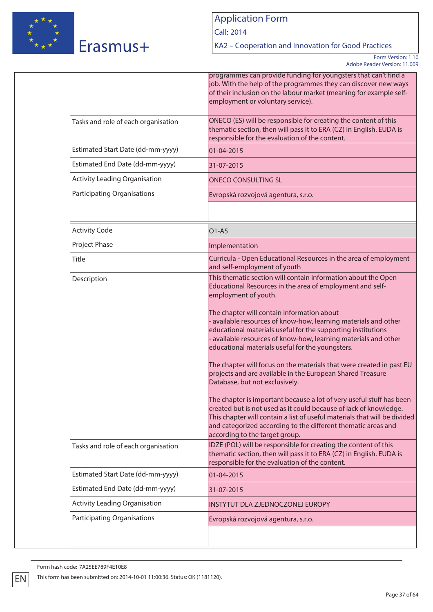

Call: 2014

KA2 – Cooperation and Innovation for Good Practices

Form Version: 1.10 Adobe Reader Version: 11.009

|                                      | programmes can provide funding for youngsters that can't find a<br>job. With the help of the programmes they can discover new ways<br>of their inclusion on the labour market (meaning for example self-<br>employment or voluntary service).                                                                                                                                                                                                                                                                                                                                                                                                                                                                                                                                                                                                                                                                                                                                                                                      |
|--------------------------------------|------------------------------------------------------------------------------------------------------------------------------------------------------------------------------------------------------------------------------------------------------------------------------------------------------------------------------------------------------------------------------------------------------------------------------------------------------------------------------------------------------------------------------------------------------------------------------------------------------------------------------------------------------------------------------------------------------------------------------------------------------------------------------------------------------------------------------------------------------------------------------------------------------------------------------------------------------------------------------------------------------------------------------------|
| Tasks and role of each organisation  | ONECO (ES) will be responsible for creating the content of this<br>thematic section, then will pass it to ERA (CZ) in English. EUDA is<br>responsible for the evaluation of the content.                                                                                                                                                                                                                                                                                                                                                                                                                                                                                                                                                                                                                                                                                                                                                                                                                                           |
| Estimated Start Date (dd-mm-yyyy)    | 01-04-2015                                                                                                                                                                                                                                                                                                                                                                                                                                                                                                                                                                                                                                                                                                                                                                                                                                                                                                                                                                                                                         |
| Estimated End Date (dd-mm-yyyy)      | 31-07-2015                                                                                                                                                                                                                                                                                                                                                                                                                                                                                                                                                                                                                                                                                                                                                                                                                                                                                                                                                                                                                         |
| <b>Activity Leading Organisation</b> | <b>ONECO CONSULTING SL</b>                                                                                                                                                                                                                                                                                                                                                                                                                                                                                                                                                                                                                                                                                                                                                                                                                                                                                                                                                                                                         |
| <b>Participating Organisations</b>   | Evropská rozvojová agentura, s.r.o.                                                                                                                                                                                                                                                                                                                                                                                                                                                                                                                                                                                                                                                                                                                                                                                                                                                                                                                                                                                                |
| <b>Activity Code</b>                 | $O1 - A5$                                                                                                                                                                                                                                                                                                                                                                                                                                                                                                                                                                                                                                                                                                                                                                                                                                                                                                                                                                                                                          |
| Project Phase                        | Implementation                                                                                                                                                                                                                                                                                                                                                                                                                                                                                                                                                                                                                                                                                                                                                                                                                                                                                                                                                                                                                     |
| Title                                | Curricula - Open Educational Resources in the area of employment<br>and self-employment of youth                                                                                                                                                                                                                                                                                                                                                                                                                                                                                                                                                                                                                                                                                                                                                                                                                                                                                                                                   |
| Description                          | This thematic section will contain information about the Open<br>Educational Resources in the area of employment and self-<br>employment of youth.<br>The chapter will contain information about<br>- available resources of know-how, learning materials and other<br>educational materials useful for the supporting institutions<br>- available resources of know-how, learning materials and other<br>educational materials useful for the youngsters.<br>The chapter will focus on the materials that were created in past EU<br>projects and are available in the European Shared Treasure<br>Database, but not exclusively.<br>The chapter is important because a lot of very useful stuff has been<br>created but is not used as it could because of lack of knowledge.<br>This chapter will contain a list of useful materials that will be divided<br>and categorized according to the different thematic areas and<br>according to the target group.<br>IDZE (POL) will be responsible for creating the content of this |
| Tasks and role of each organisation  | thematic section, then will pass it to ERA (CZ) in English. EUDA is<br>responsible for the evaluation of the content.                                                                                                                                                                                                                                                                                                                                                                                                                                                                                                                                                                                                                                                                                                                                                                                                                                                                                                              |
| Estimated Start Date (dd-mm-yyyy)    | 01-04-2015                                                                                                                                                                                                                                                                                                                                                                                                                                                                                                                                                                                                                                                                                                                                                                                                                                                                                                                                                                                                                         |
| Estimated End Date (dd-mm-yyyy)      | 31-07-2015                                                                                                                                                                                                                                                                                                                                                                                                                                                                                                                                                                                                                                                                                                                                                                                                                                                                                                                                                                                                                         |
| <b>Activity Leading Organisation</b> | INSTYTUT DLA ZJEDNOCZONEJ EUROPY                                                                                                                                                                                                                                                                                                                                                                                                                                                                                                                                                                                                                                                                                                                                                                                                                                                                                                                                                                                                   |
| <b>Participating Organisations</b>   | Evropská rozvojová agentura, s.r.o.                                                                                                                                                                                                                                                                                                                                                                                                                                                                                                                                                                                                                                                                                                                                                                                                                                                                                                                                                                                                |

Form hash code: 7A25EE789F4E10E8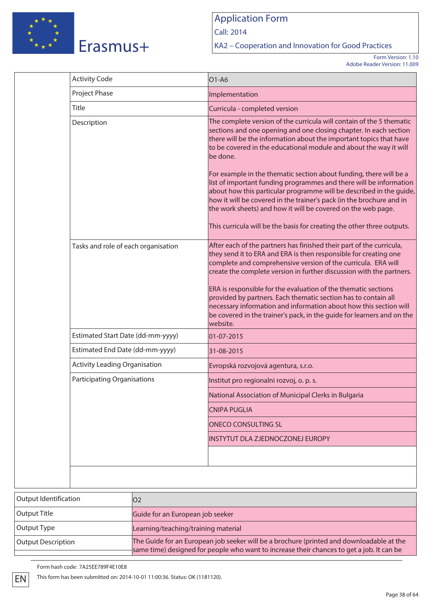

Call: 2014

KA2 – Cooperation and Innovation for Good Practices

Form Version: 1.10 Adobe Reader Version: 11.009

|                       | <b>Activity Code</b>                 | O1-A6                                                                                                                                                                                                                                                                                                                                                                                                                                                                                                                                                                            |
|-----------------------|--------------------------------------|----------------------------------------------------------------------------------------------------------------------------------------------------------------------------------------------------------------------------------------------------------------------------------------------------------------------------------------------------------------------------------------------------------------------------------------------------------------------------------------------------------------------------------------------------------------------------------|
|                       | Project Phase                        | Implementation                                                                                                                                                                                                                                                                                                                                                                                                                                                                                                                                                                   |
|                       | Title                                | Curricula - completed version                                                                                                                                                                                                                                                                                                                                                                                                                                                                                                                                                    |
|                       | Description                          | The complete version of the curricula will contain of the 5 thematic<br>sections and one opening and one closing chapter. In each section<br>there will be the information about the important topics that have<br>to be covered in the educational module and about the way it will<br>be done.                                                                                                                                                                                                                                                                                 |
|                       |                                      | For example in the thematic section about funding, there will be a<br>list of important funding programmes and there will be information<br>about how this particular programme will be described in the guide,<br>how it will be covered in the trainer's pack (in the brochure and in<br>the work sheets) and how it will be covered on the web page.                                                                                                                                                                                                                          |
|                       |                                      | This curricula will be the basis for creating the other three outputs.                                                                                                                                                                                                                                                                                                                                                                                                                                                                                                           |
|                       | Tasks and role of each organisation  | After each of the partners has finished their part of the curricula,<br>they send it to ERA and ERA is then responsible for creating one<br>complete and comprehensive version of the curricula. ERA will<br>create the complete version in further discussion with the partners.<br>ERA is responsible for the evaluation of the thematic sections<br>provided by partners. Each thematic section has to contain all<br>necessary information and information about how this section will<br>be covered in the trainer's pack, in the guide for learners and on the<br>website. |
|                       | Estimated Start Date (dd-mm-yyyy)    | 01-07-2015                                                                                                                                                                                                                                                                                                                                                                                                                                                                                                                                                                       |
|                       | Estimated End Date (dd-mm-yyyy)      | 31-08-2015                                                                                                                                                                                                                                                                                                                                                                                                                                                                                                                                                                       |
|                       | <b>Activity Leading Organisation</b> | Evropská rozvojová agentura, s.r.o.                                                                                                                                                                                                                                                                                                                                                                                                                                                                                                                                              |
|                       | <b>Participating Organisations</b>   | Institut pro regionalni rozvoj, o. p. s.                                                                                                                                                                                                                                                                                                                                                                                                                                                                                                                                         |
|                       |                                      | National Association of Municipal Clerks in Bulgaria                                                                                                                                                                                                                                                                                                                                                                                                                                                                                                                             |
|                       |                                      | <b>CNIPA PUGLIA</b>                                                                                                                                                                                                                                                                                                                                                                                                                                                                                                                                                              |
|                       |                                      | <b>ONECO CONSULTING SL</b>                                                                                                                                                                                                                                                                                                                                                                                                                                                                                                                                                       |
|                       |                                      | <b>INSTYTUT DLA ZJEDNOCZONEJ EUROPY</b>                                                                                                                                                                                                                                                                                                                                                                                                                                                                                                                                          |
|                       |                                      |                                                                                                                                                                                                                                                                                                                                                                                                                                                                                                                                                                                  |
|                       |                                      |                                                                                                                                                                                                                                                                                                                                                                                                                                                                                                                                                                                  |
| Output Identification | O <sub>2</sub>                       |                                                                                                                                                                                                                                                                                                                                                                                                                                                                                                                                                                                  |

| Output Identification | <b>O2</b>                                                                                                                                                                             |
|-----------------------|---------------------------------------------------------------------------------------------------------------------------------------------------------------------------------------|
| Output Title          | Guide for an European job seeker                                                                                                                                                      |
| Output Type           | Learning/teaching/training material                                                                                                                                                   |
| Output Description    | The Guide for an European job seeker will be a brochure (printed and downloadable at the<br>same time) designed for people who want to increase their chances to get a job. It can be |
|                       |                                                                                                                                                                                       |

Form hash code: 7A25EE789F4E10E8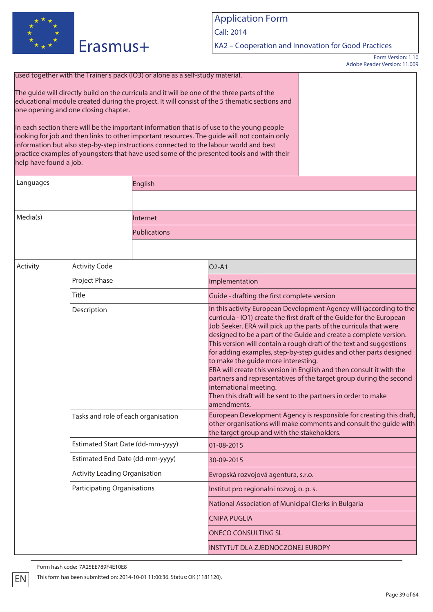

Call: 2014

KA2 – Cooperation and Innovation for Good Practices

Form Version: 1.10 Adobe Reader Version: 11.009

| used together with the Trainer's pack (IO3) or alone as a self-study material. |  |  |  |  |  |
|--------------------------------------------------------------------------------|--|--|--|--|--|
|--------------------------------------------------------------------------------|--|--|--|--|--|

The guide will directly build on the curricula and it will be one of the three parts of the educational module created during the project. It will consist of the 5 thematic sections and one opening and one closing chapter.

In each section there will be the important information that is of use to the young people looking for job and then links to other important resources. The guide will not contain only information but also step-by-step instructions connected to the labour world and best practice examples of youngsters that have used some of the presented tools and with their help have found a job.

| Languages | English      |  |
|-----------|--------------|--|
|           |              |  |
|           |              |  |
| Media(s)  | Internet     |  |
|           | Publications |  |
|           |              |  |

| <b>Activity Code</b><br>Activity     | O <sub>2</sub> -A <sub>1</sub>                                                                                                                                                                                                                                                                                                                                                                                                                                                                                                                                                                                                                                                                                                    |
|--------------------------------------|-----------------------------------------------------------------------------------------------------------------------------------------------------------------------------------------------------------------------------------------------------------------------------------------------------------------------------------------------------------------------------------------------------------------------------------------------------------------------------------------------------------------------------------------------------------------------------------------------------------------------------------------------------------------------------------------------------------------------------------|
| Project Phase                        | Implementation                                                                                                                                                                                                                                                                                                                                                                                                                                                                                                                                                                                                                                                                                                                    |
| Title                                | Guide - drafting the first complete version                                                                                                                                                                                                                                                                                                                                                                                                                                                                                                                                                                                                                                                                                       |
| Description                          | In this activity European Development Agency will (according to the<br>curricula - IO1) create the first draft of the Guide for the European<br>Job Seeker. ERA will pick up the parts of the curricula that were<br>designed to be a part of the Guide and create a complete version.<br>This version will contain a rough draft of the text and suggestions<br>for adding examples, step-by-step guides and other parts designed<br>to make the guide more interesting.<br>ERA will create this version in English and then consult it with the<br>partners and representatives of the target group during the second<br>international meeting.<br>Then this draft will be sent to the partners in order to make<br>amendments. |
| Tasks and role of each organisation  | European Development Agency is responsible for creating this draft,<br>other organisations will make comments and consult the guide with<br>the target group and with the stakeholders.                                                                                                                                                                                                                                                                                                                                                                                                                                                                                                                                           |
| Estimated Start Date (dd-mm-yyyy)    | 01-08-2015                                                                                                                                                                                                                                                                                                                                                                                                                                                                                                                                                                                                                                                                                                                        |
| Estimated End Date (dd-mm-yyyy)      | 30-09-2015                                                                                                                                                                                                                                                                                                                                                                                                                                                                                                                                                                                                                                                                                                                        |
| <b>Activity Leading Organisation</b> | Evropská rozvojová agentura, s.r.o.                                                                                                                                                                                                                                                                                                                                                                                                                                                                                                                                                                                                                                                                                               |
| <b>Participating Organisations</b>   | Institut pro regionalni rozvoj, o. p. s.                                                                                                                                                                                                                                                                                                                                                                                                                                                                                                                                                                                                                                                                                          |
|                                      | National Association of Municipal Clerks in Bulgaria                                                                                                                                                                                                                                                                                                                                                                                                                                                                                                                                                                                                                                                                              |
|                                      | <b>CNIPA PUGLIA</b>                                                                                                                                                                                                                                                                                                                                                                                                                                                                                                                                                                                                                                                                                                               |
|                                      | <b>ONECO CONSULTING SL</b>                                                                                                                                                                                                                                                                                                                                                                                                                                                                                                                                                                                                                                                                                                        |
|                                      | <b>INSTYTUT DLA ZJEDNOCZONEJ EUROPY</b>                                                                                                                                                                                                                                                                                                                                                                                                                                                                                                                                                                                                                                                                                           |
|                                      |                                                                                                                                                                                                                                                                                                                                                                                                                                                                                                                                                                                                                                                                                                                                   |

Form hash code: 7A25EE789F4E10E8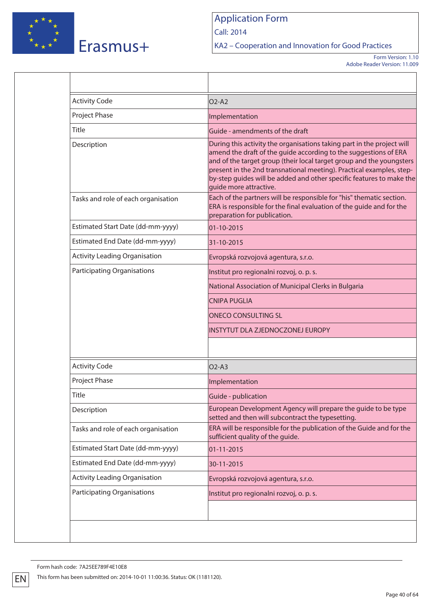

Call: 2014

KA2 – Cooperation and Innovation for Good Practices

Form Version: 1.10 Adobe Reader Version: 11.009

| <b>Project Phase</b><br>Implementation<br>Title<br>Guide - amendments of the draft<br>During this activity the organisations taking part in the project will<br>Description<br>quide more attractive.<br>Tasks and role of each organisation<br>preparation for publication.<br>Estimated Start Date (dd-mm-yyyy)<br>01-10-2015<br>Estimated End Date (dd-mm-yyyy)<br>31-10-2015<br><b>Activity Leading Organisation</b><br>Evropská rozvojová agentura, s.r.o.<br><b>Participating Organisations</b><br>Institut pro regionalni rozvoj, o. p. s.<br>National Association of Municipal Clerks in Bulgaria<br><b>CNIPA PUGLIA</b><br><b>ONECO CONSULTING SL</b><br>INSTYTUT DLA ZJEDNOCZONEJ EUROPY<br><b>Activity Code</b><br>$O2-A3$<br>Project Phase<br>Implementation<br>Title<br>Guide - publication<br>Description<br>setted and then will subcontract the typesetting.<br>Tasks and role of each organisation<br>sufficient quality of the guide.<br>Estimated Start Date (dd-mm-yyyy)<br>01-11-2015<br>Estimated End Date (dd-mm-yyyy)<br>30-11-2015<br><b>Activity Leading Organisation</b><br>Evropská rozvojová agentura, s.r.o.<br><b>Participating Organisations</b><br>Institut pro regionalni rozvoj, o. p. s. | <b>Activity Code</b> | $O2-A2$                                                                                                                                                                                                                                                                                  |
|------------------------------------------------------------------------------------------------------------------------------------------------------------------------------------------------------------------------------------------------------------------------------------------------------------------------------------------------------------------------------------------------------------------------------------------------------------------------------------------------------------------------------------------------------------------------------------------------------------------------------------------------------------------------------------------------------------------------------------------------------------------------------------------------------------------------------------------------------------------------------------------------------------------------------------------------------------------------------------------------------------------------------------------------------------------------------------------------------------------------------------------------------------------------------------------------------------------------------|----------------------|------------------------------------------------------------------------------------------------------------------------------------------------------------------------------------------------------------------------------------------------------------------------------------------|
|                                                                                                                                                                                                                                                                                                                                                                                                                                                                                                                                                                                                                                                                                                                                                                                                                                                                                                                                                                                                                                                                                                                                                                                                                              |                      |                                                                                                                                                                                                                                                                                          |
|                                                                                                                                                                                                                                                                                                                                                                                                                                                                                                                                                                                                                                                                                                                                                                                                                                                                                                                                                                                                                                                                                                                                                                                                                              |                      |                                                                                                                                                                                                                                                                                          |
|                                                                                                                                                                                                                                                                                                                                                                                                                                                                                                                                                                                                                                                                                                                                                                                                                                                                                                                                                                                                                                                                                                                                                                                                                              |                      |                                                                                                                                                                                                                                                                                          |
|                                                                                                                                                                                                                                                                                                                                                                                                                                                                                                                                                                                                                                                                                                                                                                                                                                                                                                                                                                                                                                                                                                                                                                                                                              |                      | amend the draft of the guide according to the suggestions of ERA<br>and of the target group (their local target group and the youngsters<br>present in the 2nd transnational meeting). Practical examples, step-<br>by-step quides will be added and other specific features to make the |
|                                                                                                                                                                                                                                                                                                                                                                                                                                                                                                                                                                                                                                                                                                                                                                                                                                                                                                                                                                                                                                                                                                                                                                                                                              |                      | Each of the partners will be responsible for "his" thematic section.<br>ERA is responsible for the final evaluation of the guide and for the                                                                                                                                             |
|                                                                                                                                                                                                                                                                                                                                                                                                                                                                                                                                                                                                                                                                                                                                                                                                                                                                                                                                                                                                                                                                                                                                                                                                                              |                      |                                                                                                                                                                                                                                                                                          |
|                                                                                                                                                                                                                                                                                                                                                                                                                                                                                                                                                                                                                                                                                                                                                                                                                                                                                                                                                                                                                                                                                                                                                                                                                              |                      |                                                                                                                                                                                                                                                                                          |
|                                                                                                                                                                                                                                                                                                                                                                                                                                                                                                                                                                                                                                                                                                                                                                                                                                                                                                                                                                                                                                                                                                                                                                                                                              |                      |                                                                                                                                                                                                                                                                                          |
|                                                                                                                                                                                                                                                                                                                                                                                                                                                                                                                                                                                                                                                                                                                                                                                                                                                                                                                                                                                                                                                                                                                                                                                                                              |                      |                                                                                                                                                                                                                                                                                          |
|                                                                                                                                                                                                                                                                                                                                                                                                                                                                                                                                                                                                                                                                                                                                                                                                                                                                                                                                                                                                                                                                                                                                                                                                                              |                      |                                                                                                                                                                                                                                                                                          |
|                                                                                                                                                                                                                                                                                                                                                                                                                                                                                                                                                                                                                                                                                                                                                                                                                                                                                                                                                                                                                                                                                                                                                                                                                              |                      |                                                                                                                                                                                                                                                                                          |
|                                                                                                                                                                                                                                                                                                                                                                                                                                                                                                                                                                                                                                                                                                                                                                                                                                                                                                                                                                                                                                                                                                                                                                                                                              |                      |                                                                                                                                                                                                                                                                                          |
|                                                                                                                                                                                                                                                                                                                                                                                                                                                                                                                                                                                                                                                                                                                                                                                                                                                                                                                                                                                                                                                                                                                                                                                                                              |                      |                                                                                                                                                                                                                                                                                          |
|                                                                                                                                                                                                                                                                                                                                                                                                                                                                                                                                                                                                                                                                                                                                                                                                                                                                                                                                                                                                                                                                                                                                                                                                                              |                      |                                                                                                                                                                                                                                                                                          |
|                                                                                                                                                                                                                                                                                                                                                                                                                                                                                                                                                                                                                                                                                                                                                                                                                                                                                                                                                                                                                                                                                                                                                                                                                              |                      |                                                                                                                                                                                                                                                                                          |
|                                                                                                                                                                                                                                                                                                                                                                                                                                                                                                                                                                                                                                                                                                                                                                                                                                                                                                                                                                                                                                                                                                                                                                                                                              |                      |                                                                                                                                                                                                                                                                                          |
|                                                                                                                                                                                                                                                                                                                                                                                                                                                                                                                                                                                                                                                                                                                                                                                                                                                                                                                                                                                                                                                                                                                                                                                                                              |                      |                                                                                                                                                                                                                                                                                          |
|                                                                                                                                                                                                                                                                                                                                                                                                                                                                                                                                                                                                                                                                                                                                                                                                                                                                                                                                                                                                                                                                                                                                                                                                                              |                      | European Development Agency will prepare the guide to be type                                                                                                                                                                                                                            |
|                                                                                                                                                                                                                                                                                                                                                                                                                                                                                                                                                                                                                                                                                                                                                                                                                                                                                                                                                                                                                                                                                                                                                                                                                              |                      | ERA will be responsible for the publication of the Guide and for the                                                                                                                                                                                                                     |
|                                                                                                                                                                                                                                                                                                                                                                                                                                                                                                                                                                                                                                                                                                                                                                                                                                                                                                                                                                                                                                                                                                                                                                                                                              |                      |                                                                                                                                                                                                                                                                                          |
|                                                                                                                                                                                                                                                                                                                                                                                                                                                                                                                                                                                                                                                                                                                                                                                                                                                                                                                                                                                                                                                                                                                                                                                                                              |                      |                                                                                                                                                                                                                                                                                          |
|                                                                                                                                                                                                                                                                                                                                                                                                                                                                                                                                                                                                                                                                                                                                                                                                                                                                                                                                                                                                                                                                                                                                                                                                                              |                      |                                                                                                                                                                                                                                                                                          |
|                                                                                                                                                                                                                                                                                                                                                                                                                                                                                                                                                                                                                                                                                                                                                                                                                                                                                                                                                                                                                                                                                                                                                                                                                              |                      |                                                                                                                                                                                                                                                                                          |
|                                                                                                                                                                                                                                                                                                                                                                                                                                                                                                                                                                                                                                                                                                                                                                                                                                                                                                                                                                                                                                                                                                                                                                                                                              |                      |                                                                                                                                                                                                                                                                                          |

Form hash code: 7A25EE789F4E10E8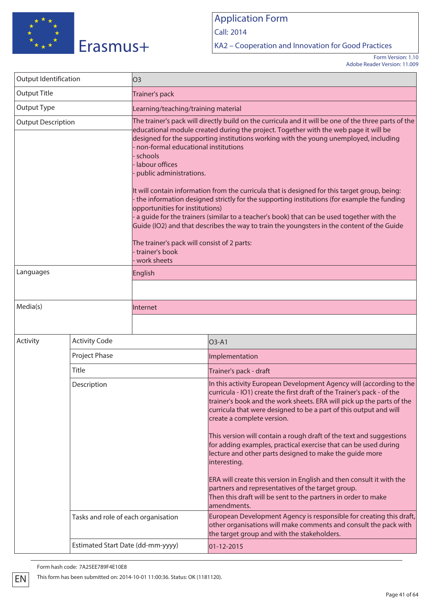

Call: 2014

KA2 – Cooperation and Innovation for Good Practices

Form Version: 1.10 Adobe Reader Version: 11.009

| Output Identification     |                                     | O <sub>3</sub>                                                                                                                                                                                                                                                                                                                                                                                                                                                                                                                                                                                                                                                                                                                                                                                                                                                                                    |                                                                                                                                                                                                                                                                                                                                                                                                                                                                                                                                                |  |  |
|---------------------------|-------------------------------------|---------------------------------------------------------------------------------------------------------------------------------------------------------------------------------------------------------------------------------------------------------------------------------------------------------------------------------------------------------------------------------------------------------------------------------------------------------------------------------------------------------------------------------------------------------------------------------------------------------------------------------------------------------------------------------------------------------------------------------------------------------------------------------------------------------------------------------------------------------------------------------------------------|------------------------------------------------------------------------------------------------------------------------------------------------------------------------------------------------------------------------------------------------------------------------------------------------------------------------------------------------------------------------------------------------------------------------------------------------------------------------------------------------------------------------------------------------|--|--|
| <b>Output Title</b>       |                                     | Trainer's pack                                                                                                                                                                                                                                                                                                                                                                                                                                                                                                                                                                                                                                                                                                                                                                                                                                                                                    |                                                                                                                                                                                                                                                                                                                                                                                                                                                                                                                                                |  |  |
| Output Type               |                                     | Learning/teaching/training material                                                                                                                                                                                                                                                                                                                                                                                                                                                                                                                                                                                                                                                                                                                                                                                                                                                               |                                                                                                                                                                                                                                                                                                                                                                                                                                                                                                                                                |  |  |
| <b>Output Description</b> |                                     | The trainer's pack will directly build on the curricula and it will be one of the three parts of the<br>educational module created during the project. Together with the web page it will be<br>designed for the supporting institutions working with the young unemployed, including<br>non-formal educational institutions<br>schools<br>labour offices<br>public administrations.<br>It will contain information from the curricula that is designed for this target group, being:<br>the information designed strictly for the supporting institutions (for example the funding<br>opportunities for institutions)<br>a guide for the trainers (similar to a teacher's book) that can be used together with the<br>Guide (IO2) and that describes the way to train the youngsters in the content of the Guide<br>The trainer's pack will consist of 2 parts:<br>trainer's book<br>work sheets |                                                                                                                                                                                                                                                                                                                                                                                                                                                                                                                                                |  |  |
| Languages                 |                                     | English                                                                                                                                                                                                                                                                                                                                                                                                                                                                                                                                                                                                                                                                                                                                                                                                                                                                                           |                                                                                                                                                                                                                                                                                                                                                                                                                                                                                                                                                |  |  |
|                           |                                     |                                                                                                                                                                                                                                                                                                                                                                                                                                                                                                                                                                                                                                                                                                                                                                                                                                                                                                   |                                                                                                                                                                                                                                                                                                                                                                                                                                                                                                                                                |  |  |
| Media(s)                  |                                     | Internet                                                                                                                                                                                                                                                                                                                                                                                                                                                                                                                                                                                                                                                                                                                                                                                                                                                                                          |                                                                                                                                                                                                                                                                                                                                                                                                                                                                                                                                                |  |  |
|                           |                                     |                                                                                                                                                                                                                                                                                                                                                                                                                                                                                                                                                                                                                                                                                                                                                                                                                                                                                                   |                                                                                                                                                                                                                                                                                                                                                                                                                                                                                                                                                |  |  |
| Activity                  | <b>Activity Code</b>                |                                                                                                                                                                                                                                                                                                                                                                                                                                                                                                                                                                                                                                                                                                                                                                                                                                                                                                   | O3-A1                                                                                                                                                                                                                                                                                                                                                                                                                                                                                                                                          |  |  |
|                           | Project Phase                       |                                                                                                                                                                                                                                                                                                                                                                                                                                                                                                                                                                                                                                                                                                                                                                                                                                                                                                   | Implementation                                                                                                                                                                                                                                                                                                                                                                                                                                                                                                                                 |  |  |
|                           | Title                               |                                                                                                                                                                                                                                                                                                                                                                                                                                                                                                                                                                                                                                                                                                                                                                                                                                                                                                   | Trainer's pack - draft                                                                                                                                                                                                                                                                                                                                                                                                                                                                                                                         |  |  |
| Description               |                                     |                                                                                                                                                                                                                                                                                                                                                                                                                                                                                                                                                                                                                                                                                                                                                                                                                                                                                                   | In this activity European Development Agency will (according to the<br>curricula - IO1) create the first draft of the Trainer's pack - of the<br>trainer's book and the work sheets. ERA will pick up the parts of the<br>curricula that were designed to be a part of this output and will<br>create a complete version.<br>This version will contain a rough draft of the text and suggestions<br>for adding examples, practical exercise that can be used during<br>lecture and other parts designed to make the guide more<br>interesting. |  |  |
|                           |                                     |                                                                                                                                                                                                                                                                                                                                                                                                                                                                                                                                                                                                                                                                                                                                                                                                                                                                                                   | ERA will create this version in English and then consult it with the<br>partners and representatives of the target group.<br>Then this draft will be sent to the partners in order to make<br>amendments.                                                                                                                                                                                                                                                                                                                                      |  |  |
|                           | Tasks and role of each organisation |                                                                                                                                                                                                                                                                                                                                                                                                                                                                                                                                                                                                                                                                                                                                                                                                                                                                                                   | European Development Agency is responsible for creating this draft,<br>other organisations will make comments and consult the pack with<br>the target group and with the stakeholders.                                                                                                                                                                                                                                                                                                                                                         |  |  |
|                           | Estimated Start Date (dd-mm-yyyy)   |                                                                                                                                                                                                                                                                                                                                                                                                                                                                                                                                                                                                                                                                                                                                                                                                                                                                                                   | 01-12-2015                                                                                                                                                                                                                                                                                                                                                                                                                                                                                                                                     |  |  |

Form hash code: 7A25EE789F4E10E8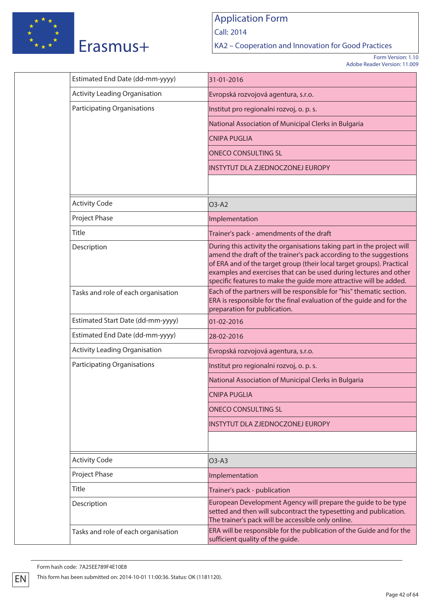

Call: 2014

KA2 – Cooperation and Innovation for Good Practices

Form Version: 1.10 Adobe Reader Version: 11.009

| Estimated End Date (dd-mm-yyyy)      | 31-01-2016                                                                                                                                                                                                                                                                                                                                                       |  |  |  |
|--------------------------------------|------------------------------------------------------------------------------------------------------------------------------------------------------------------------------------------------------------------------------------------------------------------------------------------------------------------------------------------------------------------|--|--|--|
| <b>Activity Leading Organisation</b> | Evropská rozvojová agentura, s.r.o.                                                                                                                                                                                                                                                                                                                              |  |  |  |
| <b>Participating Organisations</b>   | Institut pro regionalni rozvoj, o. p. s.                                                                                                                                                                                                                                                                                                                         |  |  |  |
|                                      | National Association of Municipal Clerks in Bulgaria                                                                                                                                                                                                                                                                                                             |  |  |  |
|                                      | <b>CNIPA PUGLIA</b>                                                                                                                                                                                                                                                                                                                                              |  |  |  |
|                                      | <b>ONECO CONSULTING SL</b>                                                                                                                                                                                                                                                                                                                                       |  |  |  |
|                                      | INSTYTUT DLA ZJEDNOCZONEJ EUROPY                                                                                                                                                                                                                                                                                                                                 |  |  |  |
|                                      |                                                                                                                                                                                                                                                                                                                                                                  |  |  |  |
| <b>Activity Code</b>                 | O3-A2                                                                                                                                                                                                                                                                                                                                                            |  |  |  |
| Project Phase                        | Implementation                                                                                                                                                                                                                                                                                                                                                   |  |  |  |
| Title                                | Trainer's pack - amendments of the draft                                                                                                                                                                                                                                                                                                                         |  |  |  |
| Description                          | During this activity the organisations taking part in the project will<br>amend the draft of the trainer's pack according to the suggestions<br>of ERA and of the target group (their local target groups). Practical<br>examples and exercises that can be used during lectures and other<br>specific features to make the guide more attractive will be added. |  |  |  |
| Tasks and role of each organisation  | Each of the partners will be responsible for "his" thematic section.<br>ERA is responsible for the final evaluation of the quide and for the<br>preparation for publication.                                                                                                                                                                                     |  |  |  |
| Estimated Start Date (dd-mm-yyyy)    | 01-02-2016                                                                                                                                                                                                                                                                                                                                                       |  |  |  |
| Estimated End Date (dd-mm-yyyy)      | 28-02-2016                                                                                                                                                                                                                                                                                                                                                       |  |  |  |
| <b>Activity Leading Organisation</b> | Evropská rozvojová agentura, s.r.o.                                                                                                                                                                                                                                                                                                                              |  |  |  |
| <b>Participating Organisations</b>   | Institut pro regionalni rozvoj, o. p. s.                                                                                                                                                                                                                                                                                                                         |  |  |  |
|                                      | National Association of Municipal Clerks in Bulgaria                                                                                                                                                                                                                                                                                                             |  |  |  |
|                                      | <b>CNIPA PUGLIA</b>                                                                                                                                                                                                                                                                                                                                              |  |  |  |
|                                      | <b>ONECO CONSULTING SL</b>                                                                                                                                                                                                                                                                                                                                       |  |  |  |
|                                      | <b>INSTYTUT DLA ZJEDNOCZONEJ EUROPY</b>                                                                                                                                                                                                                                                                                                                          |  |  |  |
|                                      |                                                                                                                                                                                                                                                                                                                                                                  |  |  |  |
| <b>Activity Code</b>                 | $O3-A3$                                                                                                                                                                                                                                                                                                                                                          |  |  |  |
| <b>Project Phase</b>                 | Implementation                                                                                                                                                                                                                                                                                                                                                   |  |  |  |
| Title                                | Trainer's pack - publication                                                                                                                                                                                                                                                                                                                                     |  |  |  |
| Description                          | European Development Agency will prepare the guide to be type<br>setted and then will subcontract the typesetting and publication.<br>The trainer's pack will be accessible only online.                                                                                                                                                                         |  |  |  |
| Tasks and role of each organisation  | ERA will be responsible for the publication of the Guide and for the<br>sufficient quality of the guide.                                                                                                                                                                                                                                                         |  |  |  |
|                                      |                                                                                                                                                                                                                                                                                                                                                                  |  |  |  |

Form hash code: 7A25EE789F4E10E8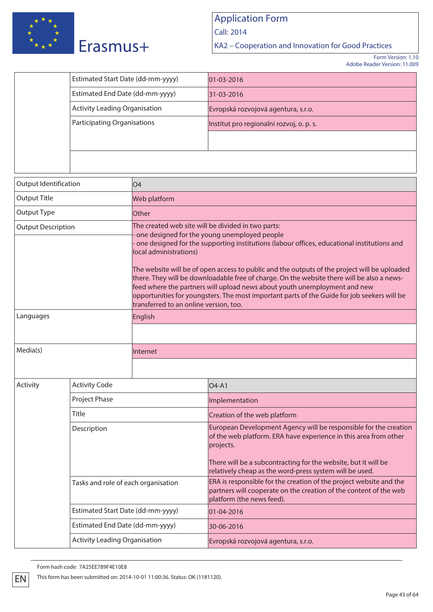

Call: 2014

KA2 – Cooperation and Innovation for Good Practices

Form Version: 1.10 Adobe Reader Version: 11.009

| Estimated Start Date (dd-mm-yyyy)    | $ 01-03-2016 $                           |
|--------------------------------------|------------------------------------------|
| Estimated End Date (dd-mm-yyyy)      | 31-03-2016                               |
| <b>Activity Leading Organisation</b> | Evropská rozvojová agentura, s.r.o.      |
| <b>Participating Organisations</b>   | Institut pro regionalni rozvoj, o. p. s. |
|                                      |                                          |
|                                      |                                          |

| Output Identification<br>04 |                                      |                                                                  |                                                                                                                                                                                                                                                                                                                                                                                                                                                                                                                                                                            |  |  |
|-----------------------------|--------------------------------------|------------------------------------------------------------------|----------------------------------------------------------------------------------------------------------------------------------------------------------------------------------------------------------------------------------------------------------------------------------------------------------------------------------------------------------------------------------------------------------------------------------------------------------------------------------------------------------------------------------------------------------------------------|--|--|
| Output Title                |                                      | Web platform                                                     |                                                                                                                                                                                                                                                                                                                                                                                                                                                                                                                                                                            |  |  |
| <b>Output Type</b>          |                                      | Other                                                            |                                                                                                                                                                                                                                                                                                                                                                                                                                                                                                                                                                            |  |  |
| <b>Output Description</b>   |                                      | local administrations)<br>transferred to an online version, too. | The created web site will be divided in two parts:<br>one designed for the young unemployed people<br>one designed for the supporting institutions (labour offices, educational institutions and<br>The website will be of open access to public and the outputs of the project will be uploaded<br>there. They will be downloadable free of charge. On the website there will be also a news-<br>feed where the partners will upload news about youth unemployment and new<br>opportunities for youngsters. The most important parts of the Guide for job seekers will be |  |  |
| Languages                   |                                      | English                                                          |                                                                                                                                                                                                                                                                                                                                                                                                                                                                                                                                                                            |  |  |
|                             |                                      |                                                                  |                                                                                                                                                                                                                                                                                                                                                                                                                                                                                                                                                                            |  |  |
| Media(s)                    |                                      | Internet                                                         |                                                                                                                                                                                                                                                                                                                                                                                                                                                                                                                                                                            |  |  |
|                             |                                      |                                                                  |                                                                                                                                                                                                                                                                                                                                                                                                                                                                                                                                                                            |  |  |
| Activity                    | <b>Activity Code</b>                 |                                                                  | O <sub>4</sub> -A <sub>1</sub>                                                                                                                                                                                                                                                                                                                                                                                                                                                                                                                                             |  |  |
|                             | Project Phase                        |                                                                  | Implementation                                                                                                                                                                                                                                                                                                                                                                                                                                                                                                                                                             |  |  |
|                             | Title                                |                                                                  | Creation of the web platform                                                                                                                                                                                                                                                                                                                                                                                                                                                                                                                                               |  |  |
|                             | Description                          |                                                                  | European Development Agency will be responsible for the creation<br>of the web platform. ERA have experience in this area from other<br>projects.<br>There will be a subcontracting for the website, but it will be<br>relatively cheap as the word-press system will be used.                                                                                                                                                                                                                                                                                             |  |  |
|                             | Tasks and role of each organisation  |                                                                  | ERA is responsible for the creation of the project website and the<br>partners will cooperate on the creation of the content of the web<br>platform (the news feed).                                                                                                                                                                                                                                                                                                                                                                                                       |  |  |
|                             | Estimated Start Date (dd-mm-yyyy)    |                                                                  | 01-04-2016                                                                                                                                                                                                                                                                                                                                                                                                                                                                                                                                                                 |  |  |
|                             | Estimated End Date (dd-mm-yyyy)      |                                                                  | 30-06-2016                                                                                                                                                                                                                                                                                                                                                                                                                                                                                                                                                                 |  |  |
|                             | <b>Activity Leading Organisation</b> |                                                                  | Evropská rozvojová agentura, s.r.o.                                                                                                                                                                                                                                                                                                                                                                                                                                                                                                                                        |  |  |

Form hash code: 7A25EE789F4E10E8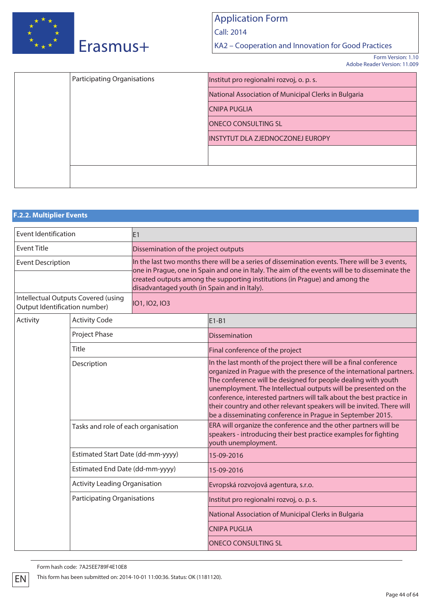

Call: 2014

KA2 – Cooperation and Innovation for Good Practices

Form Version: 1.10 Adobe Reader Version: 11.009

| <b>Participating Organisations</b> | Institut pro regionalni rozvoj, o. p. s.             |
|------------------------------------|------------------------------------------------------|
|                                    | National Association of Municipal Clerks in Bulgaria |
|                                    | <b>CNIPA PUGLIA</b>                                  |
|                                    | <b>ONECO CONSULTING SL</b>                           |
|                                    | <b>INSTYTUT DLA ZJEDNOCZONEJ EUROPY</b>              |
|                                    |                                                      |
|                                    |                                                      |
|                                    |                                                      |

## **F.2.2. Multiplier Events** Event Identification E1 Event Title **Event Title Event Title Dissemination of the project outputs** Event Description **In the last two months there will be a series of dissemination events. There will be 3 events,** one in Prague, one in Spain and one in Italy. The aim of the events will be to disseminate the created outputs among the supporting institutions (in Prague) and among the disadvantaged youth (in Spain and in Italy). Intellectual Outputs Covered (using Output Identification number) IO1, IO2, IO3 Activity Activity Code **E1-B1** Project Phase **Dissemination** Title Title **Final conference of the project** Description **In the last month of the project there will be a final conference** organized in Prague with the presence of the international partners. The conference will be designed for people dealing with youth unemployment. The Intellectual outputs will be presented on the conference, interested partners will talk about the best practice in their country and other relevant speakers will be invited. There will be a disseminating conference in Prague in September 2015. Tasks and role of each organisation **ERA** will organize the conference and the other partners will be speakers - introducing their best practice examples for fighting youth unemployment. Estimated Start Date (dd-mm-yyyy) 15-09-2016 Estimated End Date (dd-mm-yyyy) 15-09-2016 Activity Leading Organisation **Evropská rozvojová agentura, s.r.o.** Participating Organisations Institut pro regionalni rozvoj, o. p. s. National Association of Municipal Clerks in Bulgaria CNIPA PUGLIA

ONECO CONSULTING SL

Form hash code: 7A25EE789F4E10E8

EN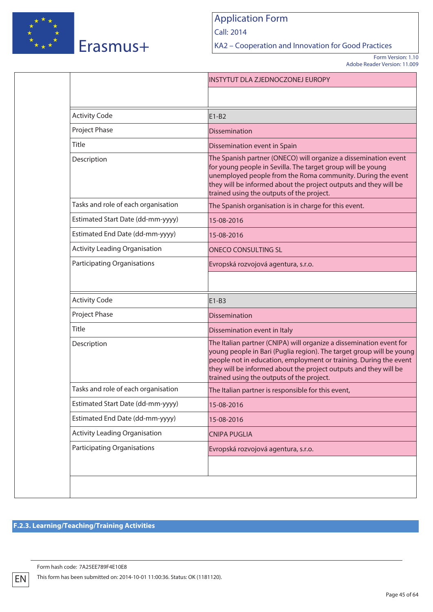

Call: 2014

KA2 – Cooperation and Innovation for Good Practices

Form Version: 1.10 Adobe Reader Version: 11.009

| <b>Activity Code</b><br>$E1-B2$<br>Project Phase<br><b>Dissemination</b><br><b>Title</b><br>Dissemination event in Spain<br>Description<br>for young people in Sevilla. The target group will be young<br>trained using the outputs of the project.<br>Tasks and role of each organisation<br>The Spanish organisation is in charge for this event.<br>Estimated Start Date (dd-mm-yyyy)<br>15-08-2016<br>Estimated End Date (dd-mm-yyyy)<br>15-08-2016<br><b>Activity Leading Organisation</b><br><b>ONECO CONSULTING SL</b><br><b>Participating Organisations</b><br>Evropská rozvojová agentura, s.r.o.<br><b>Activity Code</b><br>$E1-B3$<br>Project Phase<br><b>Dissemination</b><br>Title<br>Dissemination event in Italy<br>Description<br>trained using the outputs of the project.<br>Tasks and role of each organisation<br>The Italian partner is responsible for this event,<br>Estimated Start Date (dd-mm-yyyy)<br>15-08-2016<br>Estimated End Date (dd-mm-yyyy)<br>15-08-2016<br><b>Activity Leading Organisation</b><br><b>CNIPA PUGLIA</b><br><b>Participating Organisations</b><br>Evropská rozvojová agentura, s.r.o. |  | <b>INSTYTUT DLA ZJEDNOCZONEJ EUROPY</b>                                                                                                                                                                                                                                              |
|------------------------------------------------------------------------------------------------------------------------------------------------------------------------------------------------------------------------------------------------------------------------------------------------------------------------------------------------------------------------------------------------------------------------------------------------------------------------------------------------------------------------------------------------------------------------------------------------------------------------------------------------------------------------------------------------------------------------------------------------------------------------------------------------------------------------------------------------------------------------------------------------------------------------------------------------------------------------------------------------------------------------------------------------------------------------------------------------------------------------------------------|--|--------------------------------------------------------------------------------------------------------------------------------------------------------------------------------------------------------------------------------------------------------------------------------------|
|                                                                                                                                                                                                                                                                                                                                                                                                                                                                                                                                                                                                                                                                                                                                                                                                                                                                                                                                                                                                                                                                                                                                          |  |                                                                                                                                                                                                                                                                                      |
|                                                                                                                                                                                                                                                                                                                                                                                                                                                                                                                                                                                                                                                                                                                                                                                                                                                                                                                                                                                                                                                                                                                                          |  |                                                                                                                                                                                                                                                                                      |
|                                                                                                                                                                                                                                                                                                                                                                                                                                                                                                                                                                                                                                                                                                                                                                                                                                                                                                                                                                                                                                                                                                                                          |  |                                                                                                                                                                                                                                                                                      |
|                                                                                                                                                                                                                                                                                                                                                                                                                                                                                                                                                                                                                                                                                                                                                                                                                                                                                                                                                                                                                                                                                                                                          |  |                                                                                                                                                                                                                                                                                      |
|                                                                                                                                                                                                                                                                                                                                                                                                                                                                                                                                                                                                                                                                                                                                                                                                                                                                                                                                                                                                                                                                                                                                          |  | The Spanish partner (ONECO) will organize a dissemination event<br>unemployed people from the Roma community. During the event<br>they will be informed about the project outputs and they will be                                                                                   |
|                                                                                                                                                                                                                                                                                                                                                                                                                                                                                                                                                                                                                                                                                                                                                                                                                                                                                                                                                                                                                                                                                                                                          |  |                                                                                                                                                                                                                                                                                      |
|                                                                                                                                                                                                                                                                                                                                                                                                                                                                                                                                                                                                                                                                                                                                                                                                                                                                                                                                                                                                                                                                                                                                          |  |                                                                                                                                                                                                                                                                                      |
|                                                                                                                                                                                                                                                                                                                                                                                                                                                                                                                                                                                                                                                                                                                                                                                                                                                                                                                                                                                                                                                                                                                                          |  |                                                                                                                                                                                                                                                                                      |
|                                                                                                                                                                                                                                                                                                                                                                                                                                                                                                                                                                                                                                                                                                                                                                                                                                                                                                                                                                                                                                                                                                                                          |  |                                                                                                                                                                                                                                                                                      |
|                                                                                                                                                                                                                                                                                                                                                                                                                                                                                                                                                                                                                                                                                                                                                                                                                                                                                                                                                                                                                                                                                                                                          |  |                                                                                                                                                                                                                                                                                      |
|                                                                                                                                                                                                                                                                                                                                                                                                                                                                                                                                                                                                                                                                                                                                                                                                                                                                                                                                                                                                                                                                                                                                          |  |                                                                                                                                                                                                                                                                                      |
|                                                                                                                                                                                                                                                                                                                                                                                                                                                                                                                                                                                                                                                                                                                                                                                                                                                                                                                                                                                                                                                                                                                                          |  |                                                                                                                                                                                                                                                                                      |
|                                                                                                                                                                                                                                                                                                                                                                                                                                                                                                                                                                                                                                                                                                                                                                                                                                                                                                                                                                                                                                                                                                                                          |  |                                                                                                                                                                                                                                                                                      |
|                                                                                                                                                                                                                                                                                                                                                                                                                                                                                                                                                                                                                                                                                                                                                                                                                                                                                                                                                                                                                                                                                                                                          |  |                                                                                                                                                                                                                                                                                      |
|                                                                                                                                                                                                                                                                                                                                                                                                                                                                                                                                                                                                                                                                                                                                                                                                                                                                                                                                                                                                                                                                                                                                          |  | The Italian partner (CNIPA) will organize a dissemination event for<br>young people in Bari (Puglia region). The target group will be young<br>people not in education, employment or training. During the event<br>they will be informed about the project outputs and they will be |
|                                                                                                                                                                                                                                                                                                                                                                                                                                                                                                                                                                                                                                                                                                                                                                                                                                                                                                                                                                                                                                                                                                                                          |  |                                                                                                                                                                                                                                                                                      |
|                                                                                                                                                                                                                                                                                                                                                                                                                                                                                                                                                                                                                                                                                                                                                                                                                                                                                                                                                                                                                                                                                                                                          |  |                                                                                                                                                                                                                                                                                      |
|                                                                                                                                                                                                                                                                                                                                                                                                                                                                                                                                                                                                                                                                                                                                                                                                                                                                                                                                                                                                                                                                                                                                          |  |                                                                                                                                                                                                                                                                                      |
|                                                                                                                                                                                                                                                                                                                                                                                                                                                                                                                                                                                                                                                                                                                                                                                                                                                                                                                                                                                                                                                                                                                                          |  |                                                                                                                                                                                                                                                                                      |
|                                                                                                                                                                                                                                                                                                                                                                                                                                                                                                                                                                                                                                                                                                                                                                                                                                                                                                                                                                                                                                                                                                                                          |  |                                                                                                                                                                                                                                                                                      |

## **F.2.3. Learning/Teaching/Training Activities**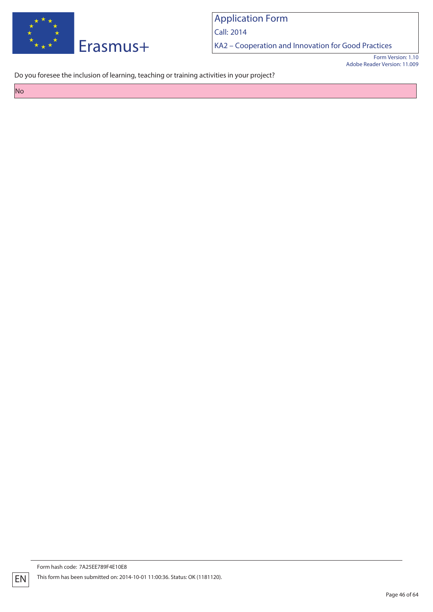

Call: 2014

KA2 – Cooperation and Innovation for Good Practices

Form Version: 1.10 Adobe Reader Version: 11.009

Do you foresee the inclusion of learning, teaching or training activities in your project?

No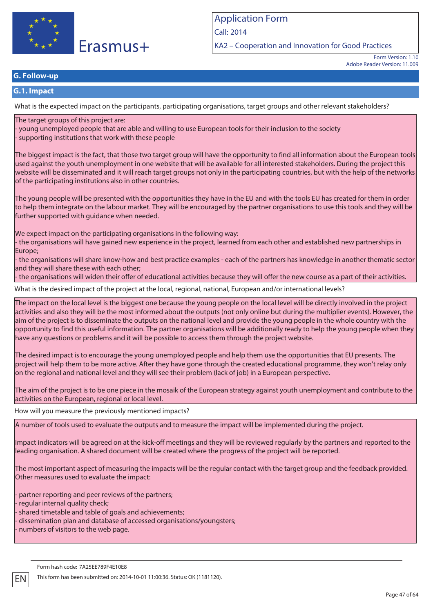

Call: 2014

KA2 – Cooperation and Innovation for Good Practices

Form Version: 1.10 Adobe Reader Version: 11.009

## **G. Follow-up**

### **G.1. Impact**

What is the expected impact on the participants, participating organisations, target groups and other relevant stakeholders?

### The target groups of this project are:

- young unemployed people that are able and willing to use European tools for their inclusion to the society - supporting institutions that work with these people

The biggest impact is the fact, that those two target group will have the opportunity to find all information about the European tools used against the youth unemployment in one website that will be available for all interested stakeholders. During the project this website will be disseminated and it will reach target groups not only in the participating countries, but with the help of the networks of the participating institutions also in other countries.

The young people will be presented with the opportunities they have in the EU and with the tools EU has created for them in order to help them integrate on the labour market. They will be encouraged by the partner organisations to use this tools and they will be further supported with guidance when needed.

We expect impact on the participating organisations in the following way:

- the organisations will have gained new experience in the project, learned from each other and established new partnerships in Europe;

- the organisations will share know-how and best practice examples - each of the partners has knowledge in another thematic sector and they will share these with each other;

- the organisations will widen their offer of educational activities because they will offer the new course as a part of their activities.

What is the desired impact of the project at the local, regional, national, European and/or international levels?

The impact on the local level is the biggest one because the young people on the local level will be directly involved in the project activities and also they will be the most informed about the outputs (not only online but during the multiplier events). However, the aim of the project is to disseminate the outputs on the national level and provide the young people in the whole country with the opportunity to find this useful information. The partner organisations will be additionally ready to help the young people when they have any questions or problems and it will be possible to access them through the project website.

The desired impact is to encourage the young unemployed people and help them use the opportunities that EU presents. The project will help them to be more active. After they have gone through the created educational programme, they won't relay only on the regional and national level and they will see their problem (lack of job) in a European perspective.

The aim of the project is to be one piece in the mosaik of the European strategy against youth unemployment and contribute to the activities on the European, regional or local level.

How will you measure the previously mentioned impacts?

A number of tools used to evaluate the outputs and to measure the impact will be implemented during the project.

Impact indicators will be agreed on at the kick-off meetings and they will be reviewed regularly by the partners and reported to the leading organisation. A shared document will be created where the progress of the project will be reported.

The most important aspect of measuring the impacts will be the regular contact with the target group and the feedback provided. Other measures used to evaluate the impact:

- partner reporting and peer reviews of the partners;

- regular internal quality check;

shared timetable and table of goals and achievements;

dissemination plan and database of accessed organisations/youngsters;

- numbers of visitors to the web page.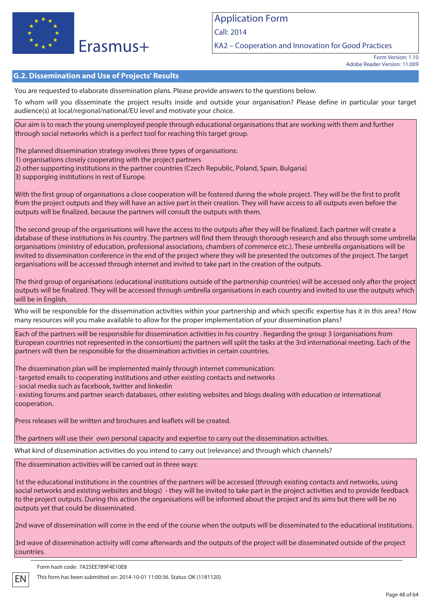

KA2 – Cooperation and Innovation for Good Practices

Form Version: 1.10 Adobe Reader Version: 11.009

### **G.2. Dissemination and Use of Projects' Results**

You are requested to elaborate dissemination plans. Please provide answers to the questions below.

To whom will you disseminate the project results inside and outside your organisation? Please define in particular your target audience(s) at local/regional/national/EU level and motivate your choice.

Our aim is to reach the young unemployed people through educational organisations that are working with them and further through social networks which is a perfect tool for reaching this target group.

The planned dissemination strategy involves three types of organisations:

1) organisations closely cooperating with the project partners

2) other supporting institutions in the partner countries (Czech Republic, Poland, Spain, Bulgaria)

3) supporging institutions in rest of Europe.

With the first group of organisations a close cooperation will be fostered during the whole project. They will be the first to profit from the project outputs and they will have an active part in their creation. They will have access to all outputs even before the outputs will be finalized, because the partners will consult the outputs with them.

The second group of the organisations will have the access to the outputs after they will be finalized. Each partner will create a database of these institutions in his country. The partners will find them through thorough research and also through some umbrella organisations (ministry of education, professional associations, chambers of commerce etc.). These umbrella organisations will be invited to dissemination conference in the end of the project where they will be presented the outcomes of the project. The target organisations will be accessed through internet and invited to take part in the creation of the outputs.

The third group of organisations (educational institutions outside of the partnership countries) will be accessed only after the project outputs will be finalized. They will be accessed through umbrella organisations in each country and invited to use the outputs which will be in English.

Who will be responsible for the dissemination activities within your partnership and which specific expertise has it in this area? How many resources will you make available to allow for the proper implementation of your dissemination plans?

Each of the partners will be responsible for dissemination activities in his country . Regarding the group 3 (organisations from European countries not represented in the consortium) the partners will split the tasks at the 3rd international meeting. Each of the partners will then be responsible for the dissemination activities in certain countries.

The dissemination plan will be implemented mainly through internet communication:

- targeted emails to cooperating institutions and other existing contacts and networks

- social media such as facebook, twitter and linkedin

- existing forums and partner search databases, other existing websites and blogs dealing with education or international cooperation.

Press releases will be written and brochures and leaflets will be created.

The partners will use their own personal capacity and expertise to carry out the dissemination activities.

What kind of dissemination activities do you intend to carry out (relevance) and through which channels?

The dissemination activities will be carried out in three ways:

1st the educational institutions in the countries of the partners will be accessed (through existing contacts and networks, using social networks and existing websites and blogs) - they will be invited to take part in the project activities and to provide feedback to the project outputs. During this action the organisations will be informed about the project and its aims but there will be no outputs yet that could be disseminated.

2nd wave of dissemination will come in the end of the course when the outputs will be disseminated to the educational institutions.

3rd wave of dissemination activity will come afterwards and the outputs of the project will be disseminated outside of the project countries.

Form hash code: 7A25EE789F4E10E8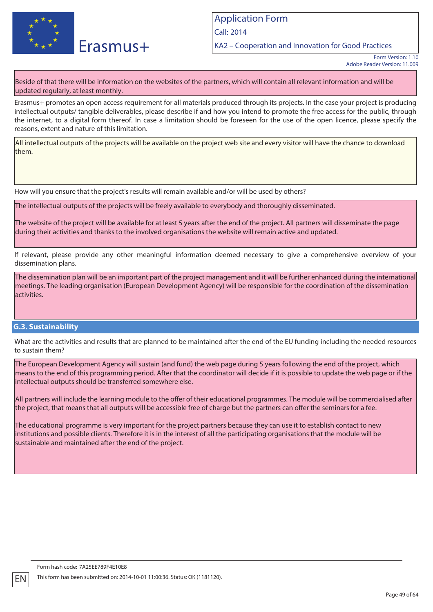

Call: 2014

KA2 – Cooperation and Innovation for Good Practices

Beside of that there will be information on the websites of the partners, which will contain all relevant information and will be updated regularly, at least monthly.

Erasmus+ promotes an open access requirement for all materials produced through its projects. In the case your project is producing intellectual outputs/ tangible deliverables, please describe if and how you intend to promote the free access for the public, through the internet, to a digital form thereof. In case a limitation should be foreseen for the use of the open licence, please specify the reasons, extent and nature of this limitation.

All intellectual outputs of the projects will be available on the project web site and every visitor will have the chance to download them.

How will you ensure that the project's results will remain available and/or will be used by others?

The intellectual outputs of the projects will be freely available to everybody and thoroughly disseminated.

The website of the project will be available for at least 5 years after the end of the project. All partners will disseminate the page during their activities and thanks to the involved organisations the website will remain active and updated.

If relevant, please provide any other meaningful information deemed necessary to give a comprehensive overview of your dissemination plans.

The dissemination plan will be an important part of the project management and it will be further enhanced during the international meetings. The leading organisation (European Development Agency) will be responsible for the coordination of the dissemination activities.

### **G.3. Sustainability**

What are the activities and results that are planned to be maintained after the end of the EU funding including the needed resources to sustain them?

The European Development Agency will sustain (and fund) the web page during 5 years following the end of the project, which means to the end of this programming period. After that the coordinator will decide if it is possible to update the web page or if the intellectual outputs should be transferred somewhere else.

All partners will include the learning module to the offer of their educational programmes. The module will be commercialised after the project, that means that all outputs will be accessible free of charge but the partners can offer the seminars for a fee.

The educational programme is very important for the project partners because they can use it to establish contact to new institutions and possible clients. Therefore it is in the interest of all the participating organisations that the module will be sustainable and maintained after the end of the project.

Form Version: 1.10 Adobe Reader Version: 11.009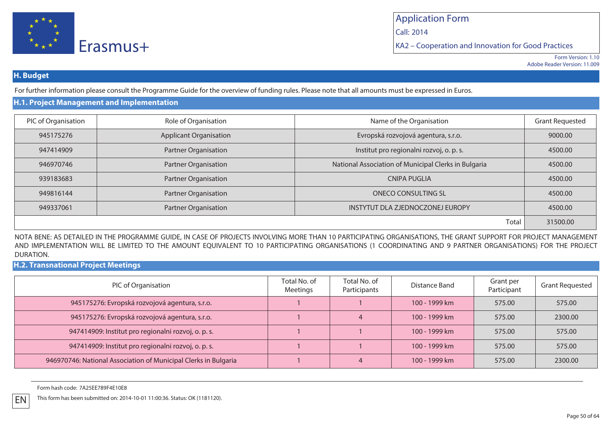

Call: 2014

KA2 – Cooperation and Innovation for Good Practices

### **H. Budget**

For further information please consult the Programme Guide for the overview of funding rules. Please note that all amounts must be expressed in Euros.

## **H.1. Project Management and Implementation**

| PIC of Organisation | Role of Organisation          | Name of the Organisation                             | <b>Grant Requested</b> |
|---------------------|-------------------------------|------------------------------------------------------|------------------------|
| 945175276           | <b>Applicant Organisation</b> | Evropská rozvojová agentura, s.r.o.                  | 9000.00                |
| 947414909           | Partner Organisation          | Institut pro regionalni rozvoj, o. p. s.             | 4500.00                |
| 946970746           | <b>Partner Organisation</b>   | National Association of Municipal Clerks in Bulgaria | 4500.00                |
| 939183683           | <b>Partner Organisation</b>   | <b>CNIPA PUGLIA</b>                                  | 4500.00                |
| 949816144           | <b>Partner Organisation</b>   | ONECO CONSULTING SL                                  | 4500.00                |
| 949337061           | <b>Partner Organisation</b>   | INSTYTUT DLA ZJEDNOCZONEJ EUROPY                     | 4500.00                |
|                     |                               | Total                                                | 31500.00               |

NOTA BENE: AS DETAILED IN THE PROGRAMME GUIDE, IN CASE OF PROJECTS INVOLVING MORE THAN 10 PARTICIPATING ORGANISATIONS, THE GRANT SUPPORT FOR PROJECT MANAGEMENT AND IMPLEMENTATION WILL BE LIMITED TO THE AMOUNT EQUIVALENT TO 10 PARTICIPATING ORGANISATIONS (1 COORDINATING AND 9 PARTNER ORGANISATIONS) FOR THE PROJECT DURATION.

**H.2. Transnational Project Meetings**

| PIC of Organisation                                             | Total No. of<br>Meetings | Total No. of<br>Participants | Distance Band | Grant per<br>Participant | <b>Grant Requested</b> |
|-----------------------------------------------------------------|--------------------------|------------------------------|---------------|--------------------------|------------------------|
| 945175276: Evropská rozvojová agentura, s.r.o.                  |                          |                              | 100 - 1999 km | 575.00                   | 575.00                 |
| 945175276: Evropská rozvojová agentura, s.r.o.                  |                          |                              | 100 - 1999 km | 575.00                   | 2300.00                |
| 947414909: Institut pro regionalni rozvoj, o. p. s.             |                          |                              | 100 - 1999 km | 575.00                   | 575.00                 |
| 947414909: Institut pro regionalni rozvoj, o. p. s.             |                          |                              | 100 - 1999 km | 575.00                   | 575.00                 |
| 946970746: National Association of Municipal Clerks in Bulgaria |                          |                              | 100 - 1999 km | 575.00                   | 2300.00                |

Form hash code: 7A25EE789F4E10E8

EN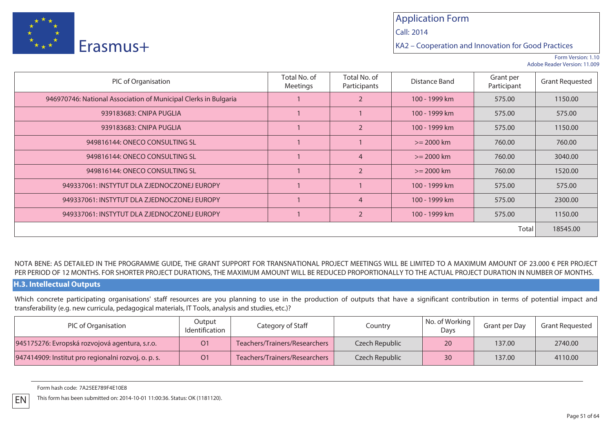

Call: 2014

KA2 – Cooperation and Innovation for Good Practices

Form Version: 1.10Adobe Reader Version: 11.009

| PIC of Organisation                                             | Total No. of<br>Meetings | Total No. of<br>Participants | Distance Band | Grant per<br>Participant | <b>Grant Requested</b> |  |
|-----------------------------------------------------------------|--------------------------|------------------------------|---------------|--------------------------|------------------------|--|
| 946970746: National Association of Municipal Clerks in Bulgaria |                          | $\overline{2}$               | 100 - 1999 km | 575.00                   | 1150.00                |  |
| 939183683: CNIPA PUGLIA                                         |                          |                              | 100 - 1999 km | 575.00                   | 575.00                 |  |
| 939183683: CNIPA PUGLIA                                         |                          | $\overline{2}$               | 100 - 1999 km | 575.00                   | 1150.00                |  |
| 949816144: ONECO CONSULTING SL                                  |                          |                              | $>= 2000$ km  | 760.00                   | 760.00                 |  |
| 949816144: ONECO CONSULTING SL                                  |                          | $\overline{4}$               | $>= 2000$ km  | 760.00                   | 3040.00                |  |
| 949816144: ONECO CONSULTING SL                                  |                          | $\overline{2}$               | $>= 2000$ km  | 760.00                   | 1520.00                |  |
| 949337061: INSTYTUT DLA ZJEDNOCZONEJ EUROPY                     |                          |                              | 100 - 1999 km | 575.00                   | 575.00                 |  |
| 949337061: INSTYTUT DLA ZJEDNOCZONEJ EUROPY                     |                          | $\overline{4}$               | 100 - 1999 km | 575.00                   | 2300.00                |  |
| 949337061: INSTYTUT DLA ZJEDNOCZONEJ EUROPY                     |                          | $\overline{2}$               | 100 - 1999 km | 575.00                   | 1150.00                |  |
| Total                                                           |                          |                              |               |                          |                        |  |

### NOTA BENE: AS DETAILED IN THE PROGRAMME GUIDE, THE GRANT SUPPORT FOR TRANSNATIONAL PROJECT MEETINGS WILL BE LIMITED TO A MAXIMUM AMOUNT OF 23.000 € PER PROJECT PER PERIOD OF 12 MONTHS. FOR SHORTER PROJECT DURATIONS, THE MAXIMUM AMOUNT WILL BE REDUCED PROPORTIONALLY TO THE ACTUAL PROJECT DURATION IN NUMBER OF MONTHS.

### **H.3. Intellectual Outputs**

EN

Which concrete participating organisations' staff resources are you planning to use in the production of outputs that have a significant contribution in terms of potential impact and transferability (e.g. new curricula, pedagogical materials, IT Tools, analysis and studies, etc.)?

| PIC of Organisation                                 | Output<br>Identification | Category of Staff             | Country        | No. of Working  <br>Days | Grant per Day | Grant Requested |
|-----------------------------------------------------|--------------------------|-------------------------------|----------------|--------------------------|---------------|-----------------|
| 945175276: Evropská rozvojová agentura, s.r.o.      | O <sub>1</sub>           | Teachers/Trainers/Researchers | Czech Republic | 20                       | 137.00        | 2740.00         |
| 947414909: Institut pro regionalni rozvoj, o. p. s. | O <sub>1</sub>           | Teachers/Trainers/Researchers | Czech Republic | 30                       | 137.00        | 4110.00         |

Form hash code: 7A25EE789F4E10E8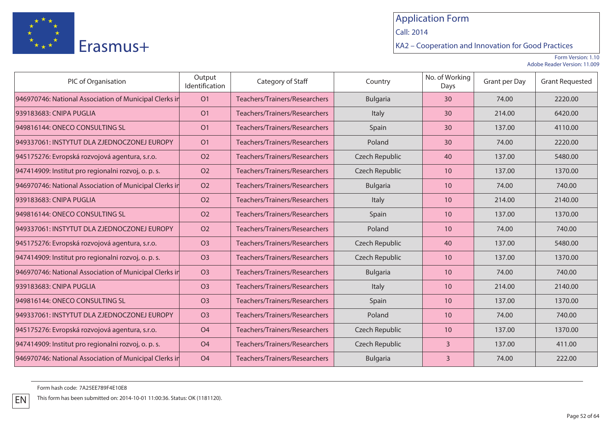

Call: 2014

KA2 – Cooperation and Innovation for Good Practices

Form Version: 1.10Adobe Reader Version: 11.009

| PIC of Organisation                                    | Output<br>Identification | Category of Staff             | Country               | No. of Working<br>Days | Grant per Day | <b>Grant Requested</b> |
|--------------------------------------------------------|--------------------------|-------------------------------|-----------------------|------------------------|---------------|------------------------|
| 946970746: National Association of Municipal Clerks in | O <sub>1</sub>           | Teachers/Trainers/Researchers | <b>Bulgaria</b>       | 30                     | 74.00         | 2220.00                |
| 939183683: CNIPA PUGLIA                                | O <sub>1</sub>           | Teachers/Trainers/Researchers | Italy                 | 30                     | 214.00        | 6420.00                |
| 949816144: ONECO CONSULTING SL                         | O <sub>1</sub>           | Teachers/Trainers/Researchers | Spain                 | 30                     | 137.00        | 4110.00                |
| 949337061: INSTYTUT DLA ZJEDNOCZONEJ EUROPY            | O <sub>1</sub>           | Teachers/Trainers/Researchers | Poland                | 30                     | 74.00         | 2220.00                |
| 945175276: Evropská rozvojová agentura, s.r.o.         | <b>O2</b>                | Teachers/Trainers/Researchers | <b>Czech Republic</b> | 40                     | 137.00        | 5480.00                |
| 947414909: Institut pro regionalni rozvoj, o. p. s.    | <b>O2</b>                | Teachers/Trainers/Researchers | <b>Czech Republic</b> | 10                     | 137.00        | 1370.00                |
| 946970746: National Association of Municipal Clerks in | <b>O2</b>                | Teachers/Trainers/Researchers | <b>Bulgaria</b>       | 10                     | 74.00         | 740.00                 |
| 939183683: CNIPA PUGLIA                                | <b>O2</b>                | Teachers/Trainers/Researchers | Italy                 | 10                     | 214.00        | 2140.00                |
| 949816144: ONECO CONSULTING SL                         | <b>O2</b>                | Teachers/Trainers/Researchers | Spain                 | 10                     | 137.00        | 1370.00                |
| 949337061: INSTYTUT DLA ZJEDNOCZONEJ EUROPY            | <b>O2</b>                | Teachers/Trainers/Researchers | Poland                | 10                     | 74.00         | 740.00                 |
| 945175276: Evropská rozvojová agentura, s.r.o.         | O <sub>3</sub>           | Teachers/Trainers/Researchers | Czech Republic        | 40                     | 137.00        | 5480.00                |
| 947414909: Institut pro regionalni rozvoj, o. p. s.    | <b>O3</b>                | Teachers/Trainers/Researchers | Czech Republic        | 10                     | 137.00        | 1370.00                |
| 946970746: National Association of Municipal Clerks in | O <sub>3</sub>           | Teachers/Trainers/Researchers | <b>Bulgaria</b>       | 10                     | 74.00         | 740.00                 |
| 939183683: CNIPA PUGLIA                                | <b>O3</b>                | Teachers/Trainers/Researchers | Italy                 | 10                     | 214.00        | 2140.00                |
| 949816144: ONECO CONSULTING SL                         | O <sub>3</sub>           | Teachers/Trainers/Researchers | Spain                 | 10                     | 137.00        | 1370.00                |
| 949337061: INSTYTUT DLA ZJEDNOCZONEJ EUROPY            | O <sub>3</sub>           | Teachers/Trainers/Researchers | Poland                | 10                     | 74.00         | 740.00                 |
| 945175276: Evropská rozvojová agentura, s.r.o.         | <b>O4</b>                | Teachers/Trainers/Researchers | Czech Republic        | 10                     | 137.00        | 1370.00                |
| 947414909: Institut pro regionalni rozvoj, o. p. s.    | <b>O4</b>                | Teachers/Trainers/Researchers | Czech Republic        | 3                      | 137.00        | 411.00                 |
| 946970746: National Association of Municipal Clerks in | O <sub>4</sub>           | Teachers/Trainers/Researchers | Bulgaria              | 3                      | 74.00         | 222.00                 |

Form hash code: 7A25EE789F4E10E8

EN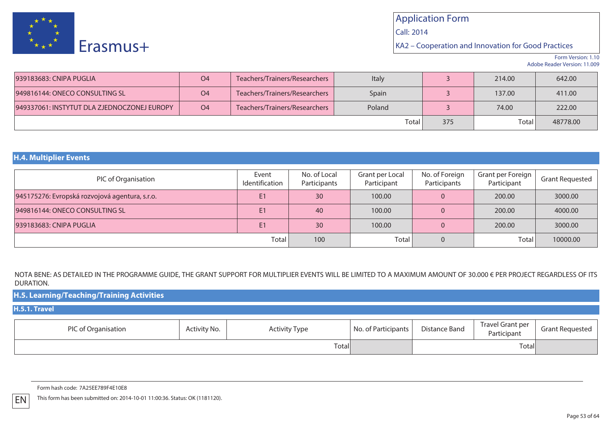

Call: 2014

KA2 – Cooperation and Innovation for Good Practices

Form Version: 1.10Adobe Reader Version: 11.009

| 939183683: CNIPA PUGLIA                     | O <sub>4</sub> | Teachers/Trainers/Researchers | Italy  |     | 214.00 | 642.00   |
|---------------------------------------------|----------------|-------------------------------|--------|-----|--------|----------|
| 949816144: ONECO CONSULTING SL              | O <sub>4</sub> | Teachers/Trainers/Researchers | Spain  |     | 137.00 | 411.00   |
| 949337061: INSTYTUT DLA ZJEDNOCZONEJ EUROPY | O <sub>4</sub> | Teachers/Trainers/Researchers | Poland |     | 74.00  | 222.00   |
|                                             |                |                               | Total  | 375 | Total  | 48778.00 |

### **H.4. Multiplier Events**

| PIC of Organisation                            | Event<br>Identification | No. of Local<br>Participants | Grant per Local<br>Participant | No. of Foreign<br>Participants | Grant per Foreign  <br>Participant | <b>Grant Requested</b> |
|------------------------------------------------|-------------------------|------------------------------|--------------------------------|--------------------------------|------------------------------------|------------------------|
| 945175276: Evropská rozvojová agentura, s.r.o. | E1                      | 30                           | 100.00                         | O.                             | 200.00                             | 3000.00                |
| 949816144: ONECO CONSULTING SL                 | E1                      | 40                           | 100.00                         |                                | 200.00                             | 4000.00                |
| 939183683: CNIPA PUGLIA                        | E1                      | 30                           | 100.00                         |                                | 200.00                             | 3000.00                |
|                                                | Total                   | 100                          | Total                          |                                | Total I                            | 10000.00               |

NOTA BENE: AS DETAILED IN THE PROGRAMME GUIDE, THE GRANT SUPPORT FOR MULTIPLIER EVENTS WILL BE LIMITED TO A MAXIMUM AMOUNT OF 30.000 € PER PROJECT REGARDLESS OF ITS DURATION.

| H.5. Learning/Teaching/Training Activities |              |                      |                     |               |                                 |                        |
|--------------------------------------------|--------------|----------------------|---------------------|---------------|---------------------------------|------------------------|
| H.5.1. Travel                              |              |                      |                     |               |                                 |                        |
| PIC of Organisation                        | Activity No. | <b>Activity Type</b> | No. of Participants | Distance Band | Travel Grant per<br>Participant | <b>Grant Requested</b> |
|                                            |              | Total                |                     |               | Totall                          |                        |

Form hash code: 7A25EE789F4E10E8

EN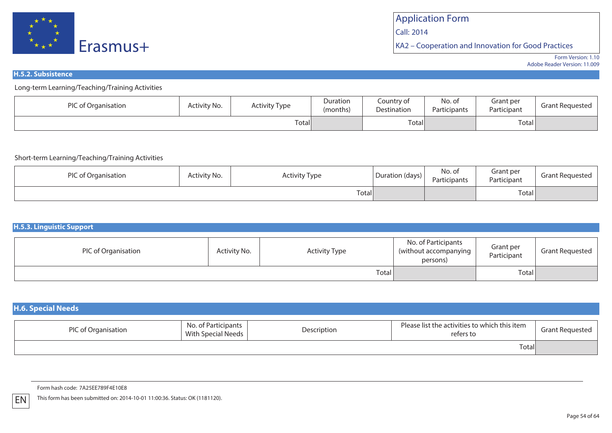

Call: 2014

KA2 – Cooperation and Innovation for Good Practices

Form Version: 1.10Adobe Reader Version: 11.009

### **H.5.2. Subsistence**

Long-term Learning/Teaching/Training Activities

| DIC.<br>of Organisation | Activity No. | <b>Activity Type</b> | Duration<br>(months) | Country of<br>Destination | No. of<br>Participants | ant per<br>Participant | rant Requestedد |
|-------------------------|--------------|----------------------|----------------------|---------------------------|------------------------|------------------------|-----------------|
|                         |              | Total                |                      | Total                     |                        | $-$<br>Total           |                 |

### Short-term Learning/Teaching/Training Activities

| PIC of Organisation | Activity No. | <b>Activity Type</b> | Duration (days) | No. of<br>Participants | Grant per<br>Participant | Grant Requested |
|---------------------|--------------|----------------------|-----------------|------------------------|--------------------------|-----------------|
|                     |              | Total                |                 |                        | Total <sub>l</sub>       |                 |

#### **H.5.3. Linguistic Support**PIC of OrganisationActivity No. | **Activity Type** No. of Participants (without accompanying persons)Grant per Participant Grant Requested TotalI | Total | Total | Total | Total | Total | Total | Total | Total | Total | Total | Total | Total | Total | Total | Total | Total | Total | Total | Total | Total | Total | Total | Total | Total | Total | Total | Total | To

| <b>H.6. Special Needs</b> |                                           |             |                                                            |                        |
|---------------------------|-------------------------------------------|-------------|------------------------------------------------------------|------------------------|
| PIC of Organisation       | No. of Participants<br>With Special Needs | Description | Please list the activities to which this item<br>refers to | <b>Grant Requested</b> |
|                           |                                           |             | Totall                                                     |                        |

Form hash code: 7A25EE789F4E10E8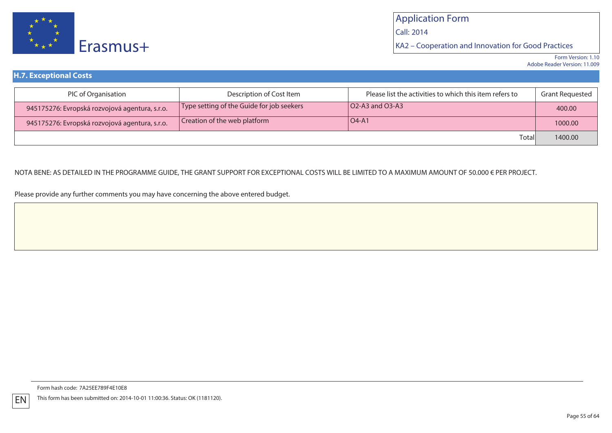

KA2 – Cooperation and Innovation for Good Practices

| <b>H.7. Exceptional Costs</b>                  |                                           |                                                         |                 |
|------------------------------------------------|-------------------------------------------|---------------------------------------------------------|-----------------|
| PIC of Organisation                            | Description of Cost Item                  | Please list the activities to which this item refers to | Grant Requested |
| 945175276: Evropská rozvojová agentura, s.r.o. | Type setting of the Guide for job seekers | $\overline{O2}$ -A3 and O3-A3                           | 400.00          |
| 945175276: Evropská rozvojová agentura, s.r.o. | Creation of the web platform              | $IO4-A1$                                                | 1000.00         |
|                                                |                                           | Totall                                                  | 1400.00         |

### NOTA BENE: AS DETAILED IN THE PROGRAMME GUIDE, THE GRANT SUPPORT FOR EXCEPTIONAL COSTS WILL BE LIMITED TO A MAXIMUM AMOUNT OF 50.000 € PER PROJECT.

Please provide any further comments you may have concerning the above entered budget.

Form hash code: 7A25EE789F4E10E8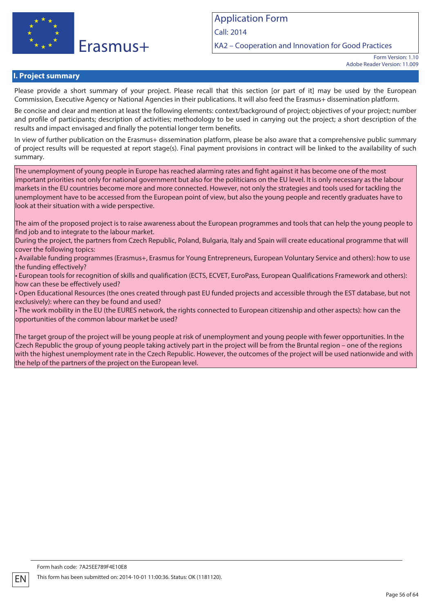

KA2 – Cooperation and Innovation for Good Practices

Form Version: 1.10 Adobe Reader Version: 11.009

### **I. Project summary**

Please provide a short summary of your project. Please recall that this section [or part of it] may be used by the European Commission, Executive Agency or National Agencies in their publications. It will also feed the Erasmus+ dissemination platform.

Be concise and clear and mention at least the following elements: context/background of project; objectives of your project; number and profile of participants; description of activities; methodology to be used in carrying out the project; a short description of the results and impact envisaged and finally the potential longer term benefits.

In view of further publication on the Erasmus+ dissemination platform, please be also aware that a comprehensive public summary of project results will be requested at report stage(s). Final payment provisions in contract will be linked to the availability of such summary.

The unemployment of young people in Europe has reached alarming rates and fight against it has become one of the most important priorities not only for national government but also for the politicians on the EU level. It is only necessary as the labour markets in the EU countries become more and more connected. However, not only the strategies and tools used for tackling the unemployment have to be accessed from the European point of view, but also the young people and recently graduates have to look at their situation with a wide perspective.

The aim of the proposed project is to raise awareness about the European programmes and tools that can help the young people to find job and to integrate to the labour market.

During the project, the partners from Czech Republic, Poland, Bulgaria, Italy and Spain will create educational programme that will cover the following topics:

• Available funding programmes (Erasmus+, Erasmus for Young Entrepreneurs, European Voluntary Service and others): how to use the funding effectively?

• European tools for recognition of skills and qualification (ECTS, ECVET, EuroPass, European Qualifications Framework and others): how can these be effectively used?

• Open Educational Resources (the ones created through past EU funded projects and accessible through the EST database, but not exclusively): where can they be found and used?

• The work mobility in the EU (the EURES network, the rights connected to European citizenship and other aspects): how can the opportunities of the common labour market be used?

The target group of the project will be young people at risk of unemployment and young people with fewer opportunities. In the Czech Republic the group of young people taking actively part in the project will be from the Bruntal region – one of the regions with the highest unemployment rate in the Czech Republic. However, the outcomes of the project will be used nationwide and with the help of the partners of the project on the European level.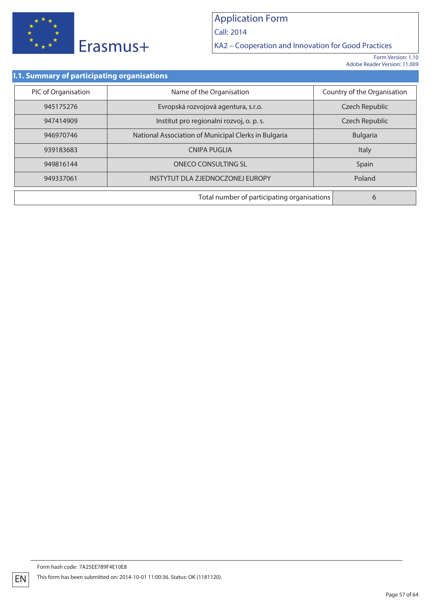

Call: 2014

KA2 – Cooperation and Innovation for Good Practices

Form Version: 1.10 Adobe Reader Version: 11.009

### **I.1. Summary of participating organisations**

| PIC of Organisation | Name of the Organisation                             | Country of the Organisation |
|---------------------|------------------------------------------------------|-----------------------------|
| 945175276           | Evropská rozvojová agentura, s.r.o.                  | Czech Republic              |
| 947414909           | Institut pro regionalni rozvoj, o. p. s.             | Czech Republic              |
| 946970746           | National Association of Municipal Clerks in Bulgaria | <b>Bulgaria</b>             |
| 939183683           | <b>CNIPA PUGLIA</b>                                  | Italy                       |
| 949816144           | <b>ONECO CONSULTING SL</b>                           | Spain                       |
| 949337061           | INSTYTUT DLA ZJEDNOCZONEJ EUROPY<br>Poland           |                             |
|                     | Total number of participating organisations<br>6     |                             |

EN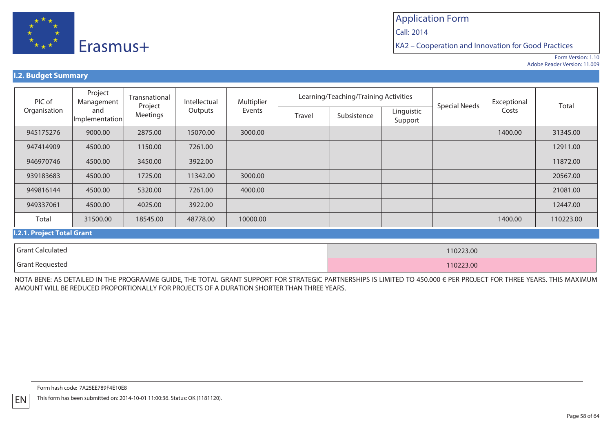

Call: 2014

KA2 – Cooperation and Innovation for Good Practices

Form Version: 1.10Adobe Reader Version: 11.009

### **I.2. Budget Summary**

| PIC of                  | Project<br>Management | Transnational<br>Project | Intellectual      | Multiplier | Learning/Teaching/Training Activities |             |                       | <b>Special Needs</b> | Exceptional |           |
|-------------------------|-----------------------|--------------------------|-------------------|------------|---------------------------------------|-------------|-----------------------|----------------------|-------------|-----------|
| Organisation            | and<br>Implementation | Meetings                 | Outputs<br>Events |            | Travel                                | Subsistence | Linguistic<br>Support |                      | Costs       | Total     |
| 945175276               | 9000.00               | 2875.00                  | 15070.00          | 3000.00    |                                       |             |                       |                      | 1400.00     | 31345.00  |
| 947414909               | 4500.00               | 1150.00                  | 7261.00           |            |                                       |             |                       |                      |             | 12911.00  |
| 946970746               | 4500.00               | 3450.00                  | 3922.00           |            |                                       |             |                       |                      |             | 11872.00  |
| 939183683               | 4500.00               | 1725.00                  | 11342.00          | 3000.00    |                                       |             |                       |                      |             | 20567.00  |
| 949816144               | 4500.00               | 5320.00                  | 7261.00           | 4000.00    |                                       |             |                       |                      |             | 21081.00  |
| 949337061               | 4500.00               | 4025.00                  | 3922.00           |            |                                       |             |                       |                      |             | 12447.00  |
| Total                   | 31500.00              | 18545.00                 | 48778.00          | 10000.00   |                                       |             |                       |                      | 1400.00     | 110223.00 |
| 2.1 Project Total Grant |                       |                          |                   |            |                                       |             |                       |                      |             |           |

#### **I.2.1. Project Total Grant**

| Grant<br>: Calculated | 10223.00  |
|-----------------------|-----------|
| Grant Requested       | 110223.00 |

NOTA BENE: AS DETAILED IN THE PROGRAMME GUIDE, THE TOTAL GRANT SUPPORT FOR STRATEGIC PARTNERSHIPS IS LIMITED TO 450.000 € PER PROJECT FOR THREE YEARS. THIS MAXIMUM AMOUNT WILL BE REDUCED PROPORTIONALLY FOR PROJECTS OF A DURATION SHORTER THAN THREE YEARS.

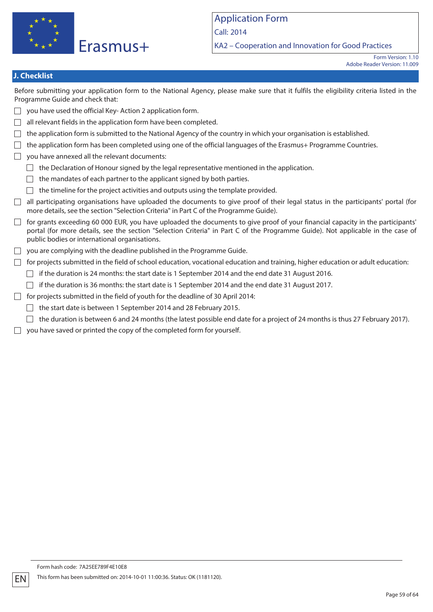

KA2 – Cooperation and Innovation for Good Practices

## **J. Checklist**

Before submitting your application form to the National Agency, please make sure that it fulfils the eligibility criteria listed in the Programme Guide and check that:

- $\Box$  you have used the official Key-Action 2 application form.
- all relevant fields in the application form have been completed.  $\Box$
- $\Box$  the application form is submitted to the National Agency of the country in which your organisation is established.
- $\Box$  the application form has been completed using one of the official languages of the Erasmus+ Programme Countries.
- $\Box$  vou have annexed all the relevant documents:
	- $\Box$  the Declaration of Honour signed by the legal representative mentioned in the application.
	- $\Box$  the mandates of each partner to the applicant signed by both parties.
	- $\Box$  the timeline for the project activities and outputs using the template provided.
- $\Box$  all participating organisations have uploaded the documents to give proof of their legal status in the participants' portal (for more details, see the section "Selection Criteria" in Part C of the Programme Guide).
- $\Box$  for grants exceeding 60 000 EUR, you have uploaded the documents to give proof of your financial capacity in the participants' portal (for more details, see the section "Selection Criteria" in Part C of the Programme Guide). Not applicable in the case of public bodies or international organisations.
- $\Box$  you are complying with the deadline published in the Programme Guide.
- $\Box$  for projects submitted in the field of school education, vocational education and training, higher education or adult education:
	- $\Box$  if the duration is 24 months: the start date is 1 September 2014 and the end date 31 August 2016.
	- $\Box$  if the duration is 36 months: the start date is 1 September 2014 and the end date 31 August 2017.
- $\Box$  for projects submitted in the field of youth for the deadline of 30 April 2014:
	- $\Box$  the start date is between 1 September 2014 and 28 February 2015.
	- $\Box$  the duration is between 6 and 24 months (the latest possible end date for a project of 24 months is thus 27 February 2017).
- $\Box$  you have saved or printed the copy of the completed form for yourself.

Form hash code: 7A25EE789F4E10E8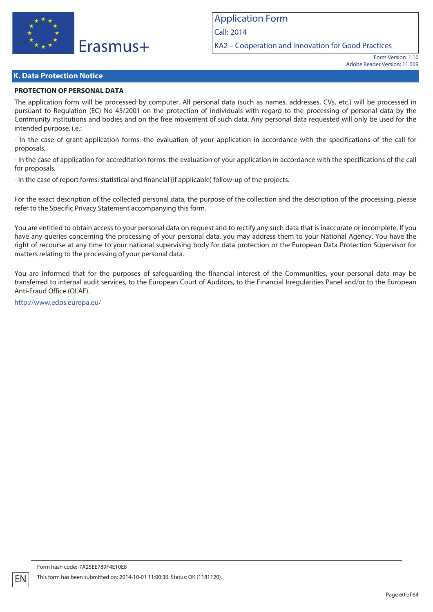

KA2 – Cooperation and Innovation for Good Practices

### **K. Data Protection Notice**

### **PROTECTION OF PERSONAL DATA**

The application form will be processed by computer. All personal data (such as names, addresses, CVs, etc.) will be processed in pursuant to Regulation (EC) No 45/2001 on the protection of individuals with regard to the processing of personal data by the Community institutions and bodies and on the free movement of such data. Any personal data requested will only be used for the intended purpose, i.e.:

- In the case of grant application forms: the evaluation of your application in accordance with the specifications of the call for proposals,

- In the case of application for accreditation forms: the evaluation of your application in accordance with the specifications of the call for proposals,

- In the case of report forms: statistical and financial (if applicable) follow-up of the projects.

For the exact description of the collected personal data, the purpose of the collection and the description of the processing, please refer to the Specific Privacy Statement accompanying this form.

You are entitled to obtain access to your personal data on request and to rectify any such data that is inaccurate or incomplete. If you have any queries concerning the processing of your personal data, you may address them to your National Agency. You have the right of recourse at any time to your national supervising body for data protection or the European Data Protection Supervisor for matters relating to the processing of your personal data.

You are informed that for the purposes of safeguarding the financial interest of the Communities, your personal data may be transferred to internal audit services, to the European Court of Auditors, to the Financial Irregularities Panel and/or to the European Anti-Fraud Office (OLAF).

http://www.edps.europa.eu/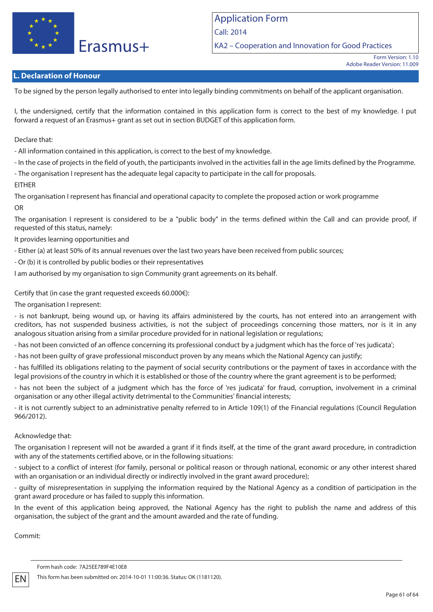

KA2 – Cooperation and Innovation for Good Practices

## **L. Declaration of Honour**

To be signed by the person legally authorised to enter into legally binding commitments on behalf of the applicant organisation.

I, the undersigned, certify that the information contained in this application form is correct to the best of my knowledge. I put forward a request of an Erasmus+ grant as set out in section BUDGET of this application form.

Declare that:

- All information contained in this application, is correct to the best of my knowledge.

- In the case of projects in the field of youth, the participants involved in the activities fall in the age limits defined by the Programme.

- The organisation I represent has the adequate legal capacity to participate in the call for proposals.

### EITHER

The organisation I represent has financial and operational capacity to complete the proposed action or work programme OR

The organisation I represent is considered to be a "public body" in the terms defined within the Call and can provide proof, if requested of this status, namely:

It provides learning opportunities and

- Either (a) at least 50% of its annual revenues over the last two years have been received from public sources;

- Or (b) it is controlled by public bodies or their representatives

I am authorised by my organisation to sign Community grant agreements on its behalf.

### Certify that (in case the grant requested exceeds 60.000€):

The organisation I represent:

- is not bankrupt, being wound up, or having its affairs administered by the courts, has not entered into an arrangement with creditors, has not suspended business activities, is not the subject of proceedings concerning those matters, nor is it in any analogous situation arising from a similar procedure provided for in national legislation or regulations;

- has not been convicted of an offence concerning its professional conduct by a judgment which has the force of 'res judicata';

- has not been guilty of grave professional misconduct proven by any means which the National Agency can justify;

- has fulfilled its obligations relating to the payment of social security contributions or the payment of taxes in accordance with the legal provisions of the country in which it is established or those of the country where the grant agreement is to be performed;

- has not been the subject of a judgment which has the force of 'res judicata' for fraud, corruption, involvement in a criminal organisation or any other illegal activity detrimental to the Communities' financial interests;

- it is not currently subject to an administrative penalty referred to in Article 109(1) of the Financial regulations (Council Regulation 966/2012).

### Acknowledge that:

The organisation I represent will not be awarded a grant if it finds itself, at the time of the grant award procedure, in contradiction with any of the statements certified above, or in the following situations:

- subject to a conflict of interest (for family, personal or political reason or through national, economic or any other interest shared with an organisation or an individual directly or indirectly involved in the grant award procedure);

- guilty of misrepresentation in supplying the information required by the National Agency as a condition of participation in the grant award procedure or has failed to supply this information.

In the event of this application being approved, the National Agency has the right to publish the name and address of this organisation, the subject of the grant and the amount awarded and the rate of funding.

Commit: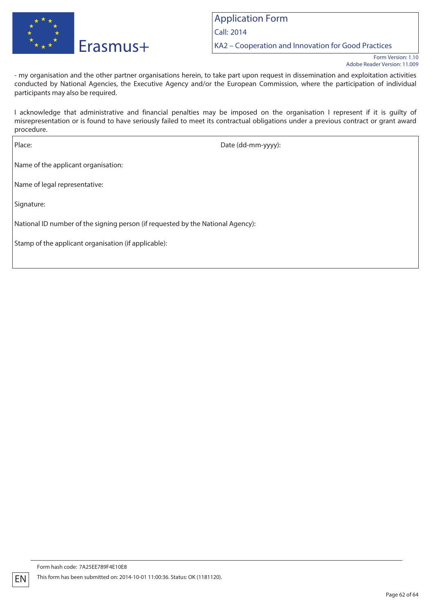

KA2 – Cooperation and Innovation for Good Practices

- my organisation and the other partner organisations herein, to take part upon request in dissemination and exploitation activities conducted by National Agencies, the Executive Agency and/or the European Commission, where the participation of individual participants may also be required.

I acknowledge that administrative and financial penalties may be imposed on the organisation I represent if it is guilty of misrepresentation or is found to have seriously failed to meet its contractual obligations under a previous contract or grant award procedure.

Place: Date (dd-mm-yyyy): Name of the applicant organisation: Name of legal representative: Signature: National ID number of the signing person (if requested by the National Agency): Stamp of the applicant organisation (if applicable):

Form hash code: 7A25EE789F4E10E8 This form has been submitted on: 2014-10-01 11:00:36. Status: OK (1181120).

Form Version: 1.10 Adobe Reader Version: 11.009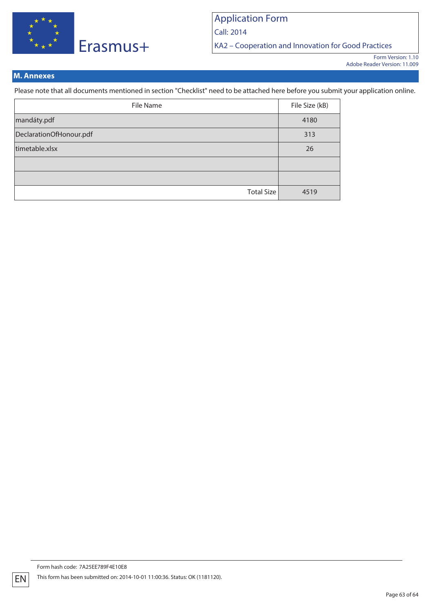

Call: 2014

KA2 – Cooperation and Innovation for Good Practices

## **M. Annexes**

Please note that all documents mentioned in section "Checklist" need to be attached here before you submit your application online.

| File Name               | File Size (kB) |
|-------------------------|----------------|
| mandáty.pdf             | 4180           |
| DeclarationOfHonour.pdf | 313            |
| timetable.xlsx          | 26             |
|                         |                |
|                         |                |
| Total Size              | 4519           |